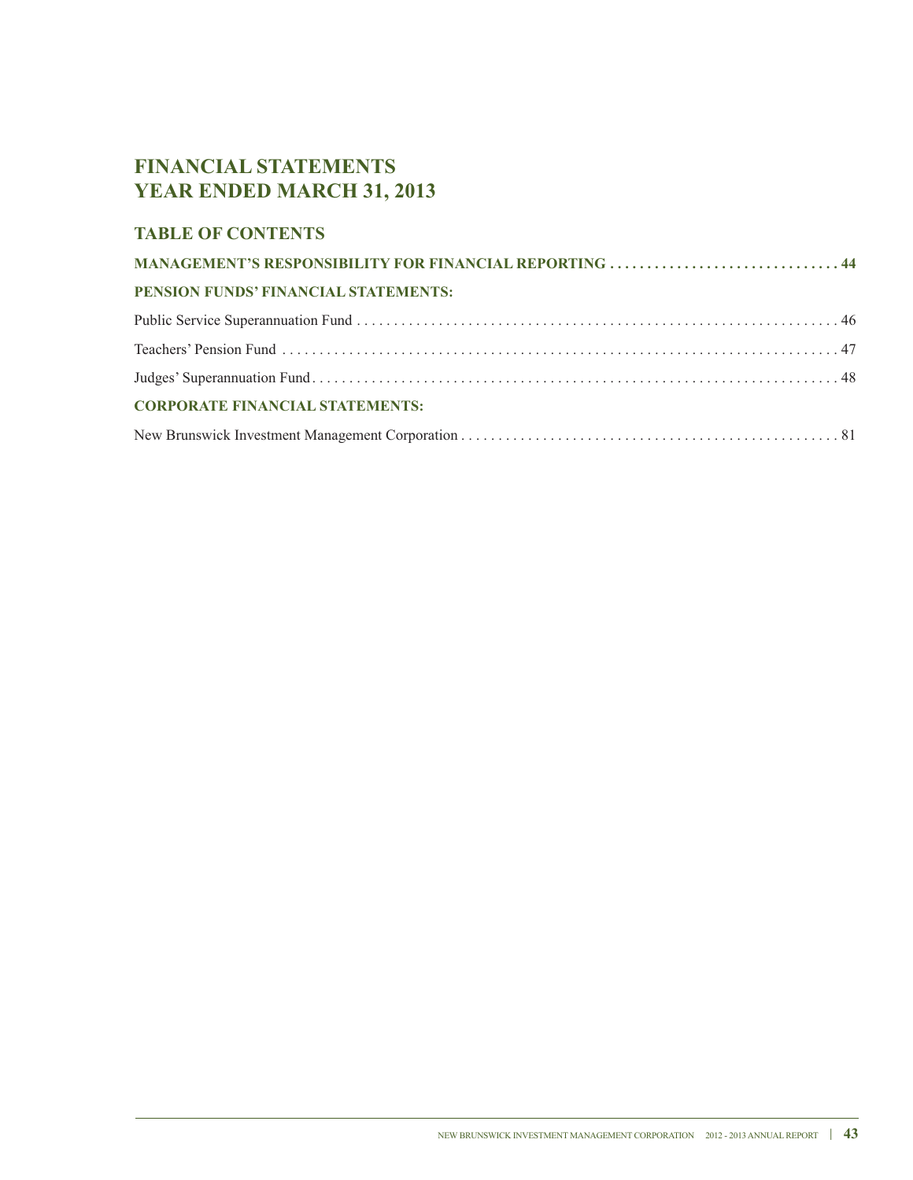# **FINANCIAL STATEMENTS YEAR ENDED MARCH 31, 2013**

# **TABLE OF CONTENTS**

| MANAGEMENT'S RESPONSIBILITY FOR FINANCIAL REPORTING  44 |  |
|---------------------------------------------------------|--|
| PENSION FUNDS' FINANCIAL STATEMENTS:                    |  |
|                                                         |  |
|                                                         |  |
|                                                         |  |
| <b>CORPORATE FINANCIAL STATEMENTS:</b>                  |  |
|                                                         |  |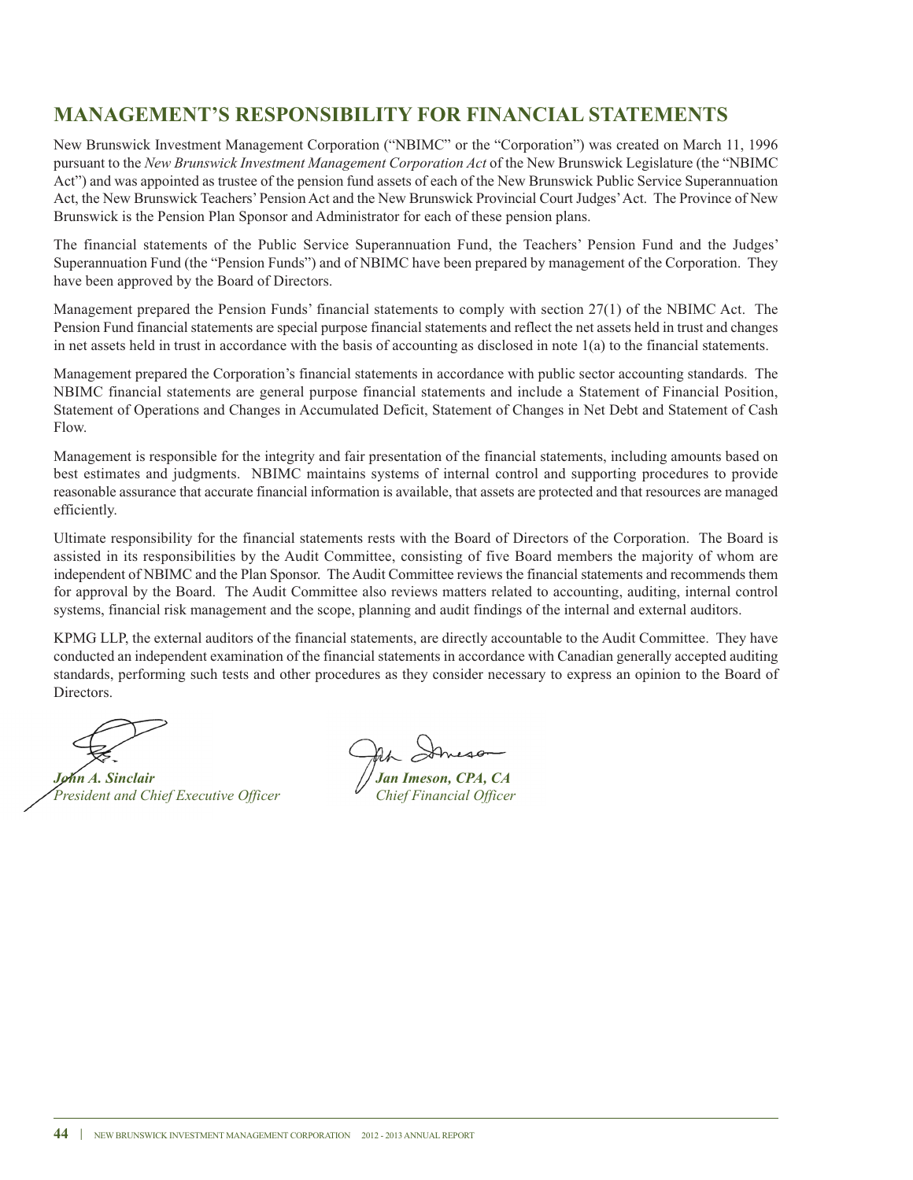# **MANAGEMENT'S RESPONSIBILITY FOR FINANCIAL STATEMENTS**

New Brunswick Investment Management Corporation ("NBIMC" or the "Corporation") was created on March 11, 1996 pursuant to the *New Brunswick Investment Management Corporation Act* of the New Brunswick Legislature (the "NBIMC Act") and was appointed as trustee of the pension fund assets of each of the New Brunswick Public Service Superannuation Act, the New Brunswick Teachers'Pension Act and the New Brunswick Provincial Court Judges'Act. The Province of New Brunswick is the Pension Plan Sponsor and Administrator for each of these pension plans.

The financial statements of the Public Service Superannuation Fund, the Teachers' Pension Fund and the Judges' Superannuation Fund (the "Pension Funds") and of NBIMC have been prepared by management of the Corporation. They have been approved by the Board of Directors.

Management prepared the Pension Funds' financial statements to comply with section 27(1) of the NBIMC Act. The Pension Fund financial statements are special purpose financial statements and reflect the net assets held in trust and changes in net assets held in trust in accordance with the basis of accounting as disclosed in note  $1(a)$  to the financial statements.

Management prepared the Corporation's financial statements in accordance with public sector accounting standards. The NBIMC financial statements are general purpose financial statements and include a Statement of Financial Position, Statement of Operations and Changes in Accumulated Deficit, Statement of Changes in Net Debt and Statement of Cash Flow.

Management is responsible for the integrity and fair presentation of the financial statements, including amounts based on best estimates and judgments. NBIMC maintains systems of internal control and supporting procedures to provide reasonable assurance that accurate financial information is available, that assets are protected and that resources are managed efficiently.

Ultimate responsibility for the financial statements rests with the Board of Directors of the Corporation. The Board is assisted in its responsibilities by the Audit Committee, consisting of five Board members the majority of whom are independent of NBIMC and the Plan Sponsor. The Audit Committee reviews the financial statements and recommends them for approval by the Board. The Audit Committee also reviews matters related to accounting, auditing, internal control systems, financial risk management and the scope, planning and audit findings of the internal and external auditors.

KPMG LLP, the external auditors of the financial statements, are directly accountable to the Audit Committee. They have conducted an independent examination of the financial statements in accordance with Canadian generally accepted auditing standards, performing such tests and other procedures as they consider necessary to express an opinion to the Board of Directors.

*John Anexe*<br> *Jan* Imeson, CPA, CA<br> *Jan* Imeson, CPA, CA<br> *Chief Financial Officer President and Chief Executive Officer Chief Financial Officer*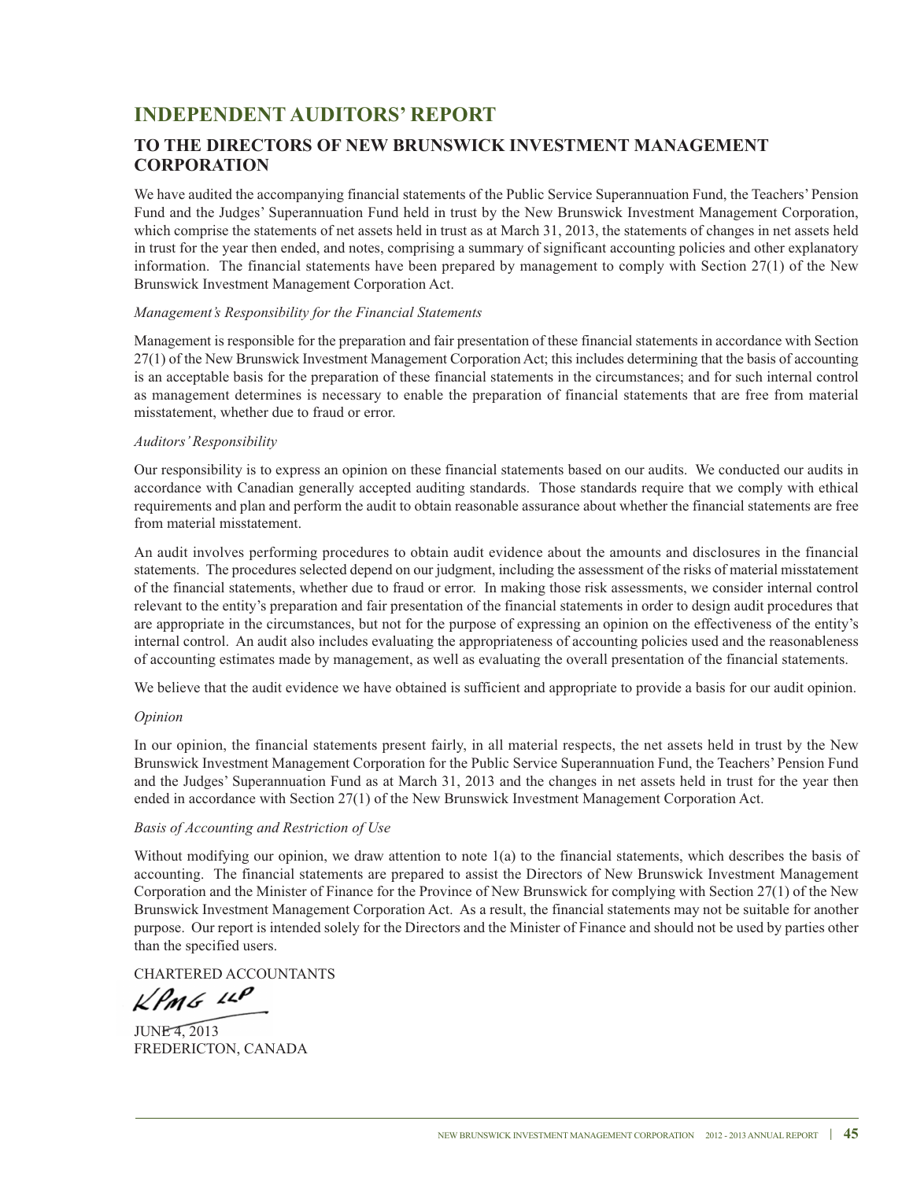# **INDEPENDENT AUDITORS' REPORT**

# **TO THE DIRECTORS OF NEW BRUNSWICK INVESTMENT MANAGEMENT CORPORATION**

We have audited the accompanying financial statements of the Public Service Superannuation Fund, the Teachers' Pension Fund and the Judges' Superannuation Fund held in trust by the New Brunswick Investment Management Corporation, which comprise the statements of net assets held in trust as at March 31, 2013, the statements of changes in net assets held in trust for the year then ended, and notes, comprising a summary of significant accounting policies and other explanatory information. The financial statements have been prepared by management to comply with Section 27(1) of the New Brunswick Investment Management Corporation Act.

### *Management's Responsibility for the Financial Statements*

Management is responsible for the preparation and fair presentation of these financial statements in accordance with Section 27(1) of the New Brunswick Investment Management Corporation Act; this includes determining that the basis of accounting is an acceptable basis for the preparation of these financial statements in the circumstances; and for such internal control as management determines is necessary to enable the preparation of financial statements that are free from material misstatement, whether due to fraud or error.

### *Auditors'Responsibility*

Our responsibility is to express an opinion on these financial statements based on our audits. We conducted our audits in accordance with Canadian generally accepted auditing standards. Those standards require that we comply with ethical requirements and plan and perform the audit to obtain reasonable assurance about whether the financial statements are free from material misstatement.

An audit involves performing procedures to obtain audit evidence about the amounts and disclosures in the financial statements. The procedures selected depend on our judgment, including the assessment of the risks of material misstatement of the financial statements, whether due to fraud or error. In making those risk assessments, we consider internal control relevant to the entity's preparation and fair presentation of the financial statements in order to design audit procedures that are appropriate in the circumstances, but not for the purpose of expressing an opinion on the effectiveness of the entity's internal control. An audit also includes evaluating the appropriateness of accounting policies used and the reasonableness of accounting estimates made by management, as well as evaluating the overall presentation of the financial statements.

We believe that the audit evidence we have obtained is sufficient and appropriate to provide a basis for our audit opinion.

### *Opinion*

In our opinion, the financial statements present fairly, in all material respects, the net assets held in trust by the New Brunswick Investment Management Corporation for the Public Service Superannuation Fund, the Teachers' Pension Fund and the Judges' Superannuation Fund as at March 31, 2013 and the changes in net assets held in trust for the year then ended in accordance with Section 27(1) of the New Brunswick Investment Management Corporation Act.

### *Basis of Accounting and Restriction of Use*

Without modifying our opinion, we draw attention to note 1(a) to the financial statements, which describes the basis of accounting. The financial statements are prepared to assist the Directors of New Brunswick Investment Management Corporation and the Minister of Finance for the Province of New Brunswick for complying with Section 27(1) of the New Brunswick Investment Management Corporation Act. As a result, the financial statements may not be suitable for another purpose. Our report is intended solely for the Directors and the Minister of Finance and should not be used by parties other than the specified users.

CHARTERED ACCOUNTANTS

 $k$ PMG  $10$ 

JUNE 4, 2013 FREDERICTON, CANADA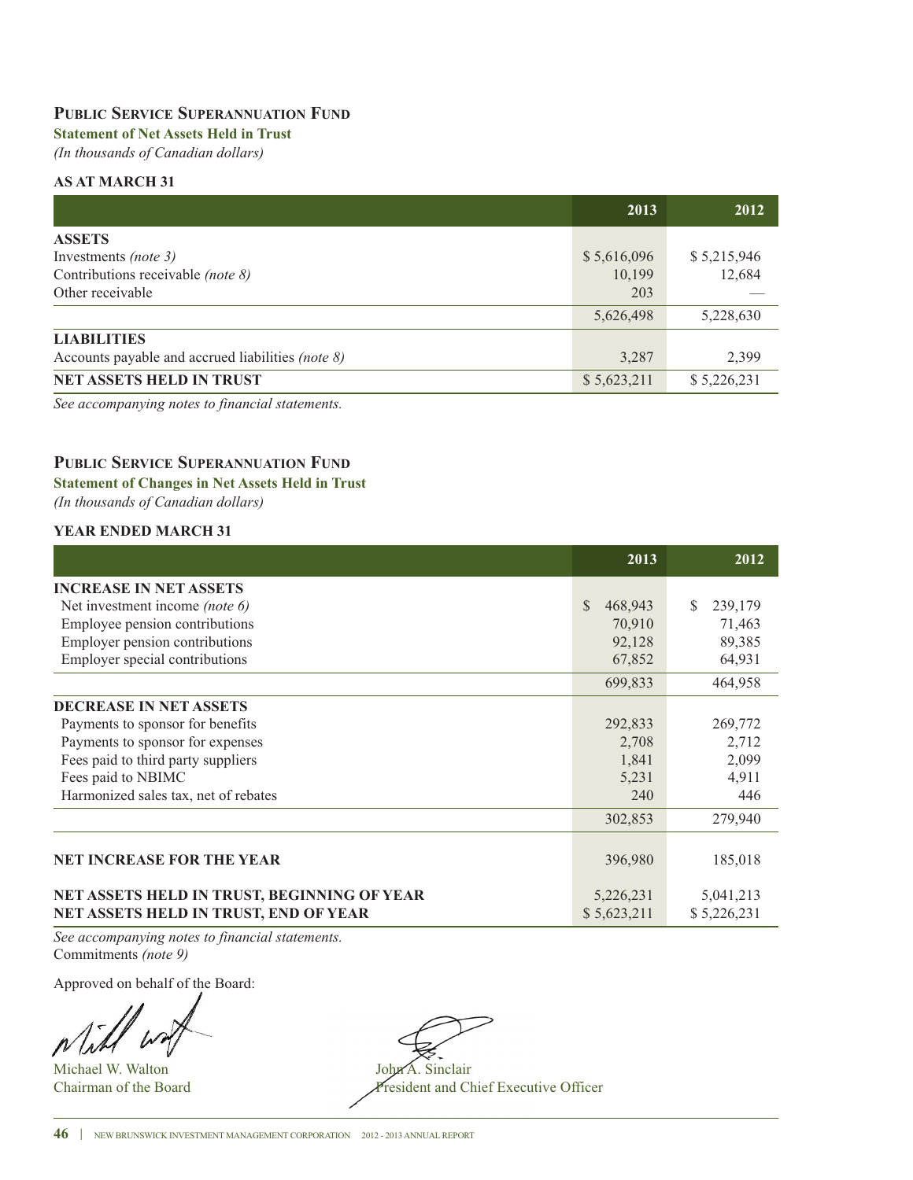### **PUBLIC SERVICE SUPERANNUATION FUND**

# **Statement of Net Assets Held in Trust**

*(In thousands of Canadian dollars)*

### **AS AT MARCH 31**

|                                                           | 2013        | 2012        |
|-----------------------------------------------------------|-------------|-------------|
| <b>ASSETS</b>                                             |             |             |
| Investments (note 3)                                      | \$5,616,096 | \$5,215,946 |
| Contributions receivable (note 8)                         | 10,199      | 12,684      |
| Other receivable                                          | 203         |             |
|                                                           | 5,626,498   | 5,228,630   |
| <b>LIABILITIES</b>                                        |             |             |
| Accounts payable and accrued liabilities (note $\delta$ ) | 3,287       | 2,399       |
| <b>NET ASSETS HELD IN TRUST</b>                           | \$5,623,211 | \$5,226,231 |

*See accompanying notes to financial statements.*

## **PUBLIC SERVICE SUPERANNUATION FUND**

### **Statement of Changes in Net Assets Held in Trust**

*(In thousands of Canadian dollars)*

### **YEAR ENDED MARCH 31**

|                                             | 2013                    | 2012         |
|---------------------------------------------|-------------------------|--------------|
| <b>INCREASE IN NET ASSETS</b>               |                         |              |
| Net investment income (note 6)              | <sup>S</sup><br>468,943 | 239,179<br>S |
| Employee pension contributions              | 70,910                  | 71,463       |
| Employer pension contributions              | 92,128                  | 89,385       |
| Employer special contributions              | 67,852                  | 64,931       |
|                                             | 699,833                 | 464,958      |
| <b>DECREASE IN NET ASSETS</b>               |                         |              |
| Payments to sponsor for benefits            | 292,833                 | 269,772      |
| Payments to sponsor for expenses            | 2,708                   | 2,712        |
| Fees paid to third party suppliers          | 1,841                   | 2,099        |
| Fees paid to NBIMC                          | 5,231                   | 4,911        |
| Harmonized sales tax, net of rebates        | 240                     | 446          |
|                                             | 302,853                 | 279,940      |
|                                             |                         |              |
| <b>NET INCREASE FOR THE YEAR</b>            | 396,980                 | 185,018      |
| NET ASSETS HELD IN TRUST, BEGINNING OF YEAR | 5,226,231               | 5,041,213    |
| NET ASSETS HELD IN TRUST, END OF YEAR       | \$5,623,211             | \$5,226,231  |

*See accompanying notes to financial statements.* Commitments *(note 9)*

Approved on behalf of the Board:

Michael W. Walton John A. Sinclair

Chairman of the Board President and Chief Executive Officer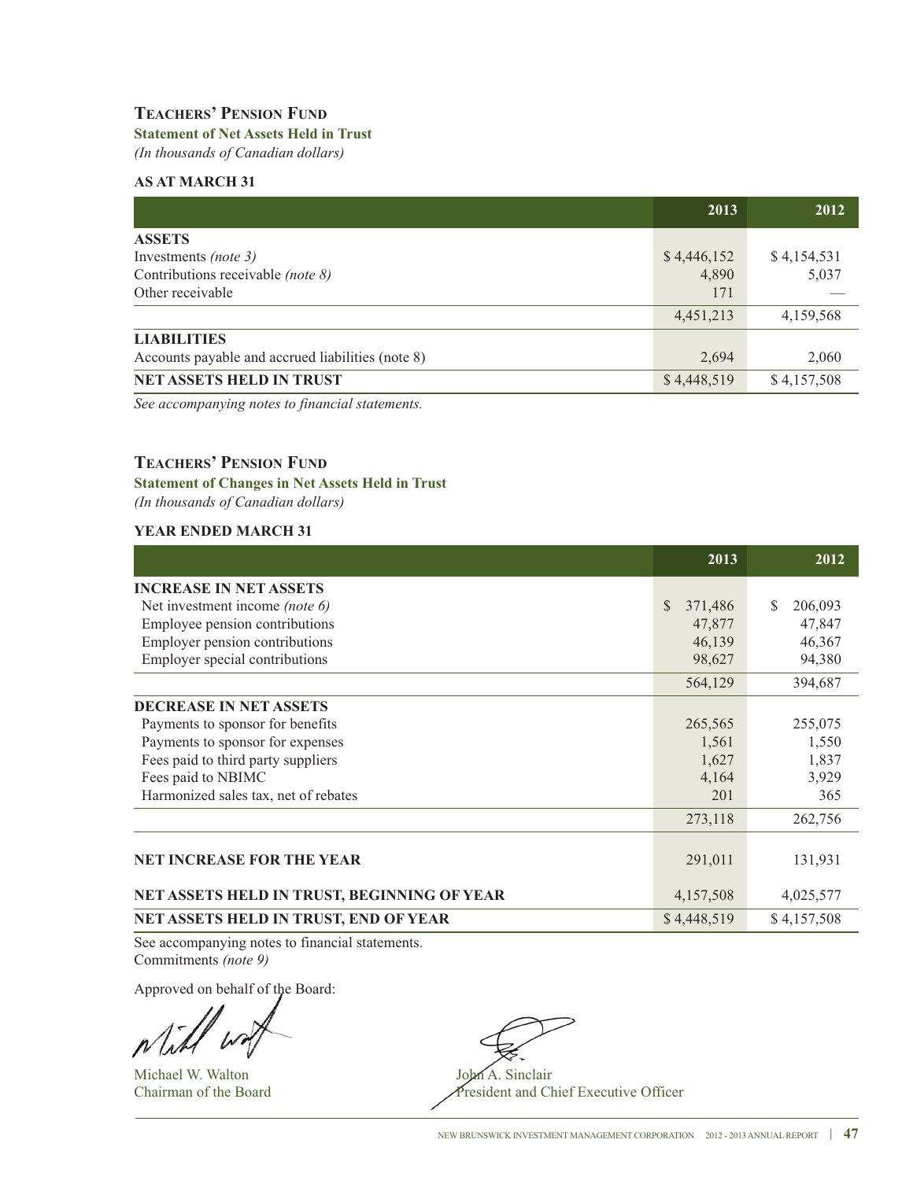# **TEACHERS' PENSION FUND**

# **Statement of Net Assets Held in Trust**

*(In thousands of Canadian dollars)*

### **AS AT MARCH 31**

|                                                   | 2013        | 2012        |
|---------------------------------------------------|-------------|-------------|
| <b>ASSETS</b>                                     |             |             |
| Investments (note 3)                              | \$4,446,152 | \$4,154,531 |
| Contributions receivable (note 8)                 | 4,890       | 5,037       |
| Other receivable                                  | 171         |             |
|                                                   | 4,451,213   | 4,159,568   |
| <b>LIABILITIES</b>                                |             |             |
| Accounts payable and accrued liabilities (note 8) | 2,694       | 2,060       |
| <b>NET ASSETS HELD IN TRUST</b>                   | \$4,448,519 | \$4,157,508 |

*See accompanying notes to financial statements.*

### **TEACHERS' PENSION FUND**

### **Statement of Changes in Net Assets Held in Trust**

*(In thousands of Canadian dollars)*

### **YEAR ENDED MARCH 31**

|                                              | 2013                     | 2012         |
|----------------------------------------------|--------------------------|--------------|
| <b>INCREASE IN NET ASSETS</b>                |                          |              |
| Net investment income (note 6)               | <sup>\$</sup><br>371,486 | S<br>206,093 |
| Employee pension contributions               | 47,877                   | 47,847       |
| Employer pension contributions               | 46,139                   | 46,367       |
| Employer special contributions               | 98,627                   | 94,380       |
|                                              | 564,129                  | 394,687      |
| <b>DECREASE IN NET ASSETS</b>                |                          |              |
| Payments to sponsor for benefits             | 265,565                  | 255,075      |
| Payments to sponsor for expenses             | 1,561                    | 1,550        |
| Fees paid to third party suppliers           | 1,627                    | 1,837        |
| Fees paid to NBIMC                           | 4,164                    | 3,929        |
| Harmonized sales tax, net of rebates         | 201                      | 365          |
|                                              | 273,118                  | 262,756      |
|                                              |                          |              |
| <b>NET INCREASE FOR THE YEAR</b>             | 291,011                  | 131,931      |
| NET ASSETS HELD IN TRUST, BEGINNING OF YEAR  | 4,157,508                | 4,025,577    |
| <b>NET ASSETS HELD IN TRUST, END OF YEAR</b> | \$4,448,519              | \$4,157,508  |

See accompanying notes to financial statements. Commitments *(note 9)*

Approved on behalf of the Board:

Michael W. Walton John A. Sinclair

Chairman of the Board President and Chief Executive Officer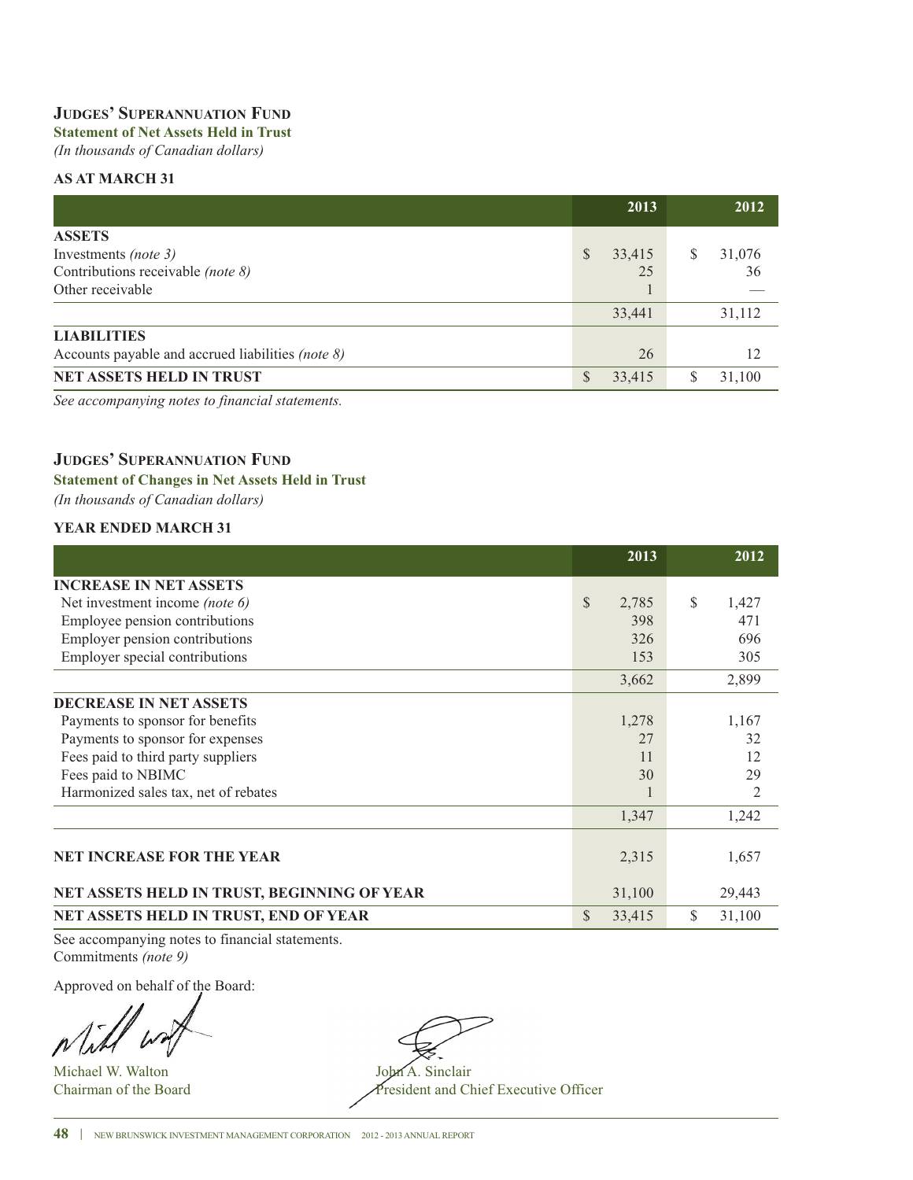# **JUDGES' SUPERANNUATION FUND**

# **Statement of Net Assets Held in Trust**

*(In thousands of Canadian dollars)*

### **AS AT MARCH 31**

|                                                   |    | 2013   |   | 2012   |
|---------------------------------------------------|----|--------|---|--------|
| <b>ASSETS</b>                                     |    |        |   |        |
| Investments (note 3)                              | \$ | 33,415 | S | 31,076 |
| Contributions receivable (note 8)                 |    | 25     |   | 36     |
| Other receivable                                  |    |        |   |        |
|                                                   |    | 33,441 |   | 31,112 |
| <b>LIABILITIES</b>                                |    |        |   |        |
| Accounts payable and accrued liabilities (note 8) |    | 26     |   | 12     |
| NET ASSETS HELD IN TRUST                          | S  | 33,415 |   | 31.100 |

*See accompanying notes to financial statements.*

# **JUDGES' SUPERANNUATION FUND**

### **Statement of Changes in Net Assets Held in Trust**

*(In thousands of Canadian dollars)*

### **YEAR ENDED MARCH 31**

|                                             | 2013                   | 2012           |
|---------------------------------------------|------------------------|----------------|
| <b>INCREASE IN NET ASSETS</b>               |                        |                |
| Net investment income (note 6)              | $\mathcal{S}$<br>2,785 | \$<br>1,427    |
| Employee pension contributions              | 398                    | 471            |
| Employer pension contributions              | 326                    | 696            |
| Employer special contributions              | 153                    | 305            |
|                                             | 3,662                  | 2,899          |
| <b>DECREASE IN NET ASSETS</b>               |                        |                |
| Payments to sponsor for benefits            | 1,278                  | 1,167          |
| Payments to sponsor for expenses            | 27                     | 32             |
| Fees paid to third party suppliers          | 11                     | 12             |
| Fees paid to NBIMC                          | 30                     | 29             |
| Harmonized sales tax, net of rebates        |                        | $\overline{2}$ |
|                                             | 1,347                  | 1,242          |
|                                             |                        |                |
| <b>NET INCREASE FOR THE YEAR</b>            | 2,315                  | 1,657          |
| NET ASSETS HELD IN TRUST, BEGINNING OF YEAR | 31,100                 | 29,443         |
| NET ASSETS HELD IN TRUST, END OF YEAR       | $\mathbb{S}$<br>33,415 | \$<br>31,100   |

See accompanying notes to financial statements. Commitments *(note 9)*

Approved on behalf of the Board:

Michael W. Walton John A. Sinclair<br>Chairman of the Board President and Ch

President and Chief Executive Officer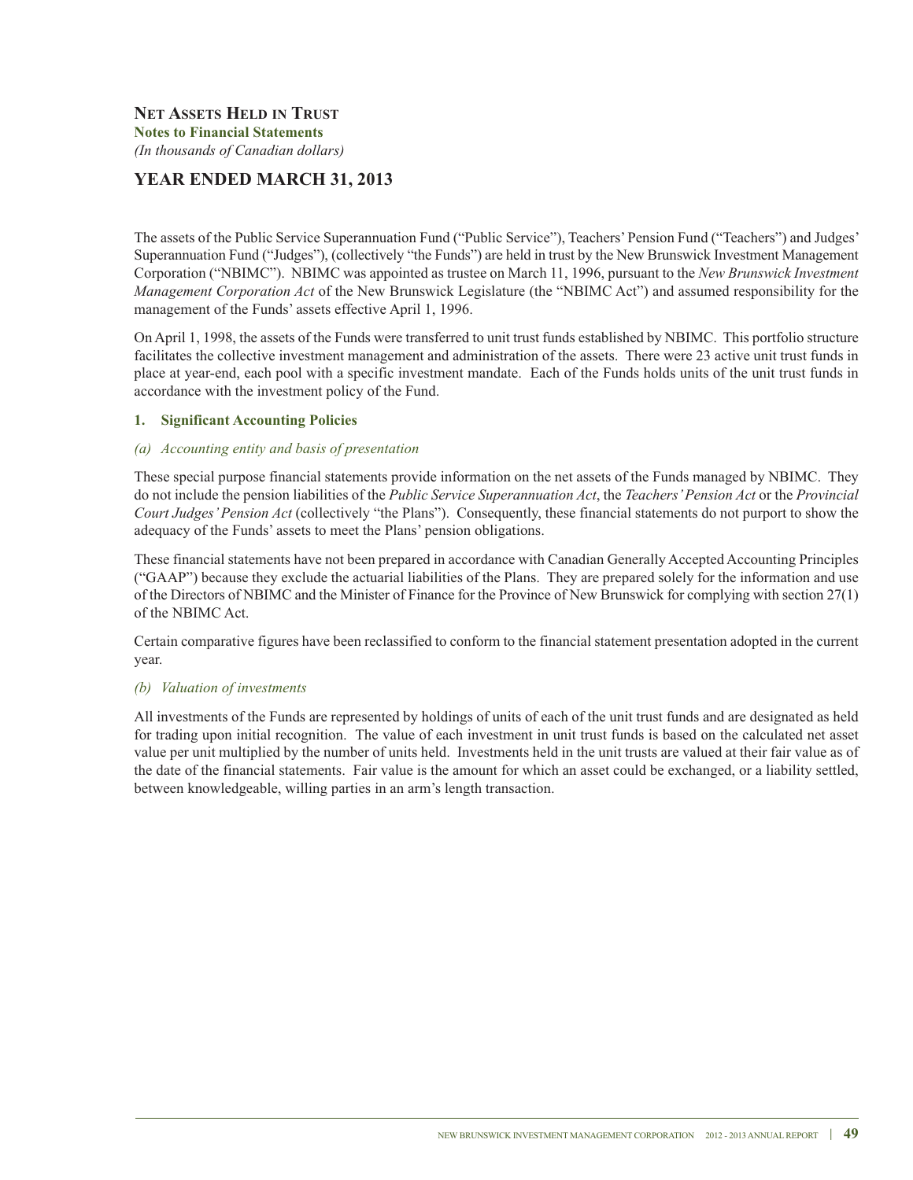# **YEAR ENDED MARCH 31, 2013**

The assets of the Public Service Superannuation Fund ("Public Service"), Teachers'Pension Fund ("Teachers") and Judges' Superannuation Fund ("Judges"), (collectively "the Funds") are held in trust by the New Brunswick Investment Management Corporation ("NBIMC"). NBIMC was appointed as trustee on March 11, 1996, pursuant to the *New Brunswick Investment Management Corporation Act* of the New Brunswick Legislature (the "NBIMC Act") and assumed responsibility for the management of the Funds' assets effective April 1, 1996.

On April 1, 1998, the assets of the Funds were transferred to unit trust funds established by NBIMC. This portfolio structure facilitates the collective investment management and administration of the assets. There were 23 active unit trust funds in place at year-end, each pool with a specific investment mandate. Each of the Funds holds units of the unit trust funds in accordance with the investment policy of the Fund.

### **1. Significant Accounting Policies**

### *(a) Accounting entity and basis of presentation*

These special purpose financial statements provide information on the net assets of the Funds managed by NBIMC. They do not include the pension liabilities of the *Public Service Superannuation Act*, the *Teachers'Pension Act* or the *Provincial Court Judges'Pension Act* (collectively "the Plans"). Consequently, these financial statements do not purport to show the adequacy of the Funds' assets to meet the Plans' pension obligations.

These financial statements have not been prepared in accordance with Canadian Generally Accepted Accounting Principles ("GAAP") because they exclude the actuarial liabilities of the Plans. They are prepared solely for the information and use of the Directors of NBIMC and the Minister of Finance for the Province of New Brunswick for complying with section 27(1) of the NBIMC Act.

Certain comparative figures have been reclassified to conform to the financial statement presentation adopted in the current year.

### *(b) Valuation of investments*

All investments of the Funds are represented by holdings of units of each of the unit trust funds and are designated as held for trading upon initial recognition. The value of each investment in unit trust funds is based on the calculated net asset value per unit multiplied by the number of units held. Investments held in the unit trusts are valued at their fair value as of the date of the financial statements. Fair value is the amount for which an asset could be exchanged, or a liability settled, between knowledgeable, willing parties in an arm's length transaction.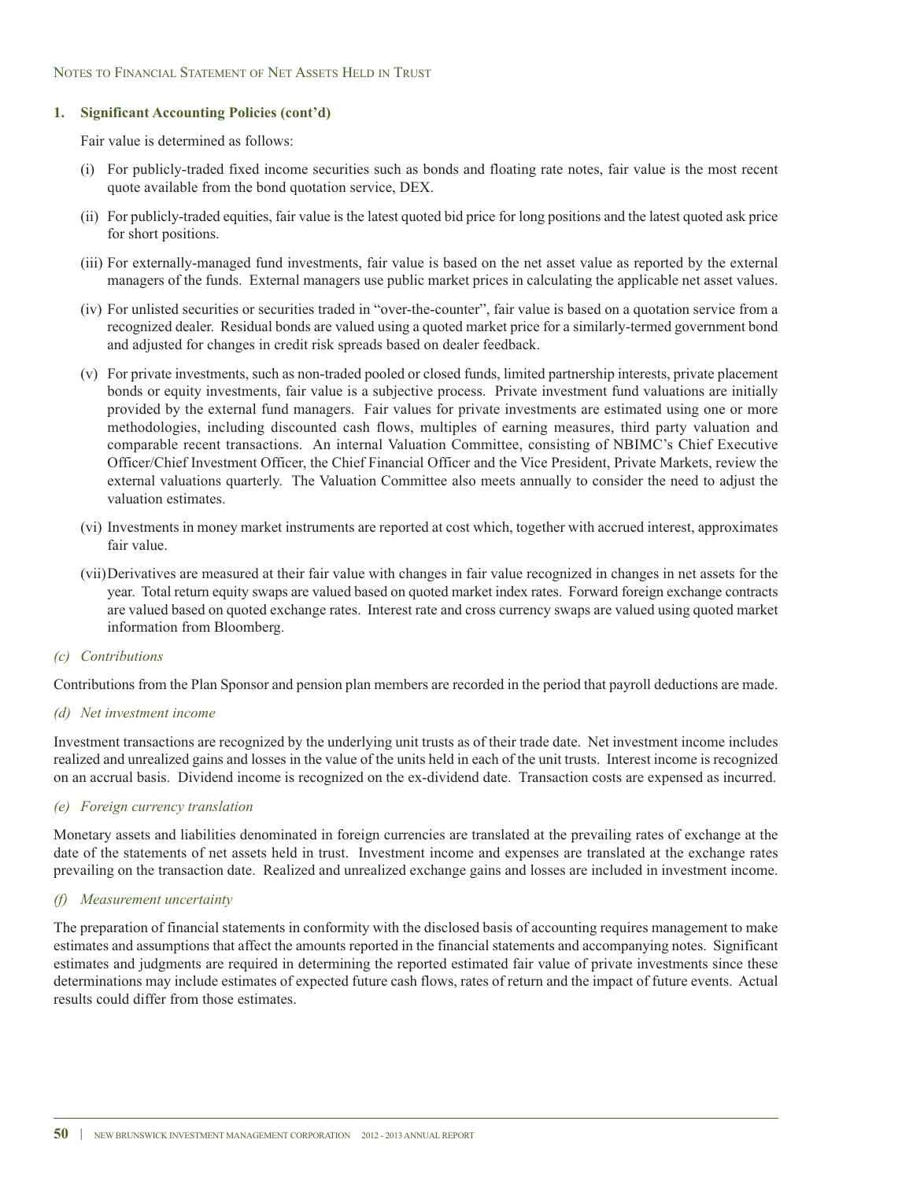### **1. Significant Accounting Policies (cont'd)**

Fair value is determined as follows:

- (i) For publicly-traded fixed income securities such as bonds and floating rate notes, fair value is the most recent quote available from the bond quotation service, DEX.
- (ii) For publicly-traded equities, fair value is the latest quoted bid price for long positions and the latest quoted ask price for short positions.
- (iii) For externally-managed fund investments, fair value is based on the net asset value as reported by the external managers of the funds. External managers use public market prices in calculating the applicable net asset values.
- (iv) For unlisted securities or securities traded in "over-the-counter", fair value is based on a quotation service from a recognized dealer. Residual bonds are valued using a quoted market price for a similarly-termed government bond and adjusted for changes in credit risk spreads based on dealer feedback.
- (v) For private investments, such as non-traded pooled or closed funds, limited partnership interests, private placement bonds or equity investments, fair value is a subjective process. Private investment fund valuations are initially provided by the external fund managers. Fair values for private investments are estimated using one or more methodologies, including discounted cash flows, multiples of earning measures, third party valuation and comparable recent transactions. An internal Valuation Committee, consisting of NBIMC's Chief Executive Officer/Chief Investment Officer, the Chief Financial Officer and the Vice President, Private Markets, review the external valuations quarterly. The Valuation Committee also meets annually to consider the need to adjust the valuation estimates.
- (vi) Investments in money market instruments are reported at cost which, together with accrued interest, approximates fair value.
- (vii)Derivatives are measured at their fair value with changes in fair value recognized in changes in net assets for the year. Total return equity swaps are valued based on quoted market index rates. Forward foreign exchange contracts are valued based on quoted exchange rates. Interest rate and cross currency swaps are valued using quoted market information from Bloomberg.
- *(c) Contributions*

Contributions from the Plan Sponsor and pension plan members are recorded in the period that payroll deductions are made.

*(d) Net investment income*

Investment transactions are recognized by the underlying unit trusts as of their trade date. Net investment income includes realized and unrealized gains and losses in the value of the units held in each of the unit trusts. Interest income is recognized on an accrual basis. Dividend income is recognized on the ex-dividend date. Transaction costs are expensed as incurred.

*(e) Foreign currency translation*

Monetary assets and liabilities denominated in foreign currencies are translated at the prevailing rates of exchange at the date of the statements of net assets held in trust. Investment income and expenses are translated at the exchange rates prevailing on the transaction date. Realized and unrealized exchange gains and losses are included in investment income.

### *(f) Measurement uncertainty*

The preparation of financial statements in conformity with the disclosed basis of accounting requires management to make estimates and assumptions that affect the amounts reported in the financial statements and accompanying notes. Significant estimates and judgments are required in determining the reported estimated fair value of private investments since these determinations may include estimates of expected future cash flows, rates of return and the impact of future events. Actual results could differ from those estimates.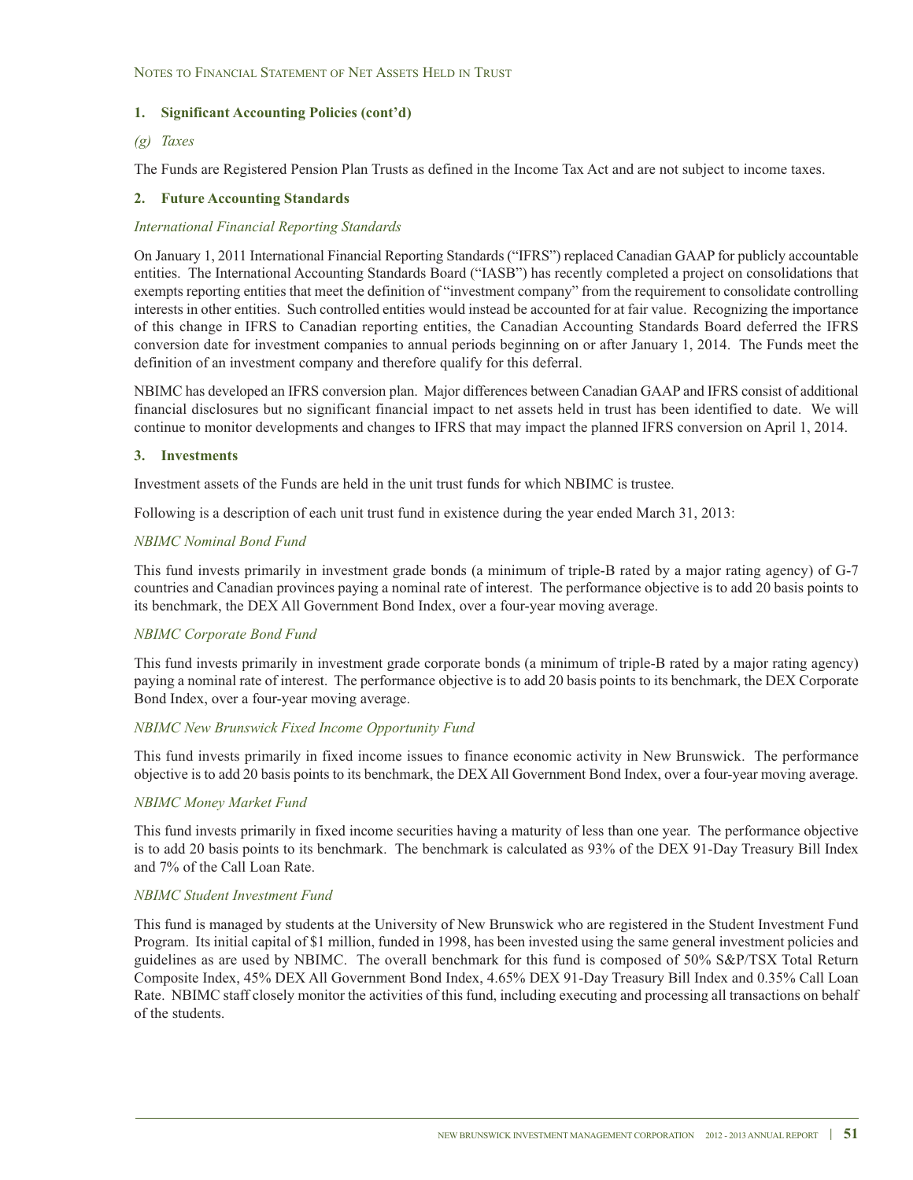### **1. Significant Accounting Policies (cont'd)**

### *(g) Taxes*

The Funds are Registered Pension Plan Trusts as defined in the Income Tax Act and are not subject to income taxes.

### **2. Future Accounting Standards**

### *International Financial Reporting Standards*

On January 1, 2011 International Financial Reporting Standards ("IFRS") replaced Canadian GAAP for publicly accountable entities. The International Accounting Standards Board ("IASB") has recently completed a project on consolidations that exempts reporting entities that meet the definition of "investment company" from the requirement to consolidate controlling interests in other entities. Such controlled entities would instead be accounted for at fair value. Recognizing the importance of this change in IFRS to Canadian reporting entities, the Canadian Accounting Standards Board deferred the IFRS conversion date for investment companies to annual periods beginning on or after January 1, 2014. The Funds meet the definition of an investment company and therefore qualify for this deferral.

NBIMC has developed an IFRS conversion plan. Major differences between Canadian GAAP and IFRS consist of additional financial disclosures but no significant financial impact to net assets held in trust has been identified to date. We will continue to monitor developments and changes to IFRS that may impact the planned IFRS conversion on April 1, 2014.

### **3. Investments**

Investment assets of the Funds are held in the unit trust funds for which NBIMC is trustee.

Following is a description of each unit trust fund in existence during the year ended March 31, 2013:

### *NBIMC Nominal Bond Fund*

This fund invests primarily in investment grade bonds (a minimum of triple-B rated by a major rating agency) of G-7 countries and Canadian provinces paying a nominal rate of interest. The performance objective is to add 20 basis points to its benchmark, the DEX All Government Bond Index, over a four-year moving average.

### *NBIMC Corporate Bond Fund*

This fund invests primarily in investment grade corporate bonds (a minimum of triple-B rated by a major rating agency) paying a nominal rate of interest. The performance objective is to add 20 basis points to its benchmark, the DEX Corporate Bond Index, over a four-year moving average.

### *NBIMC New Brunswick Fixed Income Opportunity Fund*

This fund invests primarily in fixed income issues to finance economic activity in New Brunswick. The performance objective is to add 20 basis points to its benchmark, the DEX All Government Bond Index, over a four-year moving average.

### *NBIMC Money Market Fund*

This fund invests primarily in fixed income securities having a maturity of less than one year. The performance objective is to add 20 basis points to its benchmark. The benchmark is calculated as 93% of the DEX 91-Day Treasury Bill Index and 7% of the Call Loan Rate.

### *NBIMC Student Investment Fund*

This fund is managed by students at the University of New Brunswick who are registered in the Student Investment Fund Program. Its initial capital of \$1 million, funded in 1998, has been invested using the same general investment policies and guidelines as are used by NBIMC. The overall benchmark for this fund is composed of 50% S&P/TSX Total Return Composite Index, 45% DEX All Government Bond Index, 4.65% DEX 91-Day Treasury Bill Index and 0.35% Call Loan Rate. NBIMC staff closely monitor the activities of this fund, including executing and processing all transactions on behalf of the students.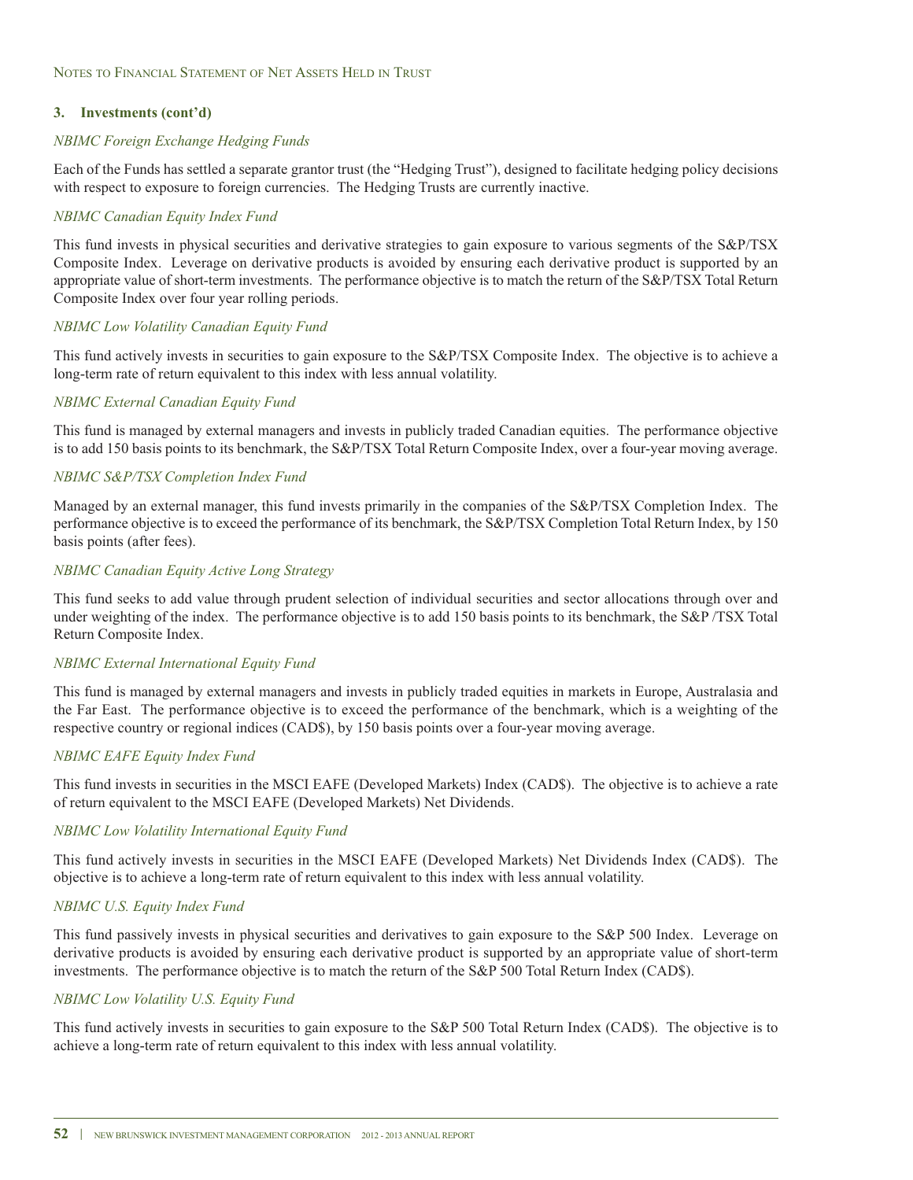### *NBIMC Foreign Exchange Hedging Funds*

Each of the Funds has settled a separate grantor trust (the "Hedging Trust"), designed to facilitate hedging policy decisions with respect to exposure to foreign currencies. The Hedging Trusts are currently inactive.

### *NBIMC Canadian Equity Index Fund*

This fund invests in physical securities and derivative strategies to gain exposure to various segments of the S&P/TSX Composite Index. Leverage on derivative products is avoided by ensuring each derivative product is supported by an appropriate value of short-term investments. The performance objective is to match the return of the S&P/TSX Total Return Composite Index over four year rolling periods.

### *NBIMC Low Volatility Canadian Equity Fund*

This fund actively invests in securities to gain exposure to the S&P/TSX Composite Index. The objective is to achieve a long-term rate of return equivalent to this index with less annual volatility.

### *NBIMC External Canadian Equity Fund*

This fund is managed by external managers and invests in publicly traded Canadian equities. The performance objective is to add 150 basis points to its benchmark, the S&P/TSX Total Return Composite Index, over a four-year moving average.

### *NBIMC S&P/TSX Completion Index Fund*

Managed by an external manager, this fund invests primarily in the companies of the S&P/TSX Completion Index. The performance objective is to exceed the performance of its benchmark, the S&P/TSX Completion Total Return Index, by 150 basis points (after fees).

### *NBIMC Canadian Equity Active Long Strategy*

This fund seeks to add value through prudent selection of individual securities and sector allocations through over and under weighting of the index. The performance objective is to add 150 basis points to its benchmark, the S&P/TSX Total Return Composite Index.

### *NBIMC External International Equity Fund*

This fund is managed by external managers and invests in publicly traded equities in markets in Europe, Australasia and the Far East. The performance objective is to exceed the performance of the benchmark, which is a weighting of the respective country or regional indices (CAD\$), by 150 basis points over a four-year moving average.

### *NBIMC EAFE Equity Index Fund*

This fund invests in securities in the MSCI EAFE (Developed Markets) Index (CAD\$). The objective is to achieve a rate of return equivalent to the MSCI EAFE (Developed Markets) Net Dividends.

### *NBIMC Low Volatility International Equity Fund*

This fund actively invests in securities in the MSCI EAFE (Developed Markets) Net Dividends Index (CAD\$). The objective is to achieve a long-term rate of return equivalent to this index with less annual volatility.

### *NBIMC U.S. Equity Index Fund*

This fund passively invests in physical securities and derivatives to gain exposure to the S&P 500 Index. Leverage on derivative products is avoided by ensuring each derivative product is supported by an appropriate value of short-term investments. The performance objective is to match the return of the S&P 500 Total Return Index (CAD\$).

### *NBIMC Low Volatility U.S. Equity Fund*

This fund actively invests in securities to gain exposure to the S&P 500 Total Return Index (CAD\$). The objective is to achieve a long-term rate of return equivalent to this index with less annual volatility.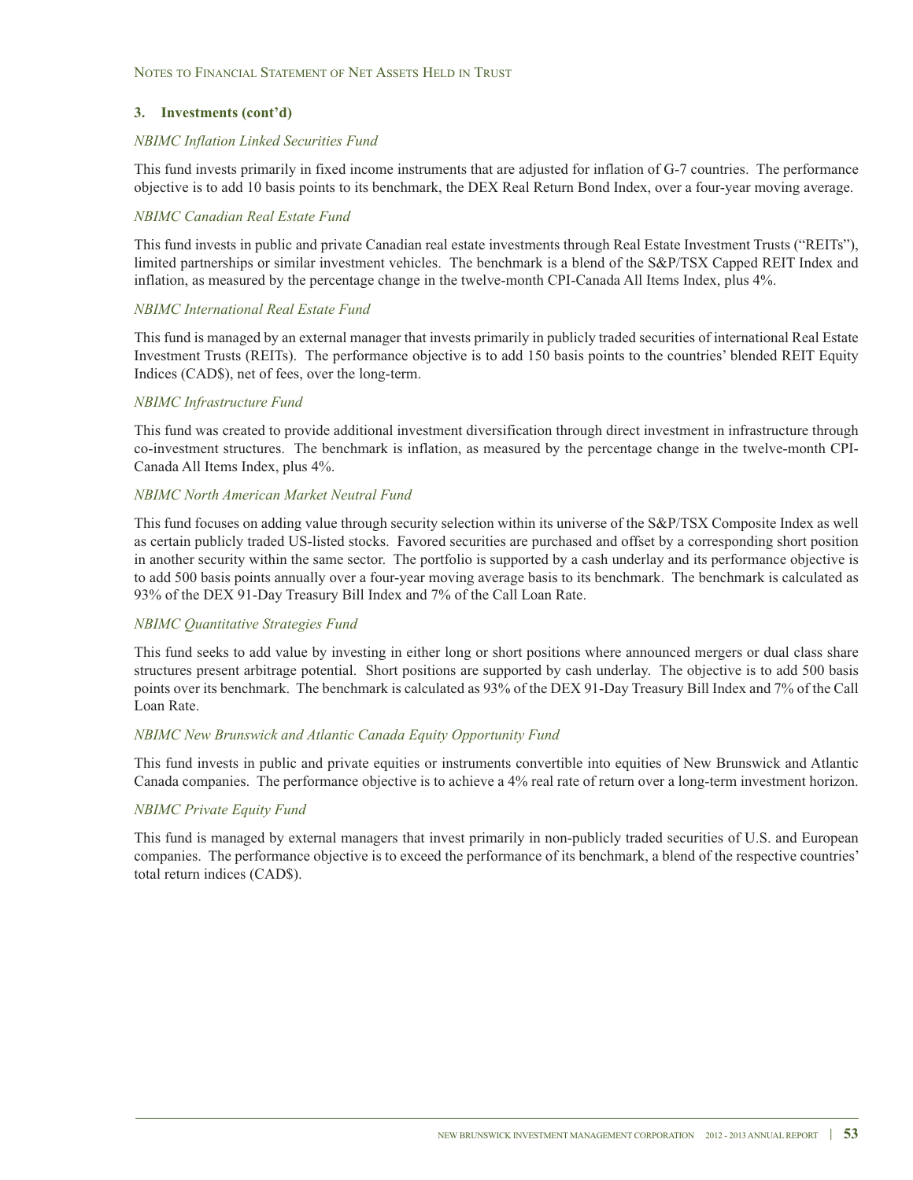#### *NBIMC Inflation Linked Securities Fund*

This fund invests primarily in fixed income instruments that are adjusted for inflation of G-7 countries. The performance objective is to add 10 basis points to its benchmark, the DEX Real Return Bond Index, over a four-year moving average.

#### *NBIMC Canadian Real Estate Fund*

This fund invests in public and private Canadian real estate investments through Real Estate Investment Trusts ("REITs"), limited partnerships or similar investment vehicles. The benchmark is a blend of the S&P/TSX Capped REIT Index and inflation, as measured by the percentage change in the twelve-month CPI-Canada All Items Index, plus 4%.

#### *NBIMC International Real Estate Fund*

This fund is managed by an external manager that invests primarily in publicly traded securities of international Real Estate Investment Trusts (REITs). The performance objective is to add 150 basis points to the countries' blended REIT Equity Indices (CAD\$), net of fees, over the long-term.

### *NBIMC Infrastructure Fund*

This fund was created to provide additional investment diversification through direct investment in infrastructure through co-investment structures. The benchmark is inflation, as measured by the percentage change in the twelve-month CPI-Canada All Items Index, plus 4%.

#### *NBIMC North American Market Neutral Fund*

This fund focuses on adding value through security selection within its universe of the S&P/TSX Composite Index as well as certain publicly traded US-listed stocks. Favored securities are purchased and offset by a corresponding short position in another security within the same sector. The portfolio is supported by a cash underlay and its performance objective is to add 500 basis points annually over a four-year moving average basis to its benchmark. The benchmark is calculated as 93% of the DEX 91-Day Treasury Bill Index and 7% of the Call Loan Rate.

#### *NBIMC Quantitative Strategies Fund*

This fund seeks to add value by investing in either long or short positions where announced mergers or dual class share structures present arbitrage potential. Short positions are supported by cash underlay. The objective is to add 500 basis points over its benchmark. The benchmark is calculated as 93% of the DEX 91-Day Treasury Bill Index and 7% of the Call Loan Rate.

#### *NBIMC New Brunswick and Atlantic Canada Equity Opportunity Fund*

This fund invests in public and private equities or instruments convertible into equities of New Brunswick and Atlantic Canada companies. The performance objective is to achieve a 4% real rate of return over a long-term investment horizon.

#### *NBIMC Private Equity Fund*

This fund is managed by external managers that invest primarily in non-publicly traded securities of U.S. and European companies. The performance objective is to exceed the performance of its benchmark, a blend of the respective countries' total return indices (CAD\$).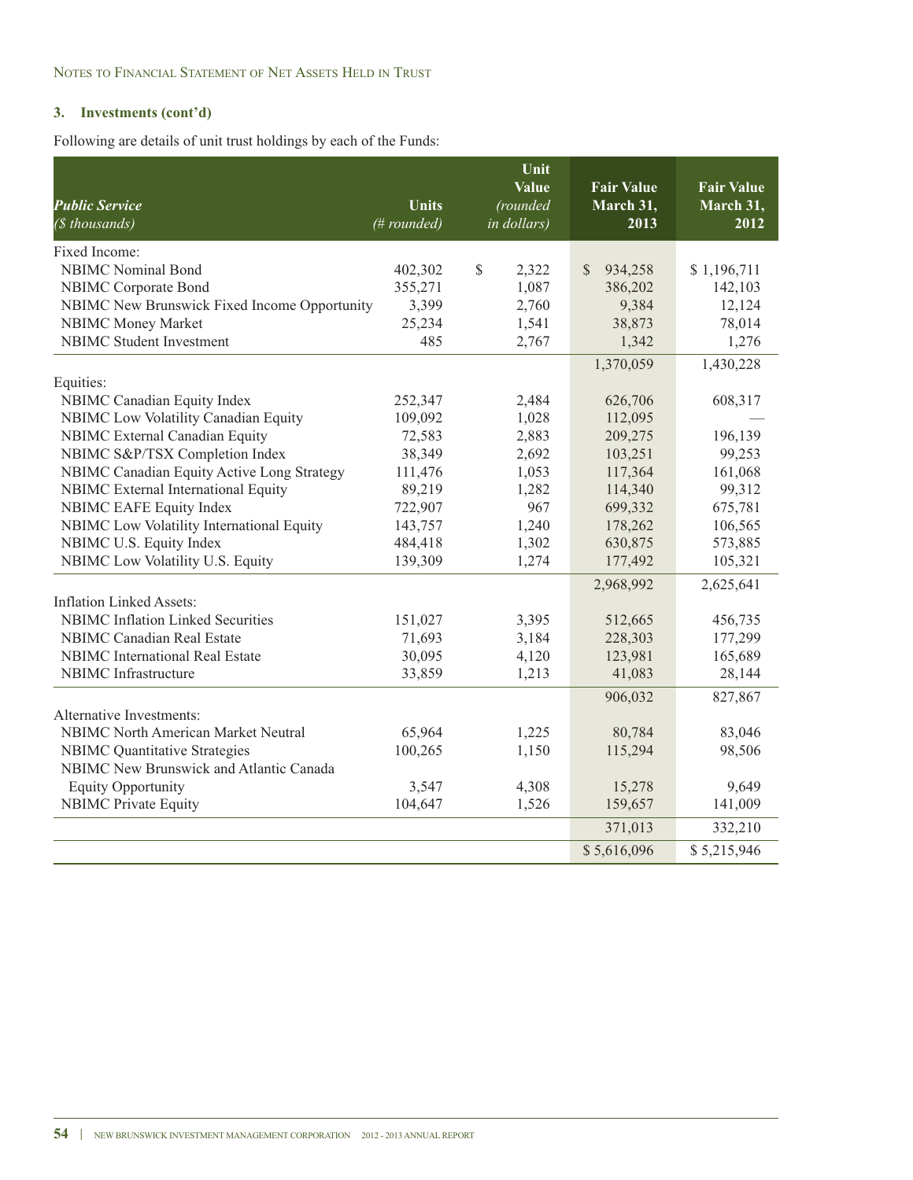Following are details of unit trust holdings by each of the Funds:

| <b>Public Service</b>                        | <b>Units</b> | Unit<br><b>Value</b><br>(rounded | <b>Fair Value</b><br>March 31, | <b>Fair Value</b><br>March 31, |
|----------------------------------------------|--------------|----------------------------------|--------------------------------|--------------------------------|
| (\$ thousands)                               | (# rounded)  | in dollars)                      | 2013                           | 2012                           |
| Fixed Income:                                |              |                                  |                                |                                |
| <b>NBIMC</b> Nominal Bond                    | 402,302      | \$<br>2,322                      | $\mathbb{S}$<br>934,258        | \$1,196,711                    |
| NBIMC Corporate Bond                         | 355,271      | 1,087                            | 386,202                        | 142,103                        |
| NBIMC New Brunswick Fixed Income Opportunity | 3,399        | 2,760                            | 9,384                          | 12,124                         |
| NBIMC Money Market                           | 25,234       | 1,541                            | 38,873                         | 78,014                         |
| <b>NBIMC</b> Student Investment              | 485          | 2,767                            | 1,342                          | 1,276                          |
|                                              |              |                                  | 1,370,059                      | 1,430,228                      |
| Equities:                                    |              |                                  |                                |                                |
| NBIMC Canadian Equity Index                  | 252,347      | 2,484                            | 626,706                        | 608,317                        |
| NBIMC Low Volatility Canadian Equity         | 109,092      | 1,028                            | 112,095                        |                                |
| NBIMC External Canadian Equity               | 72,583       | 2,883                            | 209,275                        | 196,139                        |
| NBIMC S&P/TSX Completion Index               | 38,349       | 2,692                            | 103,251                        | 99,253                         |
| NBIMC Canadian Equity Active Long Strategy   | 111,476      | 1,053                            | 117,364                        | 161,068                        |
| NBIMC External International Equity          | 89,219       | 1,282                            | 114,340                        | 99,312                         |
| NBIMC EAFE Equity Index                      | 722,907      | 967                              | 699,332                        | 675,781                        |
| NBIMC Low Volatility International Equity    | 143,757      | 1,240                            | 178,262                        | 106,565                        |
| NBIMC U.S. Equity Index                      | 484,418      | 1,302                            | 630,875                        | 573,885                        |
| NBIMC Low Volatility U.S. Equity             | 139,309      | 1,274                            | 177,492                        | 105,321                        |
|                                              |              |                                  | 2,968,992                      | 2,625,641                      |
| <b>Inflation Linked Assets:</b>              |              |                                  |                                |                                |
| <b>NBIMC</b> Inflation Linked Securities     | 151,027      | 3,395                            | 512,665                        | 456,735                        |
| <b>NBIMC</b> Canadian Real Estate            | 71,693       | 3,184                            | 228,303                        | 177,299                        |
| <b>NBIMC</b> International Real Estate       | 30,095       | 4,120                            | 123,981                        | 165,689                        |
| <b>NBIMC</b> Infrastructure                  | 33,859       | 1,213                            | 41,083                         | 28,144                         |
|                                              |              |                                  | 906,032                        | 827,867                        |
| Alternative Investments:                     |              |                                  |                                |                                |
| <b>NBIMC North American Market Neutral</b>   | 65,964       | 1,225                            | 80,784                         | 83,046                         |
| <b>NBIMC</b> Quantitative Strategies         | 100,265      | 1,150                            | 115,294                        | 98,506                         |
| NBIMC New Brunswick and Atlantic Canada      |              |                                  |                                |                                |
| <b>Equity Opportunity</b>                    | 3,547        | 4,308                            | 15,278                         | 9,649                          |
| <b>NBIMC</b> Private Equity                  | 104,647      | 1,526                            | 159,657                        | 141,009                        |
|                                              |              |                                  | 371,013                        | 332,210                        |
|                                              |              |                                  | \$5,616,096                    | \$5,215,946                    |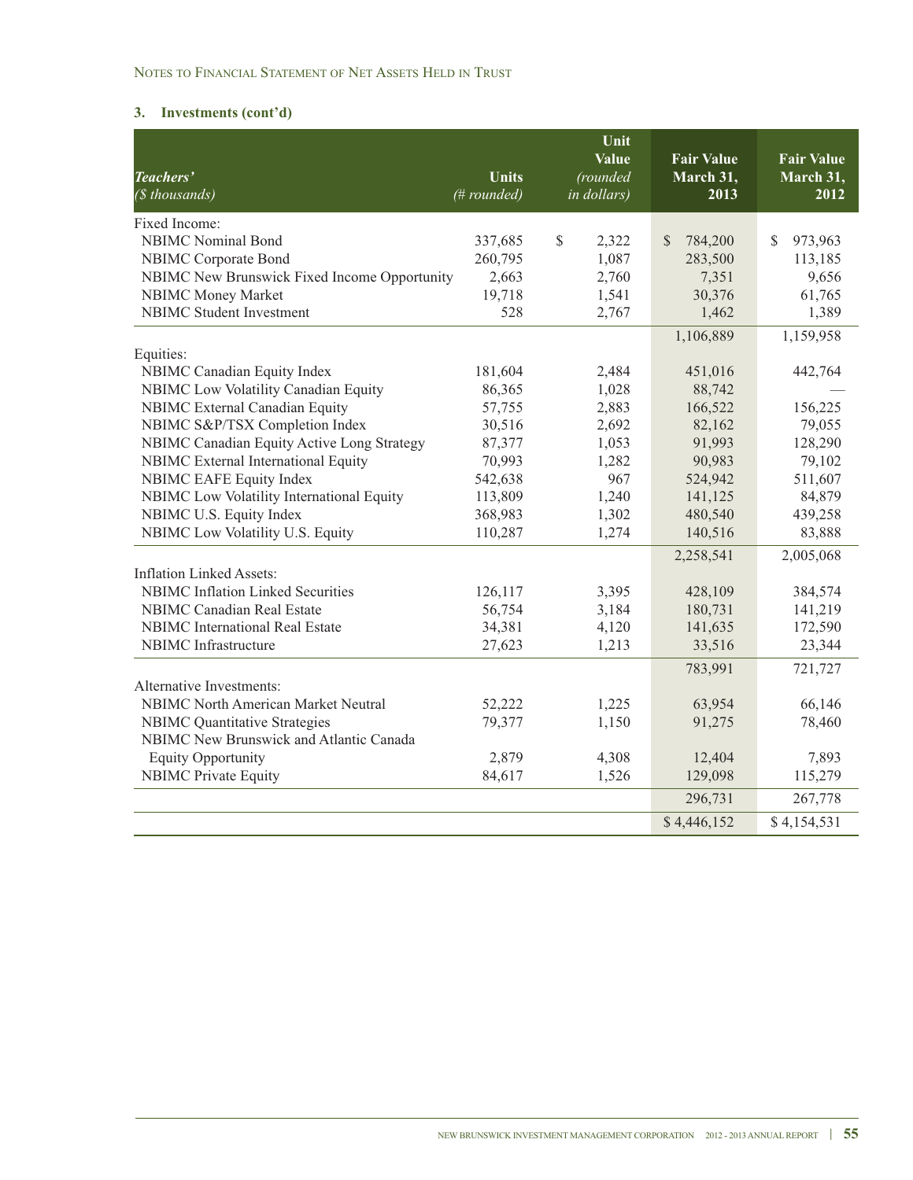### NOTES TO FINANCIAL STATEMENT OF NET ASSETS HELD IN TRUST

# **3. Investments (cont'd)**

| Teachers'                                    | <b>Units</b> | Unit<br><b>Value</b><br>(rounded | <b>Fair Value</b><br>March 31, | <b>Fair Value</b><br>March 31, |
|----------------------------------------------|--------------|----------------------------------|--------------------------------|--------------------------------|
| (\$ thousands)                               | (# rounded)  | in dollars)                      | 2013                           | 2012                           |
| Fixed Income:                                |              |                                  |                                |                                |
| <b>NBIMC</b> Nominal Bond                    | 337,685      | $\mathbb{S}$<br>2,322            | <sup>\$</sup><br>784,200       | 973,963<br>\$                  |
| NBIMC Corporate Bond                         | 260,795      | 1,087                            | 283,500                        | 113,185                        |
| NBIMC New Brunswick Fixed Income Opportunity | 2,663        | 2,760                            | 7,351                          | 9,656                          |
| NBIMC Money Market                           | 19,718       | 1,541                            | 30,376                         | 61,765                         |
| <b>NBIMC</b> Student Investment              | 528          | 2,767                            | 1,462                          | 1,389                          |
|                                              |              |                                  | 1,106,889                      | 1,159,958                      |
| Equities:                                    |              |                                  |                                |                                |
| NBIMC Canadian Equity Index                  | 181,604      | 2,484                            | 451,016                        | 442,764                        |
| NBIMC Low Volatility Canadian Equity         | 86,365       | 1,028                            | 88,742                         |                                |
| NBIMC External Canadian Equity               | 57,755       | 2,883                            | 166,522                        | 156,225                        |
| NBIMC S&P/TSX Completion Index               | 30,516       | 2,692                            | 82,162                         | 79,055                         |
| NBIMC Canadian Equity Active Long Strategy   | 87,377       | 1,053                            | 91,993                         | 128,290                        |
| NBIMC External International Equity          | 70,993       | 1,282                            | 90,983                         | 79,102                         |
| <b>NBIMC EAFE Equity Index</b>               | 542,638      | 967                              | 524,942                        | 511,607                        |
| NBIMC Low Volatility International Equity    | 113,809      | 1,240                            | 141,125                        | 84,879                         |
| NBIMC U.S. Equity Index                      | 368,983      | 1,302                            | 480,540                        | 439,258                        |
| NBIMC Low Volatility U.S. Equity             | 110,287      | 1,274                            | 140,516                        | 83,888                         |
|                                              |              |                                  | 2,258,541                      | 2,005,068                      |
| <b>Inflation Linked Assets:</b>              |              |                                  |                                |                                |
| <b>NBIMC</b> Inflation Linked Securities     | 126,117      | 3,395                            | 428,109                        | 384,574                        |
| <b>NBIMC</b> Canadian Real Estate            | 56,754       | 3,184                            | 180,731                        | 141,219                        |
| <b>NBIMC</b> International Real Estate       | 34,381       | 4,120                            | 141,635                        | 172,590                        |
| <b>NBIMC</b> Infrastructure                  | 27,623       | 1,213                            | 33,516                         | 23,344                         |
|                                              |              |                                  | 783,991                        | 721,727                        |
| Alternative Investments:                     |              |                                  |                                |                                |
| <b>NBIMC North American Market Neutral</b>   | 52,222       | 1,225                            | 63,954                         | 66,146                         |
| <b>NBIMC</b> Quantitative Strategies         | 79,377       | 1,150                            | 91,275                         | 78,460                         |
| NBIMC New Brunswick and Atlantic Canada      |              |                                  |                                |                                |
| <b>Equity Opportunity</b>                    | 2,879        | 4,308                            | 12,404                         | 7,893                          |
| <b>NBIMC</b> Private Equity                  | 84,617       | 1,526                            | 129,098                        | 115,279                        |
|                                              |              |                                  | 296,731                        | 267,778                        |
|                                              |              |                                  | \$4,446,152                    | \$4,154,531                    |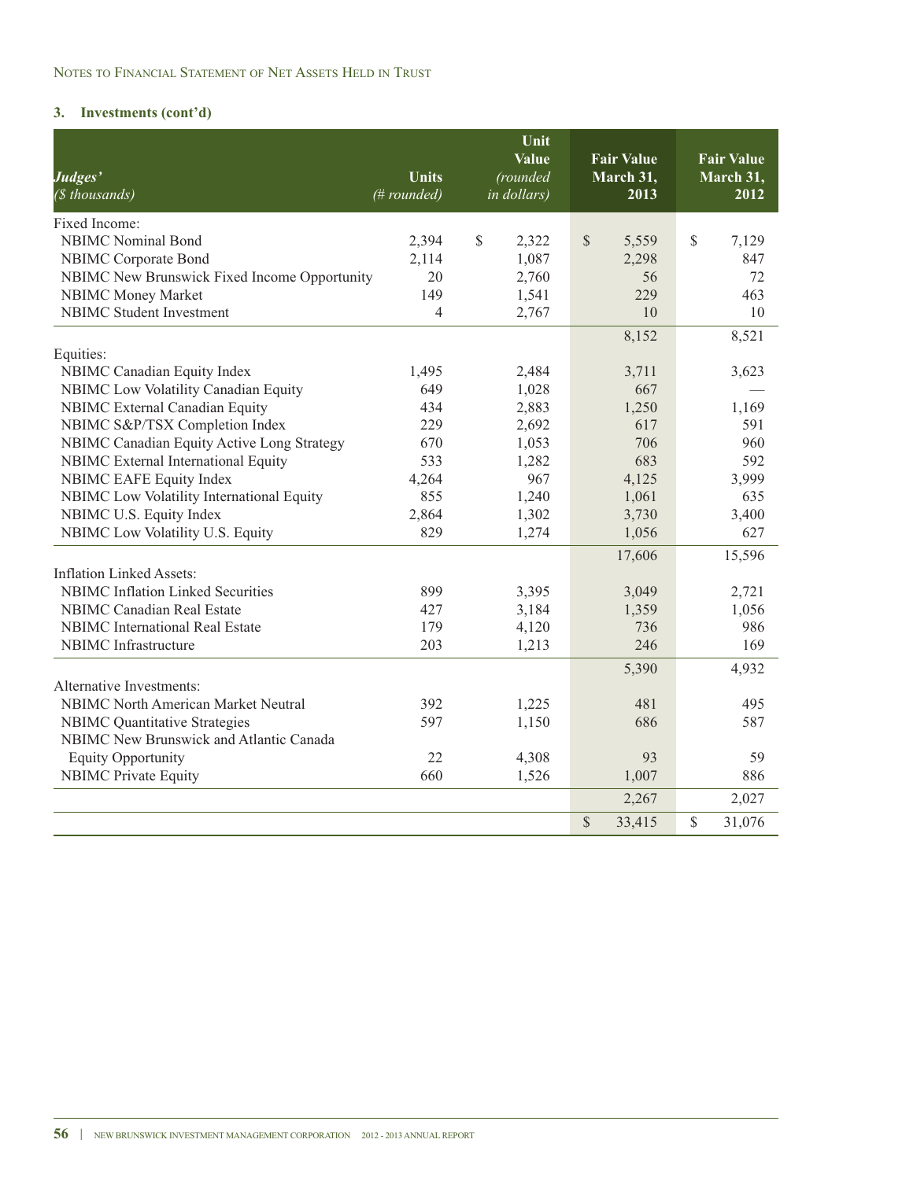| Judges'<br>(\$ thousands)                                                   | <b>Units</b><br>(# rounded) | Unit<br><b>Value</b><br>(rounded<br>in dollars) | <b>Fair Value</b><br>March 31,<br>2013 | <b>Fair Value</b><br>March 31,<br>2012 |
|-----------------------------------------------------------------------------|-----------------------------|-------------------------------------------------|----------------------------------------|----------------------------------------|
| Fixed Income:                                                               |                             |                                                 |                                        |                                        |
| <b>NBIMC</b> Nominal Bond                                                   | 2,394                       | \$<br>2,322                                     | \$<br>5,559                            | \$<br>7,129                            |
| NBIMC Corporate Bond                                                        | 2,114                       | 1,087                                           | 2,298                                  | 847                                    |
| NBIMC New Brunswick Fixed Income Opportunity                                | 20                          | 2,760                                           | 56                                     | 72                                     |
| <b>NBIMC Money Market</b>                                                   | 149                         | 1,541                                           | 229                                    | 463                                    |
| <b>NBIMC</b> Student Investment                                             | 4                           | 2,767                                           | 10                                     | 10                                     |
|                                                                             |                             |                                                 | 8,152                                  | 8,521                                  |
| Equities:<br>NBIMC Canadian Equity Index                                    | 1,495                       | 2,484                                           | 3,711                                  | 3,623                                  |
| NBIMC Low Volatility Canadian Equity                                        | 649                         | 1,028                                           | 667                                    |                                        |
| <b>NBIMC</b> External Canadian Equity                                       | 434                         | 2,883                                           | 1,250                                  | 1,169                                  |
| NBIMC S&P/TSX Completion Index                                              | 229                         | 2,692                                           | 617                                    | 591                                    |
| NBIMC Canadian Equity Active Long Strategy                                  | 670                         | 1,053                                           | 706                                    | 960                                    |
| NBIMC External International Equity                                         | 533                         | 1,282                                           | 683                                    | 592                                    |
| NBIMC EAFE Equity Index                                                     | 4,264                       | 967                                             | 4,125                                  | 3,999                                  |
| NBIMC Low Volatility International Equity                                   | 855                         | 1,240                                           | 1,061                                  | 635                                    |
| NBIMC U.S. Equity Index                                                     | 2,864                       | 1,302                                           | 3,730                                  | 3,400                                  |
| NBIMC Low Volatility U.S. Equity                                            | 829                         | 1,274                                           | 1,056                                  | 627                                    |
|                                                                             |                             |                                                 | 17,606                                 | 15,596                                 |
| <b>Inflation Linked Assets:</b>                                             |                             |                                                 |                                        |                                        |
| <b>NBIMC</b> Inflation Linked Securities                                    | 899                         | 3,395                                           | 3,049                                  | 2,721                                  |
| <b>NBIMC</b> Canadian Real Estate<br><b>NBIMC</b> International Real Estate | 427                         | 3,184                                           | 1,359                                  | 1,056                                  |
| <b>NBIMC</b> Infrastructure                                                 | 179                         | 4,120                                           | 736<br>246                             | 986                                    |
|                                                                             | 203                         | 1,213                                           |                                        | 169                                    |
| Alternative Investments:                                                    |                             |                                                 | 5,390                                  | 4,932                                  |
| <b>NBIMC North American Market Neutral</b>                                  | 392                         | 1,225                                           | 481                                    | 495                                    |
| <b>NBIMC Quantitative Strategies</b>                                        | 597                         | 1,150                                           | 686                                    | 587                                    |
| NBIMC New Brunswick and Atlantic Canada                                     |                             |                                                 |                                        |                                        |
| <b>Equity Opportunity</b>                                                   | 22                          | 4,308                                           | 93                                     | 59                                     |
| <b>NBIMC</b> Private Equity                                                 | 660                         | 1,526                                           | 1,007                                  | 886                                    |
|                                                                             |                             |                                                 | 2,267                                  | 2,027                                  |
|                                                                             |                             |                                                 | $\mathbb{S}$<br>33,415                 | $\mathbb{S}$<br>31,076                 |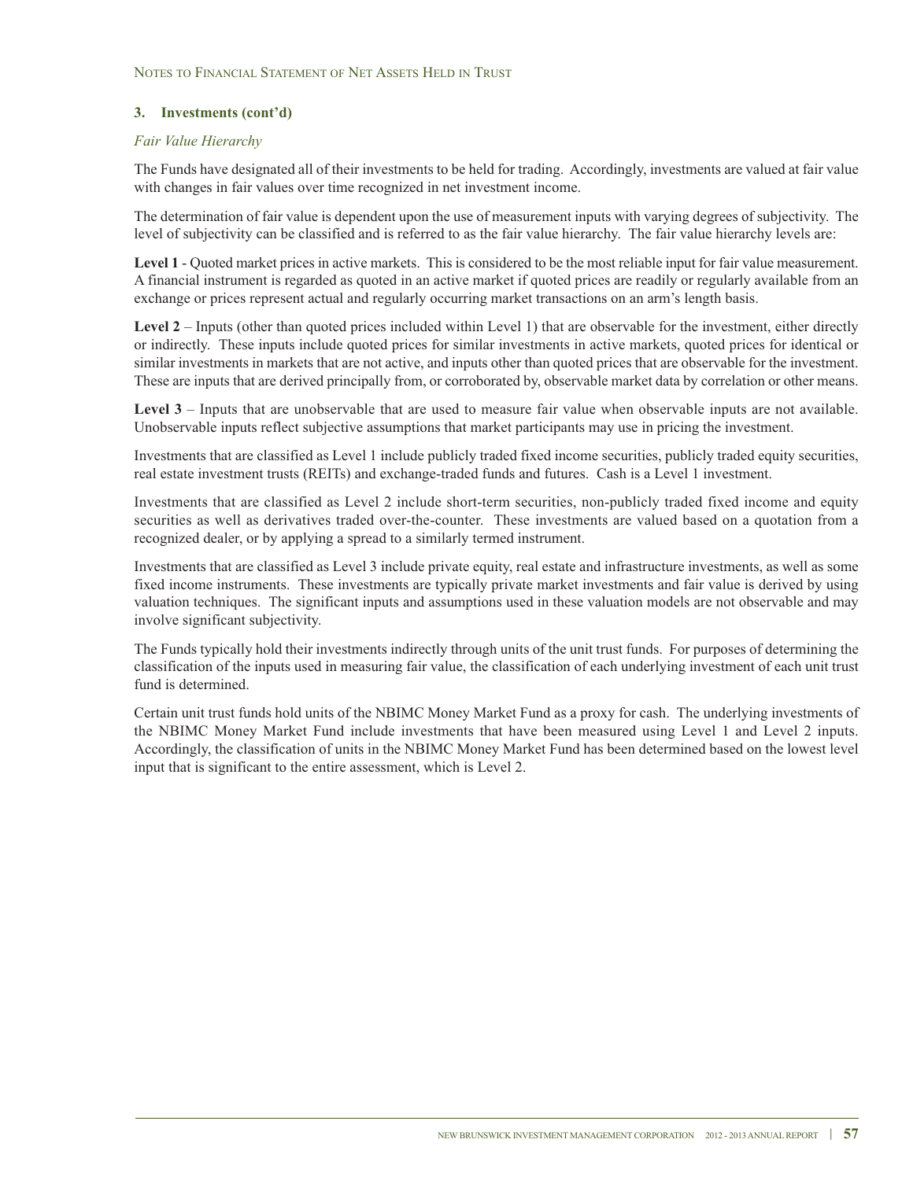### *Fair Value Hierarchy*

The Funds have designated all of their investments to be held for trading. Accordingly, investments are valued at fair value with changes in fair values over time recognized in net investment income.

The determination of fair value is dependent upon the use of measurement inputs with varying degrees of subjectivity. The level of subjectivity can be classified and is referred to as the fair value hierarchy. The fair value hierarchy levels are:

**Level 1** - Quoted market prices in active markets. This is considered to be the most reliable input for fair value measurement. A financial instrument is regarded as quoted in an active market if quoted prices are readily or regularly available from an exchange or prices represent actual and regularly occurring market transactions on an arm's length basis.

**Level 2** – Inputs (other than quoted prices included within Level 1) that are observable for the investment, either directly or indirectly. These inputs include quoted prices for similar investments in active markets, quoted prices for identical or similar investments in markets that are not active, and inputs other than quoted prices that are observable for the investment. These are inputs that are derived principally from, or corroborated by, observable market data by correlation or other means.

**Level 3** – Inputs that are unobservable that are used to measure fair value when observable inputs are not available. Unobservable inputs reflect subjective assumptions that market participants may use in pricing the investment.

Investments that are classified as Level 1 include publicly traded fixed income securities, publicly traded equity securities, real estate investment trusts (REITs) and exchange-traded funds and futures. Cash is a Level 1 investment.

Investments that are classified as Level 2 include short-term securities, non-publicly traded fixed income and equity securities as well as derivatives traded over-the-counter. These investments are valued based on a quotation from a recognized dealer, or by applying a spread to a similarly termed instrument.

Investments that are classified as Level 3 include private equity, real estate and infrastructure investments, as well as some fixed income instruments. These investments are typically private market investments and fair value is derived by using valuation techniques. The significant inputs and assumptions used in these valuation models are not observable and may involve significant subjectivity.

The Funds typically hold their investments indirectly through units of the unit trust funds. For purposes of determining the classification of the inputs used in measuring fair value, the classification of each underlying investment of each unit trust fund is determined.

Certain unit trust funds hold units of the NBIMC Money Market Fund as a proxy for cash. The underlying investments of the NBIMC Money Market Fund include investments that have been measured using Level 1 and Level 2 inputs. Accordingly, the classification of units in the NBIMC Money Market Fund has been determined based on the lowest level input that is significant to the entire assessment, which is Level 2.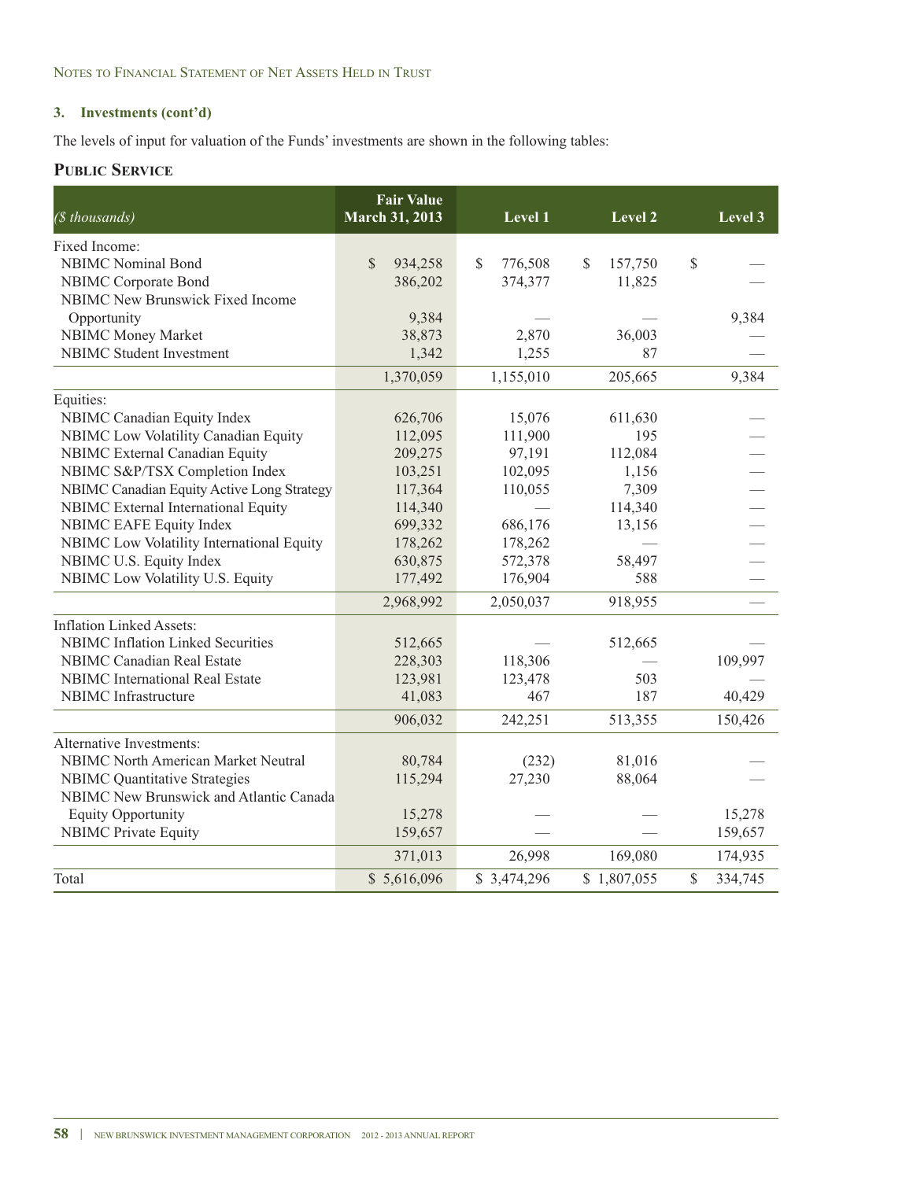The levels of input for valuation of the Funds' investments are shown in the following tables:

### **PUBLIC SERVICE**

| (\$ thousands)                             | <b>Fair Value</b><br>March 31, 2013 | Level 1       | Level 2       | Level 3       |  |
|--------------------------------------------|-------------------------------------|---------------|---------------|---------------|--|
| Fixed Income:                              |                                     |               |               |               |  |
| <b>NBIMC</b> Nominal Bond                  | $\mathbb{S}$<br>934,258             | \$<br>776,508 | 157,750<br>\$ | \$            |  |
| NBIMC Corporate Bond                       | 386,202                             | 374,377       | 11,825        |               |  |
| NBIMC New Brunswick Fixed Income           |                                     |               |               |               |  |
| Opportunity                                | 9,384                               |               |               | 9,384         |  |
| <b>NBIMC Money Market</b>                  | 38,873                              | 2,870         | 36,003        |               |  |
| <b>NBIMC</b> Student Investment            | 1,342                               | 1,255         | 87            |               |  |
|                                            | 1,370,059                           | 1,155,010     | 205,665       | 9,384         |  |
| Equities:                                  |                                     |               |               |               |  |
| NBIMC Canadian Equity Index                | 626,706                             | 15,076        | 611,630       |               |  |
| NBIMC Low Volatility Canadian Equity       | 112,095                             | 111,900       | 195           |               |  |
| NBIMC External Canadian Equity             | 209,275                             | 97,191        | 112,084       |               |  |
| NBIMC S&P/TSX Completion Index             | 103,251                             | 102,095       | 1,156         |               |  |
| NBIMC Canadian Equity Active Long Strategy | 117,364                             | 110,055       | 7,309         |               |  |
| NBIMC External International Equity        | 114,340                             |               | 114,340       |               |  |
| NBIMC EAFE Equity Index                    | 699,332                             | 686,176       | 13,156        |               |  |
| NBIMC Low Volatility International Equity  | 178,262                             | 178,262       |               |               |  |
| NBIMC U.S. Equity Index                    | 630,875                             | 572,378       | 58,497        |               |  |
| NBIMC Low Volatility U.S. Equity           | 177,492                             | 176,904       | 588           |               |  |
|                                            | 2,968,992                           | 2,050,037     | 918,955       |               |  |
| <b>Inflation Linked Assets:</b>            |                                     |               |               |               |  |
| <b>NBIMC</b> Inflation Linked Securities   | 512,665                             |               | 512,665       |               |  |
| <b>NBIMC</b> Canadian Real Estate          | 228,303                             | 118,306       |               | 109,997       |  |
| <b>NBIMC</b> International Real Estate     | 123,981                             | 123,478       | 503           |               |  |
| NBIMC Infrastructure                       | 41,083                              | 467           | 187           | 40,429        |  |
|                                            | 906,032                             | 242,251       | 513,355       | 150,426       |  |
| Alternative Investments:                   |                                     |               |               |               |  |
| <b>NBIMC North American Market Neutral</b> | 80,784                              | (232)         | 81,016        |               |  |
| <b>NBIMC Quantitative Strategies</b>       | 115,294                             | 27,230        | 88,064        |               |  |
| NBIMC New Brunswick and Atlantic Canada    |                                     |               |               |               |  |
| <b>Equity Opportunity</b>                  | 15,278                              |               |               | 15,278        |  |
| <b>NBIMC Private Equity</b>                | 159,657                             |               |               | 159,657       |  |
|                                            | 371,013                             | 26,998        | 169,080       | 174,935       |  |
| Total                                      | \$5,616,096                         | \$3,474,296   | \$1,807,055   | \$<br>334,745 |  |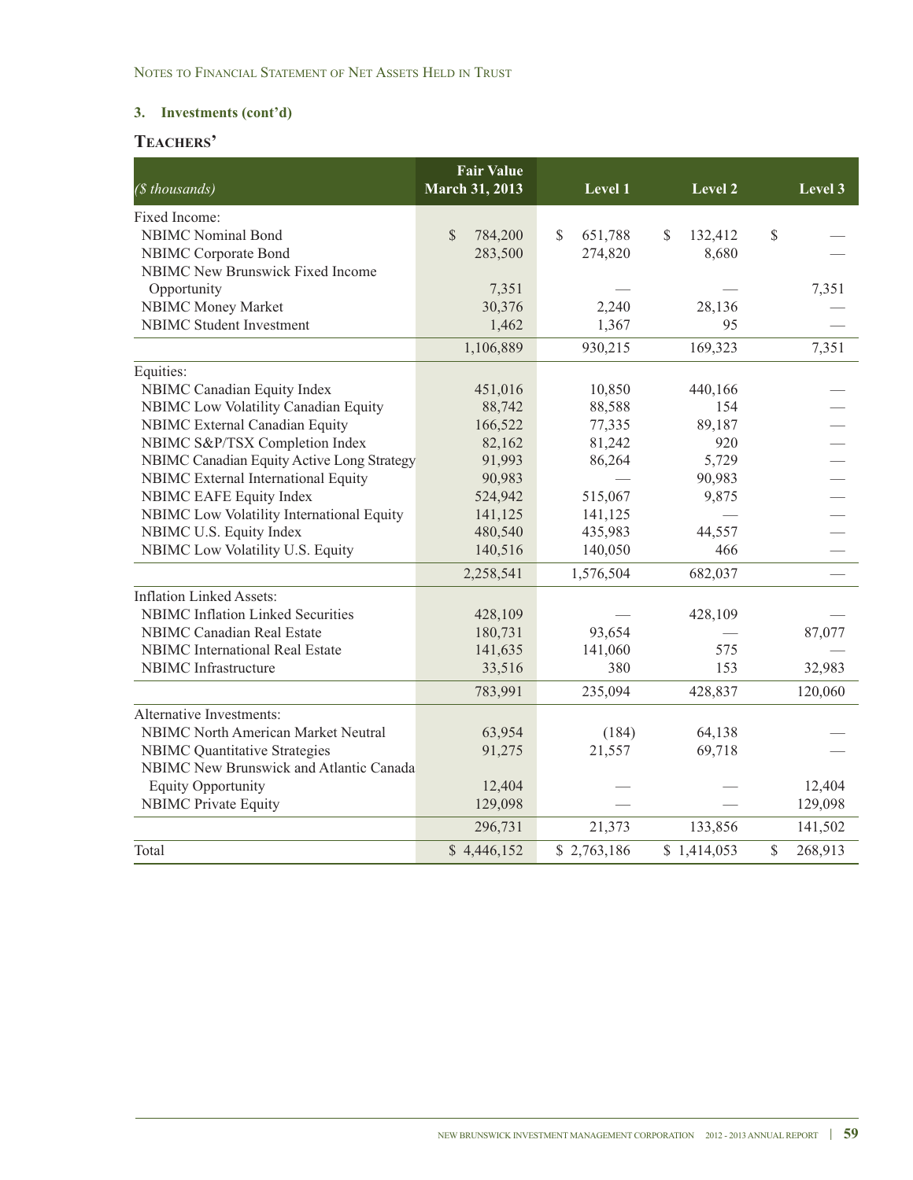# **TEACHERS'**

| (\$ thousands)                             | <b>Fair Value</b><br>March 31, 2013 | Level 1       | Level 2       | Level 3       |
|--------------------------------------------|-------------------------------------|---------------|---------------|---------------|
| Fixed Income:                              |                                     |               |               |               |
| <b>NBIMC</b> Nominal Bond                  | \$<br>784,200                       | \$<br>651,788 | \$<br>132,412 | \$            |
| <b>NBIMC</b> Corporate Bond                | 283,500                             | 274,820       | 8,680         |               |
| NBIMC New Brunswick Fixed Income           |                                     |               |               |               |
| Opportunity                                | 7,351                               |               |               | 7,351         |
| <b>NBIMC Money Market</b>                  | 30,376                              | 2,240         | 28,136        |               |
| <b>NBIMC</b> Student Investment            | 1,462                               | 1,367         | 95            |               |
|                                            | 1,106,889                           | 930,215       | 169,323       | 7,351         |
| Equities:                                  |                                     |               |               |               |
| NBIMC Canadian Equity Index                | 451,016                             | 10,850        | 440,166       |               |
| NBIMC Low Volatility Canadian Equity       | 88,742                              | 88,588        | 154           |               |
| <b>NBIMC</b> External Canadian Equity      | 166,522                             | 77,335        | 89,187        |               |
| NBIMC S&P/TSX Completion Index             | 82,162                              | 81,242        | 920           |               |
| NBIMC Canadian Equity Active Long Strategy | 91,993                              | 86,264        | 5,729         |               |
| NBIMC External International Equity        | 90,983                              |               | 90,983        |               |
| NBIMC EAFE Equity Index                    | 524,942                             | 515,067       | 9,875         |               |
| NBIMC Low Volatility International Equity  | 141,125                             | 141,125       |               |               |
| NBIMC U.S. Equity Index                    | 480,540                             | 435,983       | 44,557        |               |
| NBIMC Low Volatility U.S. Equity           | 140,516                             | 140,050       | 466           |               |
|                                            | 2,258,541                           | 1,576,504     | 682,037       |               |
| <b>Inflation Linked Assets:</b>            |                                     |               |               |               |
| <b>NBIMC</b> Inflation Linked Securities   | 428,109                             |               | 428,109       |               |
| <b>NBIMC Canadian Real Estate</b>          | 180,731                             | 93,654        |               | 87,077        |
| <b>NBIMC</b> International Real Estate     | 141,635                             | 141,060       | 575           |               |
| NBIMC Infrastructure                       | 33,516                              | 380           | 153           | 32,983        |
|                                            | 783,991                             | 235,094       | 428,837       | 120,060       |
| Alternative Investments:                   |                                     |               |               |               |
| <b>NBIMC North American Market Neutral</b> | 63,954                              | (184)         | 64,138        |               |
| <b>NBIMC Quantitative Strategies</b>       | 91,275                              | 21,557        | 69,718        |               |
| NBIMC New Brunswick and Atlantic Canada    |                                     |               |               |               |
| <b>Equity Opportunity</b>                  | 12,404                              |               |               | 12,404        |
| <b>NBIMC Private Equity</b>                | 129,098                             |               |               | 129,098       |
|                                            | 296,731                             | 21,373        | 133,856       | 141,502       |
| Total                                      | \$4,446,152                         | \$2,763,186   | \$1,414,053   | \$<br>268,913 |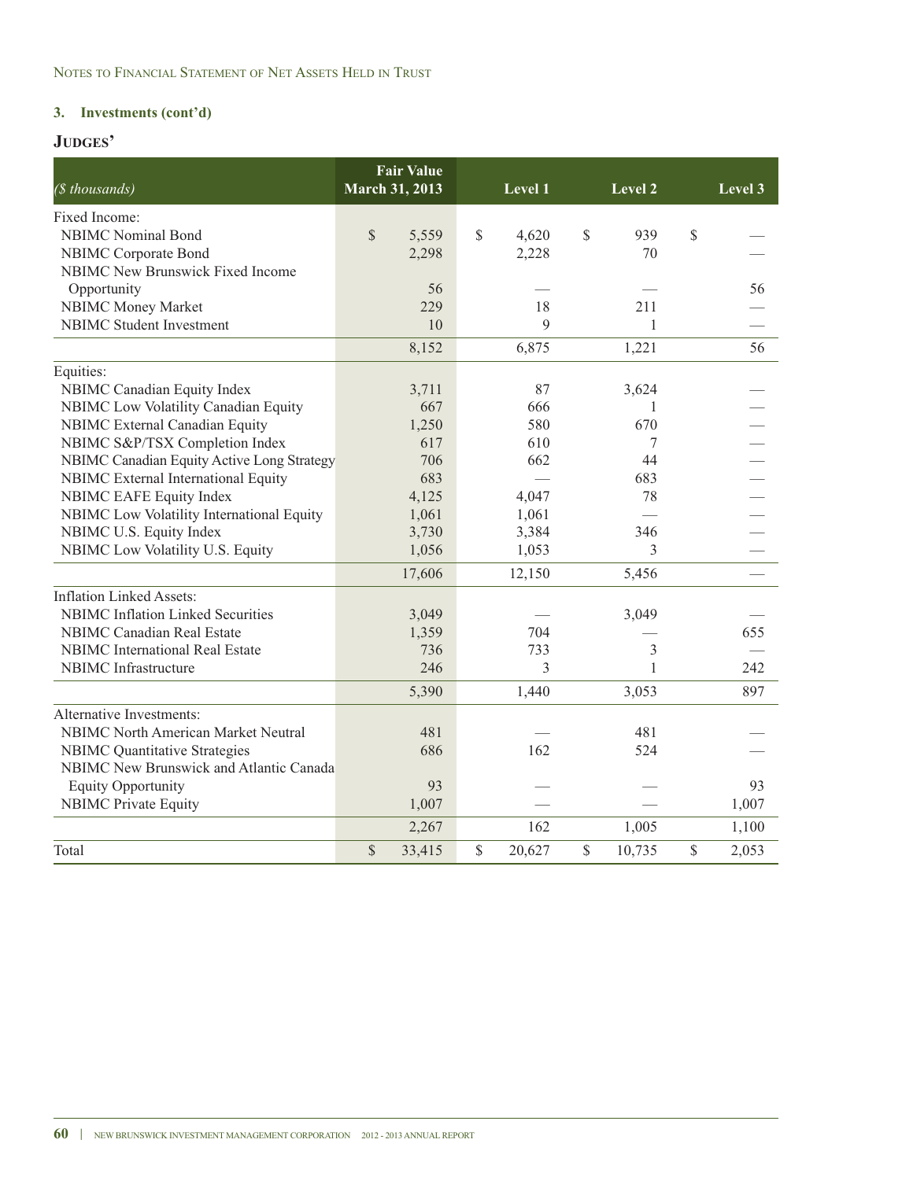| $(s$ thousands)                            | <b>March 31, 2013</b> | <b>Fair Value</b> |              | $L$ evel $1$ | Level 2      | Level 3     |
|--------------------------------------------|-----------------------|-------------------|--------------|--------------|--------------|-------------|
| Fixed Income:                              |                       |                   |              |              |              |             |
| <b>NBIMC</b> Nominal Bond                  | $\mathbb{S}$          | 5,559             | $\mathbb{S}$ | 4,620        | \$<br>939    | \$          |
| NBIMC Corporate Bond                       |                       | 2,298             |              | 2,228        | 70           |             |
| <b>NBIMC New Brunswick Fixed Income</b>    |                       |                   |              |              |              |             |
| Opportunity                                |                       | 56                |              |              |              | 56          |
| NBIMC Money Market                         |                       | 229               |              | 18           | 211          |             |
| NBIMC Student Investment                   |                       | 10                |              | 9            | $\mathbf{1}$ |             |
|                                            |                       | 8,152             |              | 6,875        | 1,221        | 56          |
| Equities:                                  |                       |                   |              |              |              |             |
| NBIMC Canadian Equity Index                |                       | 3,711             |              | 87           | 3,624        |             |
| NBIMC Low Volatility Canadian Equity       |                       | 667               |              | 666          | 1            |             |
| NBIMC External Canadian Equity             |                       | 1,250             |              | 580          | 670          |             |
| NBIMC S&P/TSX Completion Index             |                       | 617               |              | 610          | 7            |             |
| NBIMC Canadian Equity Active Long Strategy |                       | 706               |              | 662          | 44           |             |
| NBIMC External International Equity        |                       | 683               |              |              | 683          |             |
| NBIMC EAFE Equity Index                    |                       | 4,125             |              | 4,047        | 78           |             |
| NBIMC Low Volatility International Equity  |                       | 1,061             |              | 1,061        |              |             |
| NBIMC U.S. Equity Index                    |                       | 3,730             |              | 3,384        | 346          |             |
| NBIMC Low Volatility U.S. Equity           |                       | 1,056             |              | 1,053        | 3            |             |
|                                            |                       | 17,606            |              | 12,150       | 5,456        |             |
| <b>Inflation Linked Assets:</b>            |                       |                   |              |              |              |             |
| <b>NBIMC</b> Inflation Linked Securities   |                       | 3,049             |              |              | 3,049        |             |
| <b>NBIMC</b> Canadian Real Estate          |                       | 1,359             |              | 704          |              | 655         |
| <b>NBIMC</b> International Real Estate     |                       | 736               |              | 733          | 3            |             |
| <b>NBIMC</b> Infrastructure                |                       | 246               |              | 3            | 1            | 242         |
|                                            |                       | 5,390             |              | 1,440        | 3,053        | 897         |
| Alternative Investments:                   |                       |                   |              |              |              |             |
| <b>NBIMC North American Market Neutral</b> |                       | 481               |              |              | 481          |             |
| <b>NBIMC Quantitative Strategies</b>       |                       | 686               |              | 162          | 524          |             |
| NBIMC New Brunswick and Atlantic Canada    |                       |                   |              |              |              |             |
| <b>Equity Opportunity</b>                  |                       | 93                |              |              |              | 93          |
| <b>NBIMC</b> Private Equity                |                       | 1,007             |              |              |              | 1,007       |
|                                            |                       | 2,267             |              | 162          | 1,005        | 1,100       |
| Total                                      | $\mathbb{S}$          | 33,415            | \$           | 20,627       | \$<br>10,735 | \$<br>2,053 |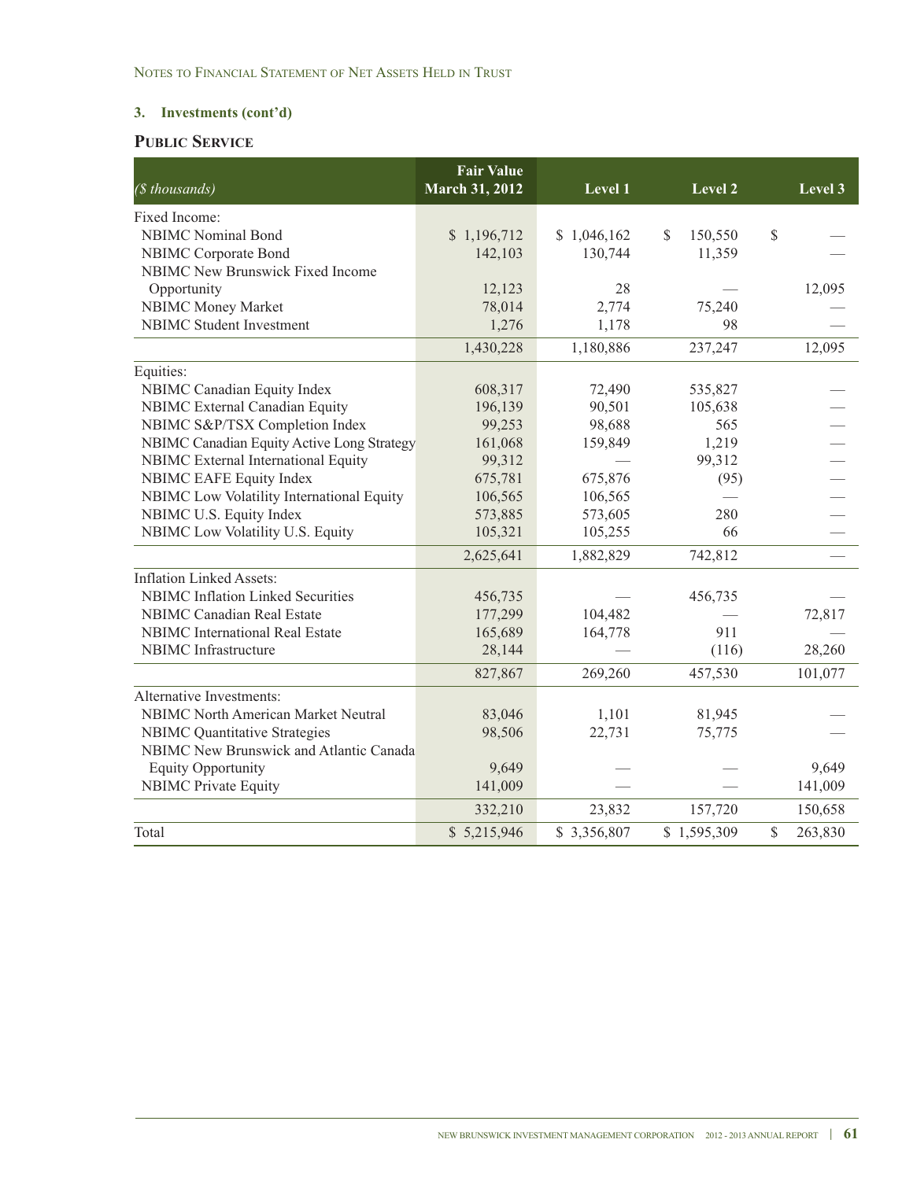# **PUBLIC SERVICE**

| (\$ thousands)                             | <b>Fair Value</b><br><b>March 31, 2012</b> | Level 1     | Level 2        |              | Level 3 |
|--------------------------------------------|--------------------------------------------|-------------|----------------|--------------|---------|
| Fixed Income:                              |                                            |             |                |              |         |
| <b>NBIMC</b> Nominal Bond                  | \$1,196,712                                | \$1,046,162 | \$.<br>150,550 | $\mathbb{S}$ |         |
| NBIMC Corporate Bond                       | 142,103                                    | 130,744     | 11,359         |              |         |
| NBIMC New Brunswick Fixed Income           |                                            |             |                |              |         |
| Opportunity                                | 12,123                                     | 28          |                |              | 12,095  |
| NBIMC Money Market                         | 78,014                                     | 2,774       | 75,240         |              |         |
| <b>NBIMC</b> Student Investment            | 1,276                                      | 1,178       | 98             |              |         |
|                                            | 1,430,228                                  | 1,180,886   | 237,247        |              | 12,095  |
| Equities:                                  |                                            |             |                |              |         |
| NBIMC Canadian Equity Index                | 608,317                                    | 72,490      | 535,827        |              |         |
| <b>NBIMC</b> External Canadian Equity      | 196,139                                    | 90,501      | 105,638        |              |         |
| NBIMC S&P/TSX Completion Index             | 99,253                                     | 98,688      | 565            |              |         |
| NBIMC Canadian Equity Active Long Strategy | 161,068                                    | 159,849     | 1,219          |              |         |
| NBIMC External International Equity        | 99,312                                     |             | 99,312         |              |         |
| <b>NBIMC EAFE Equity Index</b>             | 675,781                                    | 675,876     | (95)           |              |         |
| NBIMC Low Volatility International Equity  | 106,565                                    | 106,565     |                |              |         |
| NBIMC U.S. Equity Index                    | 573,885                                    | 573,605     | 280            |              |         |
| NBIMC Low Volatility U.S. Equity           | 105,321                                    | 105,255     | 66             |              |         |
|                                            | 2,625,641                                  | 1,882,829   | 742,812        |              |         |
| <b>Inflation Linked Assets:</b>            |                                            |             |                |              |         |
| <b>NBIMC</b> Inflation Linked Securities   | 456,735                                    |             | 456,735        |              |         |
| <b>NBIMC Canadian Real Estate</b>          | 177,299                                    | 104,482     |                |              | 72,817  |
| <b>NBIMC</b> International Real Estate     | 165,689                                    | 164,778     | 911            |              |         |
| <b>NBIMC</b> Infrastructure                | 28,144                                     |             | (116)          |              | 28,260  |
|                                            | 827,867                                    | 269,260     | 457,530        |              | 101,077 |
| Alternative Investments:                   |                                            |             |                |              |         |
| <b>NBIMC North American Market Neutral</b> | 83,046                                     | 1,101       | 81,945         |              |         |
| <b>NBIMC Quantitative Strategies</b>       | 98,506                                     | 22,731      | 75,775         |              |         |
| NBIMC New Brunswick and Atlantic Canada    |                                            |             |                |              |         |
| <b>Equity Opportunity</b>                  | 9,649                                      |             |                |              | 9,649   |
| <b>NBIMC Private Equity</b>                | 141,009                                    |             |                |              | 141,009 |
|                                            | 332,210                                    | 23,832      | 157,720        |              | 150,658 |
| Total                                      | \$5,215,946                                | \$3,356,807 | \$1,595,309    | \$           | 263,830 |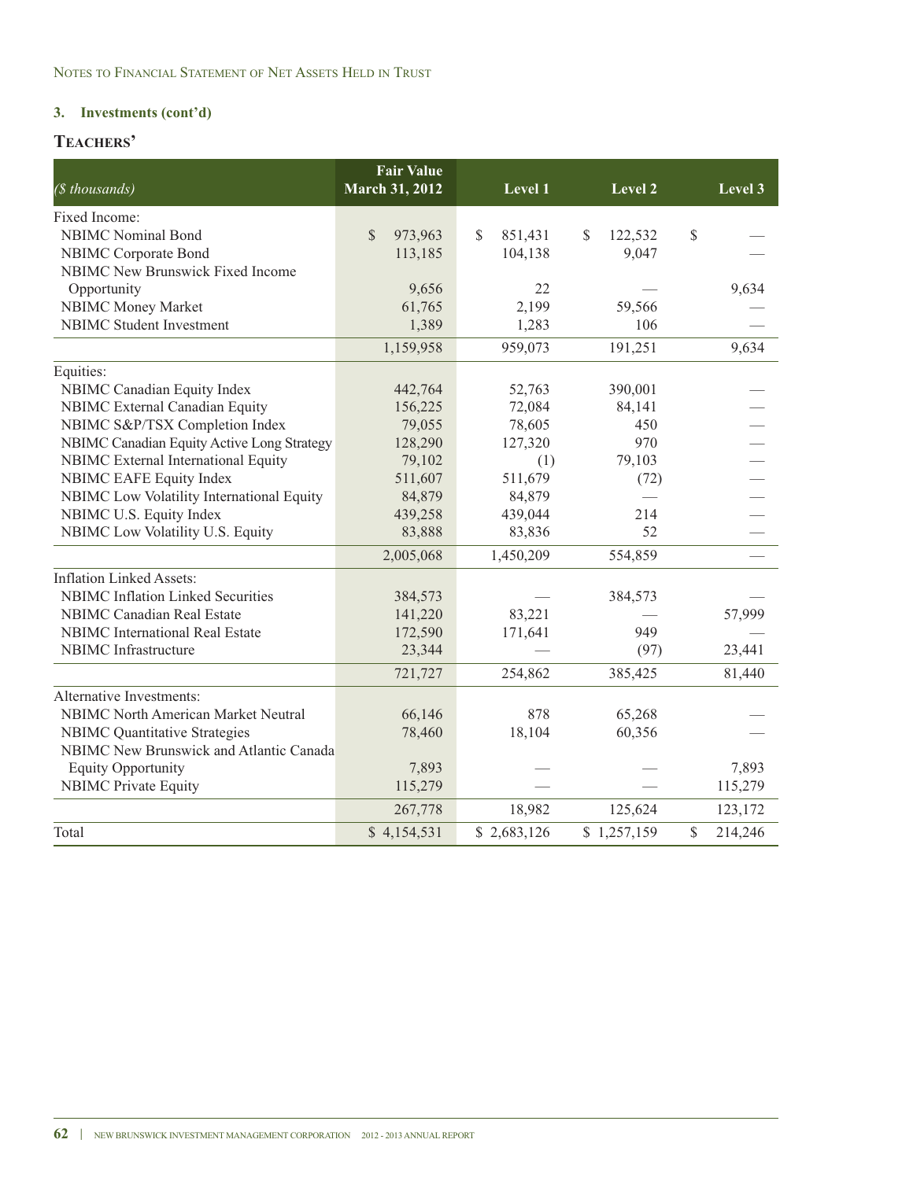# **TEACHERS'**

| (\$ thousands)                             | <b>Fair Value</b><br><b>March 31, 2012</b> | Level 1        | <b>Level 2</b> | Level 3       |
|--------------------------------------------|--------------------------------------------|----------------|----------------|---------------|
| Fixed Income:                              |                                            |                |                |               |
| <b>NBIMC</b> Nominal Bond                  | $\mathbb{S}$<br>973,963                    | \$.<br>851,431 | \$<br>122,532  | \$            |
| NBIMC Corporate Bond                       | 113,185                                    | 104,138        | 9,047          |               |
| <b>NBIMC</b> New Brunswick Fixed Income    |                                            |                |                |               |
| Opportunity                                | 9,656                                      | 22             |                | 9,634         |
| NBIMC Money Market                         | 61,765                                     | 2,199          | 59,566         |               |
| <b>NBIMC</b> Student Investment            | 1,389                                      | 1,283          | 106            |               |
|                                            | 1,159,958                                  | 959,073        | 191,251        | 9,634         |
| Equities:                                  |                                            |                |                |               |
| NBIMC Canadian Equity Index                | 442,764                                    | 52,763         | 390,001        |               |
| NBIMC External Canadian Equity             | 156,225                                    | 72,084         | 84,141         |               |
| NBIMC S&P/TSX Completion Index             | 79,055                                     | 78,605         | 450            |               |
| NBIMC Canadian Equity Active Long Strategy | 128,290                                    | 127,320        | 970            |               |
| NBIMC External International Equity        | 79,102                                     | (1)            | 79,103         |               |
| NBIMC EAFE Equity Index                    | 511,607                                    | 511,679        | (72)           |               |
| NBIMC Low Volatility International Equity  | 84,879                                     | 84,879         |                |               |
| NBIMC U.S. Equity Index                    | 439,258                                    | 439,044        | 214            |               |
| NBIMC Low Volatility U.S. Equity           | 83,888                                     | 83,836         | 52             |               |
|                                            | 2,005,068                                  | 1,450,209      | 554,859        |               |
| <b>Inflation Linked Assets:</b>            |                                            |                |                |               |
| <b>NBIMC</b> Inflation Linked Securities   | 384,573                                    |                | 384,573        |               |
| <b>NBIMC</b> Canadian Real Estate          | 141,220                                    | 83,221         |                | 57,999        |
| <b>NBIMC</b> International Real Estate     | 172,590                                    | 171,641        | 949            |               |
| NBIMC Infrastructure                       | 23,344                                     |                | (97)           | 23,441        |
|                                            | 721,727                                    | 254,862        | 385,425        | 81,440        |
| <b>Alternative Investments:</b>            |                                            |                |                |               |
| <b>NBIMC North American Market Neutral</b> | 66,146                                     | 878            | 65,268         |               |
| <b>NBIMC Quantitative Strategies</b>       | 78,460                                     | 18,104         | 60,356         |               |
| NBIMC New Brunswick and Atlantic Canada    |                                            |                |                |               |
| <b>Equity Opportunity</b>                  | 7,893                                      |                |                | 7,893         |
| <b>NBIMC Private Equity</b>                | 115,279                                    |                |                | 115,279       |
|                                            | 267,778                                    | 18,982         | 125,624        | 123,172       |
| Total                                      | \$4,154,531                                | \$2,683,126    | \$1,257,159    | 214,246<br>\$ |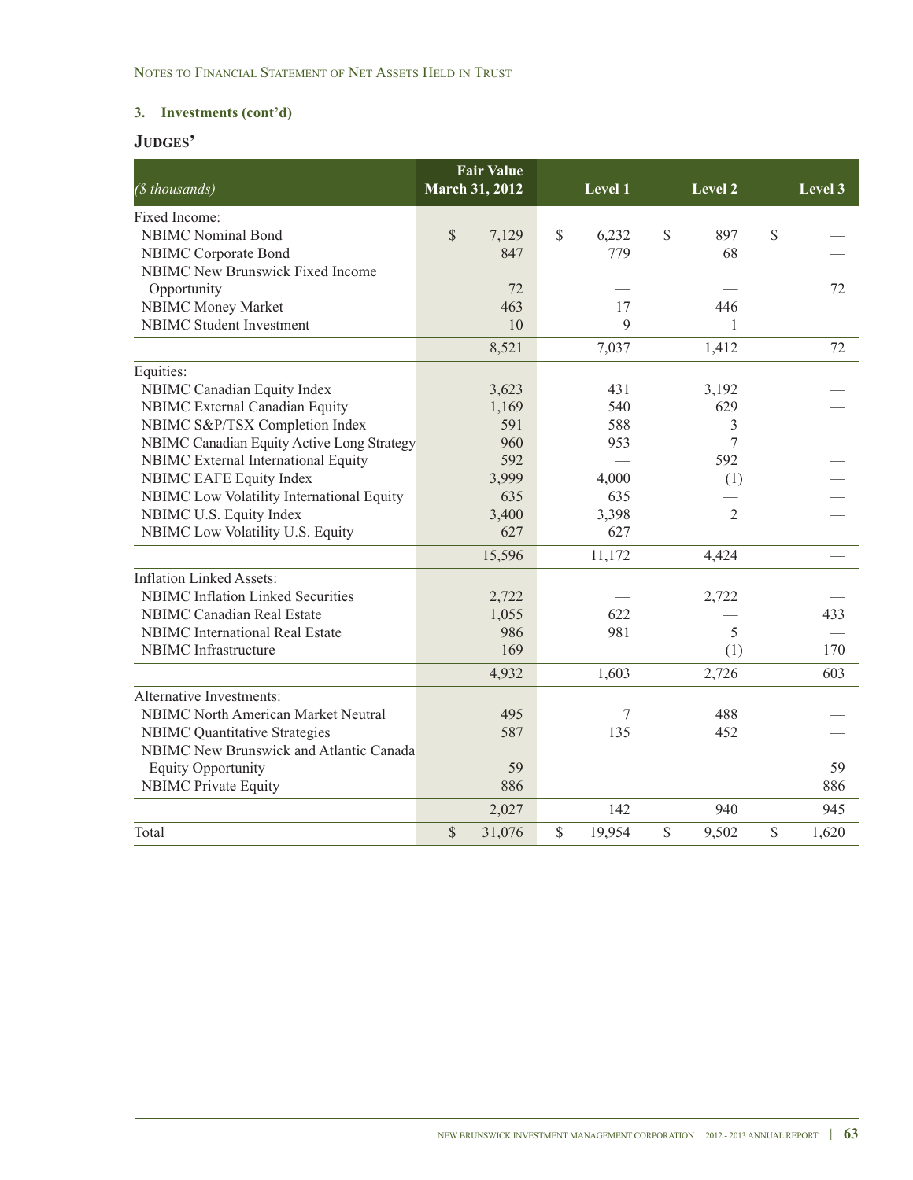| (\$ thousands)                             | <b>March 31, 2012</b> | <b>Fair Value</b> | Level 1      | Level 2     |               | Level 3 |
|--------------------------------------------|-----------------------|-------------------|--------------|-------------|---------------|---------|
| Fixed Income:                              |                       |                   |              |             |               |         |
| <b>NBIMC</b> Nominal Bond                  | \$                    | 7,129             | \$<br>6,232  | \$<br>897   | \$            |         |
| NBIMC Corporate Bond                       |                       | 847               | 779          | 68          |               |         |
| <b>NBIMC</b> New Brunswick Fixed Income    |                       |                   |              |             |               |         |
| Opportunity                                |                       | 72                |              |             |               | 72      |
| NBIMC Money Market                         |                       | 463               | 17           | 446         |               |         |
| <b>NBIMC</b> Student Investment            |                       | 10                | 9            | 1           |               |         |
|                                            |                       | 8,521             | 7,037        | 1,412       |               | 72      |
| Equities:                                  |                       |                   |              |             |               |         |
| NBIMC Canadian Equity Index                |                       | 3,623             | 431          | 3,192       |               |         |
| NBIMC External Canadian Equity             |                       | 1,169             | 540          | 629         |               |         |
| NBIMC S&P/TSX Completion Index             |                       | 591               | 588          | 3           |               |         |
| NBIMC Canadian Equity Active Long Strategy |                       | 960               | 953          | 7           |               |         |
| NBIMC External International Equity        |                       | 592               |              | 592         |               |         |
| <b>NBIMC EAFE Equity Index</b>             |                       | 3,999             | 4,000        | (1)         |               |         |
| NBIMC Low Volatility International Equity  |                       | 635               | 635          |             |               |         |
| NBIMC U.S. Equity Index                    |                       | 3,400             | 3,398        | 2           |               |         |
| NBIMC Low Volatility U.S. Equity           |                       | 627               | 627          |             |               |         |
|                                            |                       | 15,596            | 11,172       | 4,424       |               |         |
| <b>Inflation Linked Assets:</b>            |                       |                   |              |             |               |         |
| <b>NBIMC</b> Inflation Linked Securities   |                       | 2,722             |              | 2,722       |               |         |
| <b>NBIMC</b> Canadian Real Estate          |                       | 1,055             | 622          |             |               | 433     |
| <b>NBIMC</b> International Real Estate     |                       | 986               | 981          | 5           |               |         |
| NBIMC Infrastructure                       |                       | 169               |              | (1)         |               | 170     |
|                                            |                       | 4,932             | 1,603        | 2,726       |               | 603     |
| <b>Alternative Investments:</b>            |                       |                   |              |             |               |         |
| <b>NBIMC North American Market Neutral</b> |                       | 495               | 7            | 488         |               |         |
| <b>NBIMC</b> Quantitative Strategies       |                       | 587               | 135          | 452         |               |         |
| NBIMC New Brunswick and Atlantic Canada    |                       |                   |              |             |               |         |
| <b>Equity Opportunity</b>                  |                       | 59                |              |             |               | 59      |
| <b>NBIMC Private Equity</b>                |                       | 886               |              |             |               | 886     |
|                                            |                       | 2,027             | 142          | 940         |               | 945     |
| Total                                      | $\mathbb{S}$          | 31,076            | \$<br>19,954 | \$<br>9,502 | $\mathcal{S}$ | 1,620   |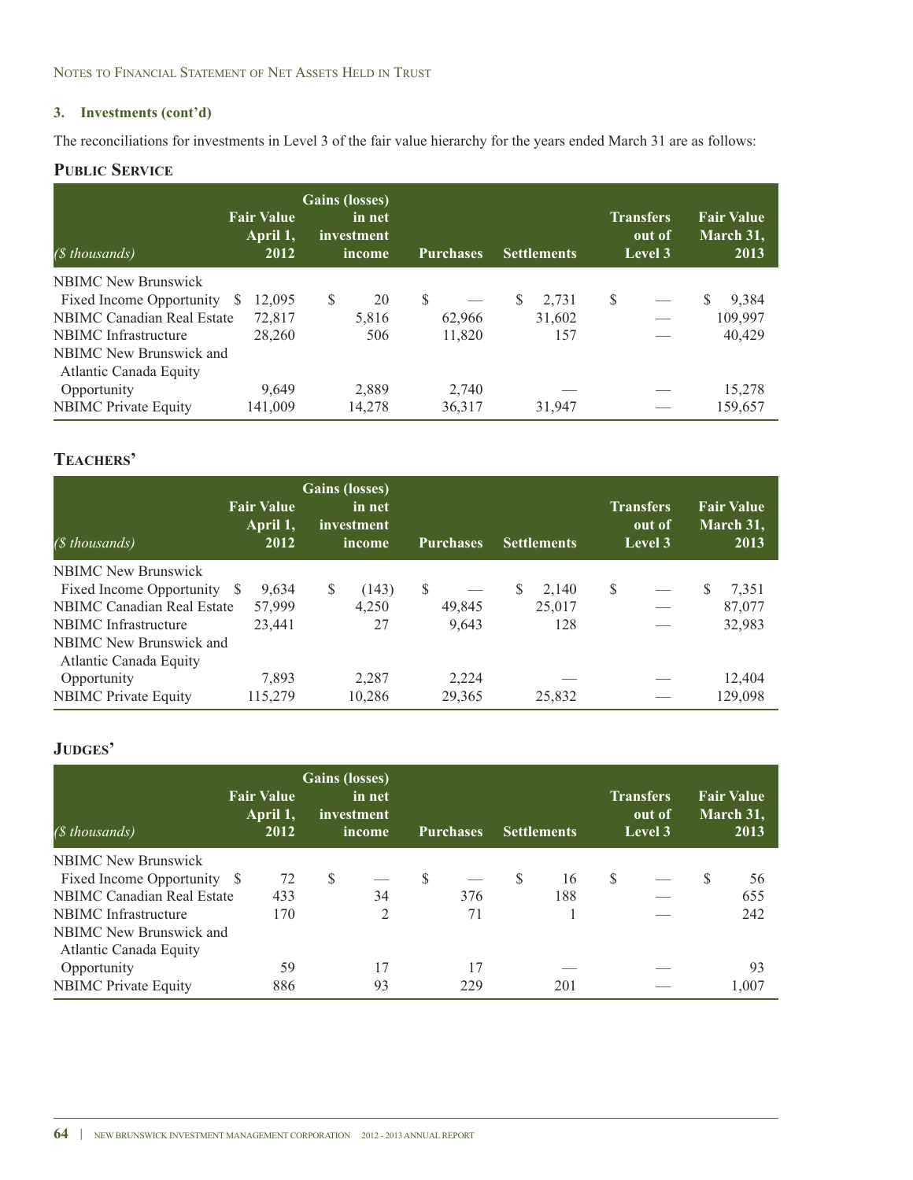The reconciliations for investments in Level 3 of the fair value hierarchy for the years ended March 31 are as follows:

### **PUBLIC SERVICE**

| (\$ thousands)                    | <b>Fair Value</b><br>April 1,<br>2012 | <b>Gains (losses)</b><br>in net<br>investment<br>income | <b>Purchases</b> | <b>Settlements</b> | <b>Transfers</b><br>out of<br>Level 3 | <b>Fair Value</b><br>March 31,<br>2013 |
|-----------------------------------|---------------------------------------|---------------------------------------------------------|------------------|--------------------|---------------------------------------|----------------------------------------|
| <b>NBIMC</b> New Brunswick        |                                       |                                                         |                  |                    |                                       |                                        |
| Fixed Income Opportunity          | 12.095<br>-S                          | S<br>20                                                 | <sup>S</sup>     | S<br>2,731         | \$                                    | \$<br>9,384                            |
| <b>NBIMC Canadian Real Estate</b> | 72,817                                | 5,816                                                   | 62,966           | 31,602             |                                       | 109,997                                |
| NBIMC Infrastructure              | 28,260                                | 506                                                     | 11,820           | 157                |                                       | 40,429                                 |
| NBIMC New Brunswick and           |                                       |                                                         |                  |                    |                                       |                                        |
| Atlantic Canada Equity            |                                       |                                                         |                  |                    |                                       |                                        |
| Opportunity                       | 9.649                                 | 2,889                                                   | 2,740            |                    |                                       | 15,278                                 |
| <b>NBIMC</b> Private Equity       | 141,009                               | 14,278                                                  | 36,317           | 31,947             |                                       | 159,657                                |

# **TEACHERS'**

| $(S$ thousands)                                   | <b>Fair Value</b><br>April 1,<br>2012 | <b>Gains (losses)</b><br>in net<br>investment<br>income | <b>Purchases</b> | <b>Settlements</b> | <b>Transfers</b><br>out of<br>Level 3 | <b>Fair Value</b><br>March 31,<br>2013 |
|---------------------------------------------------|---------------------------------------|---------------------------------------------------------|------------------|--------------------|---------------------------------------|----------------------------------------|
| <b>NBIMC New Brunswick</b>                        |                                       |                                                         |                  |                    |                                       |                                        |
| Fixed Income Opportunity \$                       | 9,634                                 | (143)<br>S                                              | <sup>S</sup>     | S<br>2.140         | S<br>$\overline{\phantom{m}}$         | S.<br>7,351                            |
| NBIMC Canadian Real Estate                        | 57,999                                | 4,250                                                   | 49,845           | 25,017             |                                       | 87,077                                 |
| NBIMC Infrastructure                              | 23.441                                | 27                                                      | 9,643            | 128                |                                       | 32,983                                 |
| NBIMC New Brunswick and<br>Atlantic Canada Equity |                                       |                                                         |                  |                    |                                       |                                        |
| Opportunity                                       | 7,893                                 | 2,287                                                   | 2,224            |                    |                                       | 12,404                                 |
| <b>NBIMC</b> Private Equity                       | 115,279                               | 10,286                                                  | 29,365           | 25,832             |                                       | 129,098                                |

| (\$ thousands)                    | <b>Fair Value</b><br>April 1,<br>2012 | <b>Gains (losses)</b><br>investment | in net<br>income |    | <b>Purchases</b> |              | <b>Settlements</b> |   | <b>Transfers</b><br>out of<br>Level 3 |    | <b>Fair Value</b><br>March 31,<br>2013 |
|-----------------------------------|---------------------------------------|-------------------------------------|------------------|----|------------------|--------------|--------------------|---|---------------------------------------|----|----------------------------------------|
| <b>NBIMC</b> New Brunswick        |                                       |                                     |                  |    |                  |              |                    |   |                                       |    |                                        |
| Fixed Income Opportunity \$       | 72                                    | <sup>\$</sup>                       |                  | -S |                  | <sup>S</sup> | 16                 | S |                                       | S. | 56                                     |
| <b>NBIMC Canadian Real Estate</b> | 433                                   |                                     | 34               |    | 376              |              | 188                |   |                                       |    | 655                                    |
| NBIMC Infrastructure              | 170                                   |                                     | 2                |    | 71               |              |                    |   |                                       |    | 242                                    |
| NBIMC New Brunswick and           |                                       |                                     |                  |    |                  |              |                    |   |                                       |    |                                        |
| Atlantic Canada Equity            |                                       |                                     |                  |    |                  |              |                    |   |                                       |    |                                        |
| Opportunity                       | 59                                    |                                     | 17               |    | 17               |              |                    |   |                                       |    | 93                                     |
| <b>NBIMC</b> Private Equity       | 886                                   |                                     | 93               |    | 229              |              | 201                |   |                                       |    | 1.007                                  |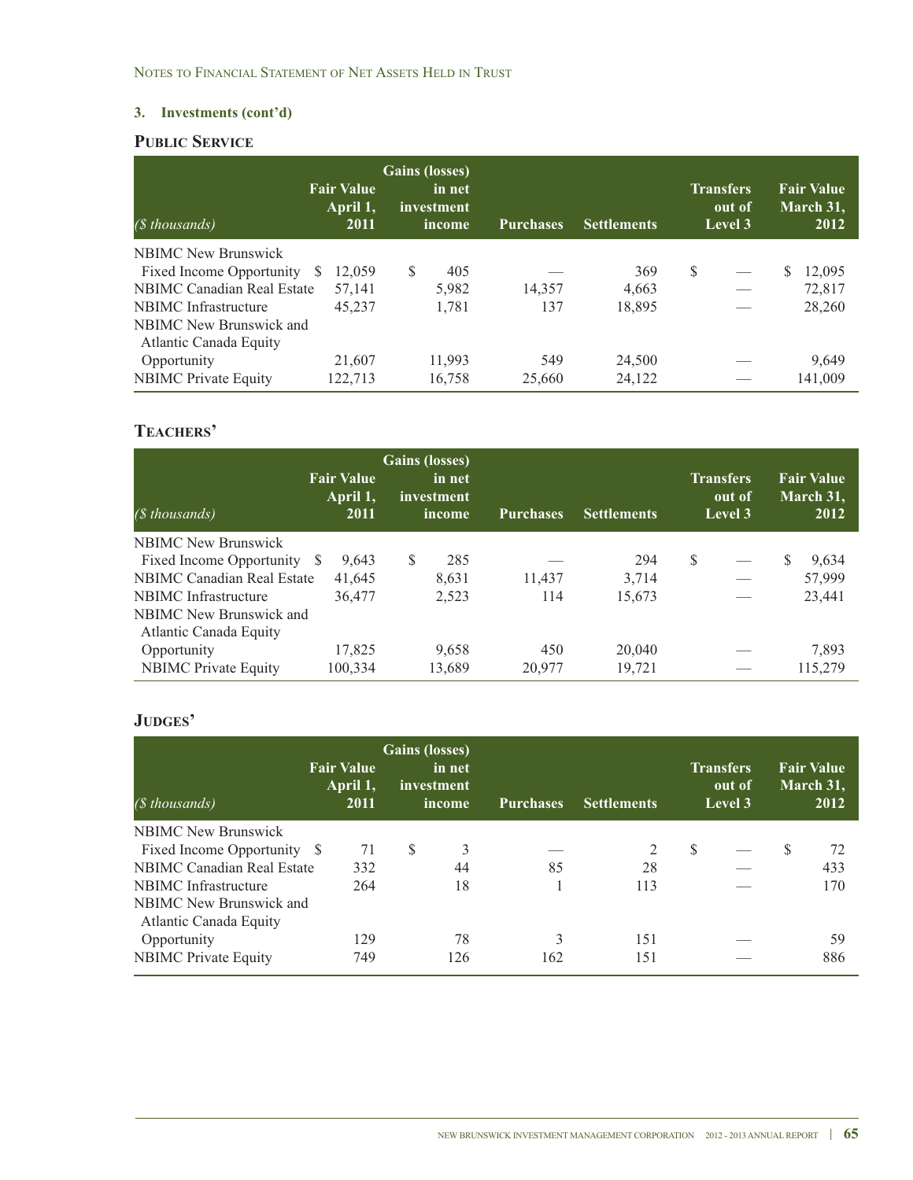# **PUBLIC SERVICE**

| (\$ thousands)                    | <b>Fair Value</b><br>April 1,<br>2011 | <b>Gains (losses)</b><br>in net<br>investment<br>income | <b>Purchases</b> | <b>Settlements</b> | <b>Transfers</b><br>out of<br>Level 3 | <b>Fair Value</b><br>March 31,<br>2012 |
|-----------------------------------|---------------------------------------|---------------------------------------------------------|------------------|--------------------|---------------------------------------|----------------------------------------|
| <b>NBIMC</b> New Brunswick        |                                       |                                                         |                  |                    |                                       |                                        |
| Fixed Income Opportunity \$       | 12.059                                | S<br>405                                                |                  | 369                | \$                                    | 12,095<br>S                            |
| <b>NBIMC</b> Canadian Real Estate | 57,141                                | 5,982                                                   | 14,357           | 4.663              |                                       | 72,817                                 |
| NBIMC Infrastructure              | 45.237                                | 1,781                                                   | 137              | 18,895             |                                       | 28,260                                 |
| NBIMC New Brunswick and           |                                       |                                                         |                  |                    |                                       |                                        |
| Atlantic Canada Equity            |                                       |                                                         |                  |                    |                                       |                                        |
| Opportunity                       | 21,607                                | 11,993                                                  | 549              | 24,500             |                                       | 9,649                                  |
| <b>NBIMC</b> Private Equity       | 122.713                               | 16,758                                                  | 25,660           | 24,122             |                                       | 141.009                                |

# **TEACHERS'**

| (\$ thousands)                    | <b>Fair Value</b><br>April 1,<br>2011 | <b>Gains (losses)</b><br>in net<br>investment<br>income | Purchases. | <b>Settlements</b> | <b>Transfers</b><br>out of<br>Level 3 | <b>Fair Value</b><br>March 31,<br>2012 |
|-----------------------------------|---------------------------------------|---------------------------------------------------------|------------|--------------------|---------------------------------------|----------------------------------------|
| <b>NBIMC</b> New Brunswick        |                                       |                                                         |            |                    |                                       |                                        |
| Fixed Income Opportunity \$       | 9.643                                 | S<br>285                                                |            | 294                | S                                     | 9,634                                  |
| <b>NBIMC Canadian Real Estate</b> | 41,645                                | 8,631                                                   | 11,437     | 3,714              |                                       | 57,999                                 |
| NBIMC Infrastructure              | 36,477                                | 2,523                                                   | 114        | 15,673             |                                       | 23,441                                 |
| NBIMC New Brunswick and           |                                       |                                                         |            |                    |                                       |                                        |
| Atlantic Canada Equity            |                                       |                                                         |            |                    |                                       |                                        |
| Opportunity                       | 17,825                                | 9,658                                                   | 450        | 20,040             |                                       | 7.893                                  |
| <b>NBIMC</b> Private Equity       | 100,334                               | 13,689                                                  | 20,977     | 19,721             |                                       | 115,279                                |

| (\$ thousands)                                    | <b>Fair Value</b><br>April 1,<br>2011 |               | <b>Gains</b> (losses)<br>in net<br>investment<br><i>income</i> | <b>Purchases</b> | <b>Settlements</b> |               | <b>Transfers</b><br>out of<br>Level 3 |   | <b>Fair Value</b><br>March 31,<br>2012 |
|---------------------------------------------------|---------------------------------------|---------------|----------------------------------------------------------------|------------------|--------------------|---------------|---------------------------------------|---|----------------------------------------|
| <b>NBIMC</b> New Brunswick                        |                                       |               |                                                                |                  |                    |               |                                       |   |                                        |
| Fixed Income Opportunity \$                       | 71                                    | <sup>\$</sup> | 3                                                              |                  | 2                  | <sup>\$</sup> |                                       | S | 72                                     |
| NBIMC Canadian Real Estate                        | 332                                   |               | 44                                                             | 85               | 28                 |               |                                       |   | 433                                    |
| NBIMC Infrastructure                              | 264                                   |               | 18                                                             |                  | 113                |               |                                       |   | 170                                    |
| NBIMC New Brunswick and<br>Atlantic Canada Equity |                                       |               |                                                                |                  |                    |               |                                       |   |                                        |
| Opportunity                                       | 129                                   |               | 78                                                             | 3                | 151                |               |                                       |   | 59                                     |
| <b>NBIMC</b> Private Equity                       | 749                                   |               | 126                                                            | 162              | 151                |               |                                       |   | 886                                    |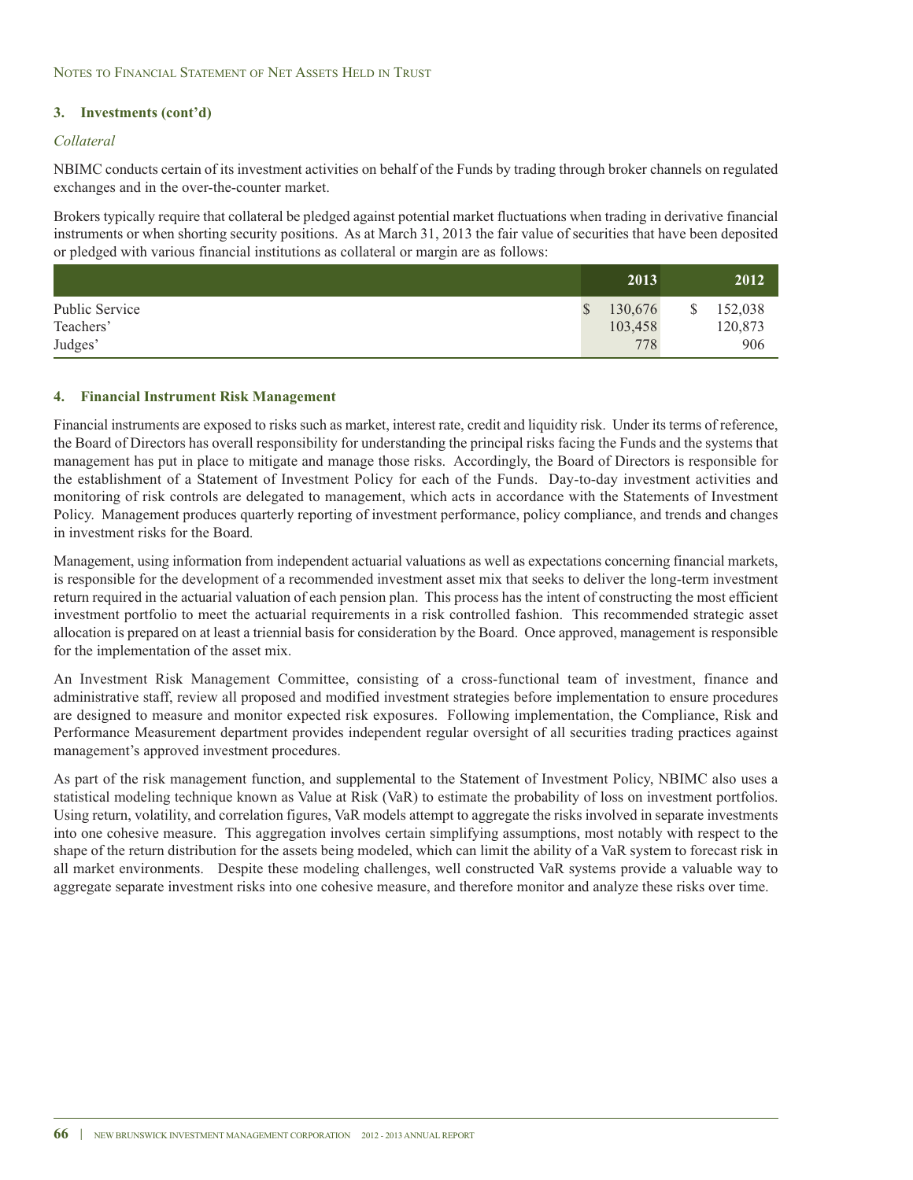### *Collateral*

NBIMC conducts certain of its investment activities on behalf of the Funds by trading through broker channels on regulated exchanges and in the over-the-counter market.

Brokers typically require that collateral be pledged against potential market fluctuations when trading in derivative financial instruments or when shorting security positions. As at March 31, 2013 the fair value of securities that have been deposited or pledged with various financial institutions as collateral or margin are as follows:

|                | 2013    | 2012          |
|----------------|---------|---------------|
| Public Service | 130,676 | \$<br>152,038 |
| Teachers'      | 103,458 | 120,873       |
| Judges'        | 778     | 906           |

#### **4. Financial Instrument Risk Management**

Financial instruments are exposed to risks such as market, interest rate, credit and liquidity risk. Under its terms of reference, the Board of Directors has overall responsibility for understanding the principal risks facing the Funds and the systems that management has put in place to mitigate and manage those risks. Accordingly, the Board of Directors is responsible for the establishment of a Statement of Investment Policy for each of the Funds. Day-to-day investment activities and monitoring of risk controls are delegated to management, which acts in accordance with the Statements of Investment Policy. Management produces quarterly reporting of investment performance, policy compliance, and trends and changes in investment risks for the Board.

Management, using information from independent actuarial valuations as well as expectations concerning financial markets, is responsible for the development of a recommended investment asset mix that seeks to deliver the long-term investment return required in the actuarial valuation of each pension plan. This process has the intent of constructing the most efficient investment portfolio to meet the actuarial requirements in a risk controlled fashion. This recommended strategic asset allocation is prepared on at least a triennial basis for consideration by the Board. Once approved, management is responsible for the implementation of the asset mix.

An Investment Risk Management Committee, consisting of a cross-functional team of investment, finance and administrative staff, review all proposed and modified investment strategies before implementation to ensure procedures are designed to measure and monitor expected risk exposures. Following implementation, the Compliance, Risk and Performance Measurement department provides independent regular oversight of all securities trading practices against management's approved investment procedures.

As part of the risk management function, and supplemental to the Statement of Investment Policy, NBIMC also uses a statistical modeling technique known as Value at Risk (VaR) to estimate the probability of loss on investment portfolios. Using return, volatility, and correlation figures, VaR models attempt to aggregate the risks involved in separate investments into one cohesive measure. This aggregation involves certain simplifying assumptions, most notably with respect to the shape of the return distribution for the assets being modeled, which can limit the ability of a VaR system to forecast risk in all market environments. Despite these modeling challenges, well constructed VaR systems provide a valuable way to aggregate separate investment risks into one cohesive measure, and therefore monitor and analyze these risks over time.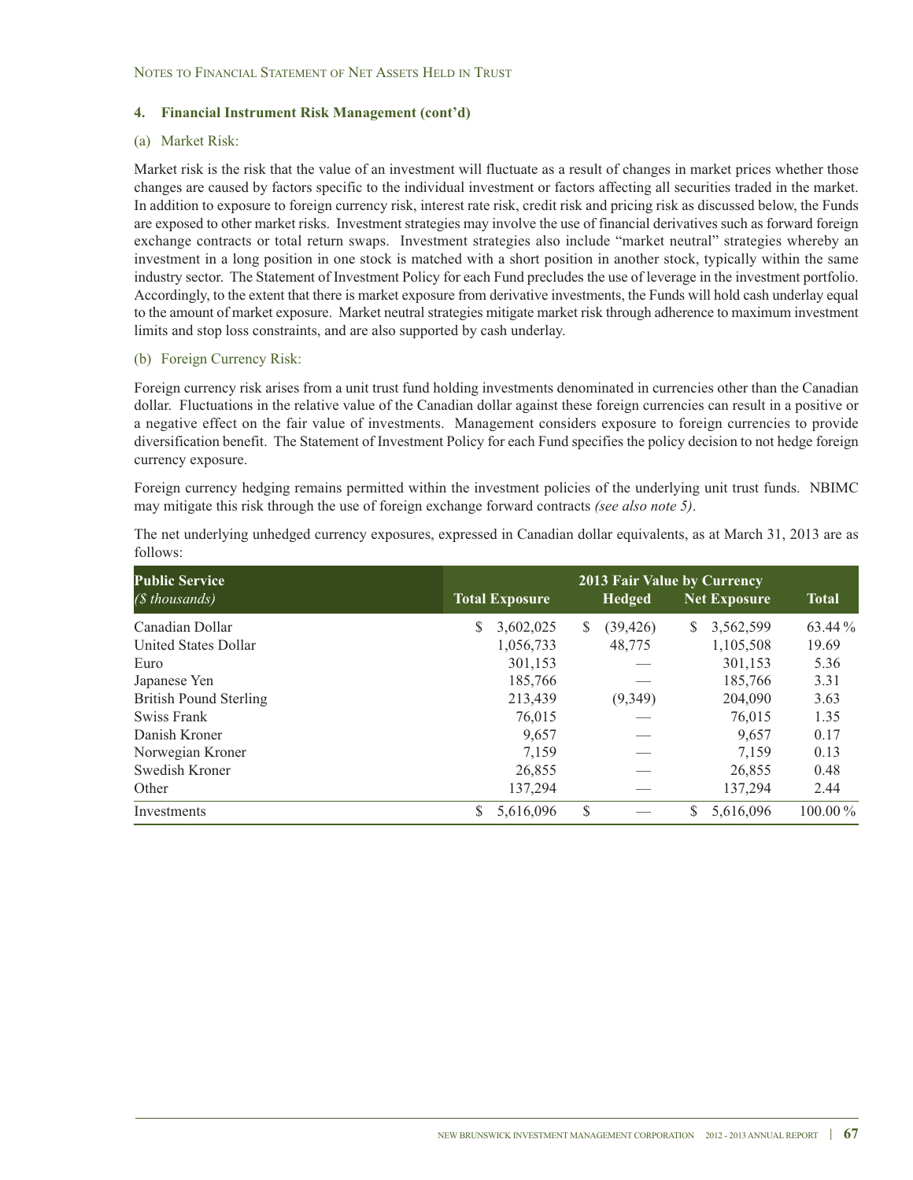### (a) Market Risk:

Market risk is the risk that the value of an investment will fluctuate as a result of changes in market prices whether those changes are caused by factors specific to the individual investment or factors affecting all securities traded in the market. In addition to exposure to foreign currency risk, interest rate risk, credit risk and pricing risk as discussed below, the Funds are exposed to other market risks. Investment strategies may involve the use of financial derivatives such as forward foreign exchange contracts or total return swaps. Investment strategies also include "market neutral" strategies whereby an investment in a long position in one stock is matched with a short position in another stock, typically within the same industry sector. The Statement of Investment Policy for each Fund precludes the use of leverage in the investment portfolio. Accordingly, to the extent that there is market exposure from derivative investments, the Funds will hold cash underlay equal to the amount of market exposure. Market neutral strategies mitigate market risk through adherence to maximum investment limits and stop loss constraints, and are also supported by cash underlay.

### (b) Foreign Currency Risk:

Foreign currency risk arises from a unit trust fund holding investments denominated in currencies other than the Canadian dollar. Fluctuations in the relative value of the Canadian dollar against these foreign currencies can result in a positive or a negative effect on the fair value of investments. Management considers exposure to foreign currencies to provide diversification benefit. The Statement of Investment Policy for each Fund specifies the policy decision to not hedge foreign currency exposure.

Foreign currency hedging remains permitted within the investment policies of the underlying unit trust funds. NBIMC may mitigate this risk through the use of foreign exchange forward contracts *(see also note 5)*.

| <b>Public Service</b>         | 2013 Fair Value by Currency |                       |    |               |    |                     |              |  |  |  |
|-------------------------------|-----------------------------|-----------------------|----|---------------|----|---------------------|--------------|--|--|--|
| (\$ thousands)                |                             | <b>Total Exposure</b> |    | <b>Hedged</b> |    | <b>Net Exposure</b> | <b>Total</b> |  |  |  |
| Canadian Dollar               | S.                          | 3,602,025             | S. | (39, 426)     | S. | 3,562,599           | 63.44 %      |  |  |  |
| <b>United States Dollar</b>   |                             | 1,056,733             |    | 48,775        |    | 1,105,508           | 19.69        |  |  |  |
| Euro                          |                             | 301,153               |    |               |    | 301,153             | 5.36         |  |  |  |
| Japanese Yen                  |                             | 185,766               |    |               |    | 185,766             | 3.31         |  |  |  |
| <b>British Pound Sterling</b> |                             | 213,439               |    | (9,349)       |    | 204,090             | 3.63         |  |  |  |
| Swiss Frank                   |                             | 76,015                |    |               |    | 76,015              | 1.35         |  |  |  |
| Danish Kroner                 |                             | 9,657                 |    |               |    | 9,657               | 0.17         |  |  |  |
| Norwegian Kroner              |                             | 7.159                 |    |               |    | 7.159               | 0.13         |  |  |  |
| Swedish Kroner                |                             | 26,855                |    |               |    | 26,855              | 0.48         |  |  |  |
| Other                         |                             | 137,294               |    |               |    | 137,294             | 2.44         |  |  |  |
| Investments                   | \$                          | 5,616,096             | \$ |               | S  | 5,616,096           | $100.00\,\%$ |  |  |  |

The net underlying unhedged currency exposures, expressed in Canadian dollar equivalents, as at March 31, 2013 are as follows: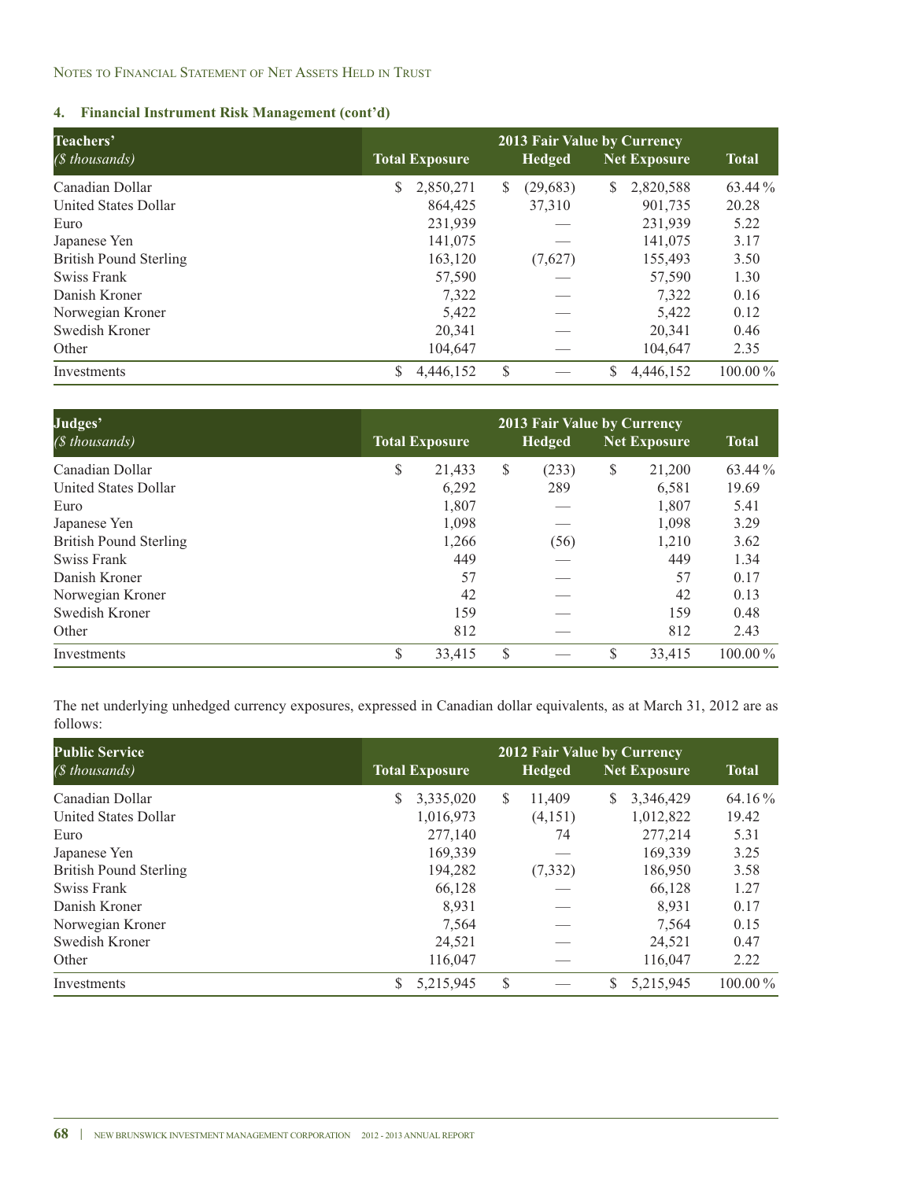| Teachers'                     | <b>2013 Fair Value by Currency</b> |                       |   |               |    |                     |              |  |  |  |
|-------------------------------|------------------------------------|-----------------------|---|---------------|----|---------------------|--------------|--|--|--|
| (\$ thousands)                |                                    | <b>Total Exposure</b> |   | <b>Hedged</b> |    | <b>Net Exposure</b> | <b>Total</b> |  |  |  |
| Canadian Dollar               | S.                                 | 2,850,271             | S | (29,683)      | S  | 2,820,588           | 63.44 %      |  |  |  |
| United States Dollar          |                                    | 864,425               |   | 37,310        |    | 901.735             | 20.28        |  |  |  |
| Euro                          |                                    | 231,939               |   |               |    | 231,939             | 5.22         |  |  |  |
| Japanese Yen                  |                                    | 141,075               |   |               |    | 141,075             | 3.17         |  |  |  |
| <b>British Pound Sterling</b> |                                    | 163,120               |   | (7,627)       |    | 155,493             | 3.50         |  |  |  |
| Swiss Frank                   |                                    | 57,590                |   |               |    | 57,590              | 1.30         |  |  |  |
| Danish Kroner                 |                                    | 7,322                 |   |               |    | 7,322               | 0.16         |  |  |  |
| Norwegian Kroner              |                                    | 5,422                 |   |               |    | 5,422               | 0.12         |  |  |  |
| Swedish Kroner                |                                    | 20,341                |   |               |    | 20,341              | 0.46         |  |  |  |
| Other                         |                                    | 104,647               |   |               |    | 104,647             | 2.35         |  |  |  |
| Investments                   | S                                  | 4,446,152             | S |               | \$ | 4,446,152           | $100.00\,\%$ |  |  |  |

| Judges'<br>( <i>§</i> thousands) | <b>Total Exposure</b> | <b>Total</b> |    |       |              |            |
|----------------------------------|-----------------------|--------------|----|-------|--------------|------------|
| Canadian Dollar                  | \$                    | 21,433       | \$ | (233) | \$<br>21,200 | 63.44 %    |
| United States Dollar             |                       | 6,292        |    | 289   | 6,581        | 19.69      |
| Euro                             |                       | 1,807        |    |       | 1,807        | 5.41       |
| Japanese Yen                     |                       | 1,098        |    |       | 1,098        | 3.29       |
| <b>British Pound Sterling</b>    |                       | 1,266        |    | (56)  | 1,210        | 3.62       |
| Swiss Frank                      |                       | 449          |    |       | 449          | 1.34       |
| Danish Kroner                    |                       | 57           |    |       | 57           | 0.17       |
| Norwegian Kroner                 |                       | 42           |    |       | 42           | 0.13       |
| Swedish Kroner                   |                       | 159          |    |       | 159          | 0.48       |
| Other                            |                       | 812          |    |       | 812          | 2.43       |
| Investments                      | S                     | 33,415       | S  |       | \$<br>33,415 | $100.00\%$ |

The net underlying unhedged currency exposures, expressed in Canadian dollar equivalents, as at March 31, 2012 are as follows:

| <b>Public Service</b>         | <b>2012 Fair Value by Currency</b> |                       |   |               |    |              |              |  |  |  |
|-------------------------------|------------------------------------|-----------------------|---|---------------|----|--------------|--------------|--|--|--|
| (\$ thousands)                |                                    | <b>Total Exposure</b> |   | <b>Hedged</b> |    | Net Exposure | <b>Total</b> |  |  |  |
| Canadian Dollar               | S                                  | 3,335,020             | S | 11.409        | S. | 3,346,429    | 64.16 %      |  |  |  |
| United States Dollar          |                                    | 1,016,973             |   | (4,151)       |    | 1,012,822    | 19.42        |  |  |  |
| Euro                          |                                    | 277,140               |   | 74            |    | 277,214      | 5.31         |  |  |  |
| Japanese Yen                  |                                    | 169,339               |   |               |    | 169.339      | 3.25         |  |  |  |
| <b>British Pound Sterling</b> |                                    | 194,282               |   | (7, 332)      |    | 186,950      | 3.58         |  |  |  |
| Swiss Frank                   |                                    | 66,128                |   |               |    | 66,128       | 1.27         |  |  |  |
| Danish Kroner                 |                                    | 8.931                 |   |               |    | 8.931        | 0.17         |  |  |  |
| Norwegian Kroner              |                                    | 7,564                 |   |               |    | 7,564        | 0.15         |  |  |  |
| Swedish Kroner                |                                    | 24,521                |   |               |    | 24,521       | 0.47         |  |  |  |
| Other                         |                                    | 116,047               |   |               |    | 116,047      | 2.22         |  |  |  |
| Investments                   | S                                  | 5,215,945             | S |               | S  | 5,215,945    | $100.00\%$   |  |  |  |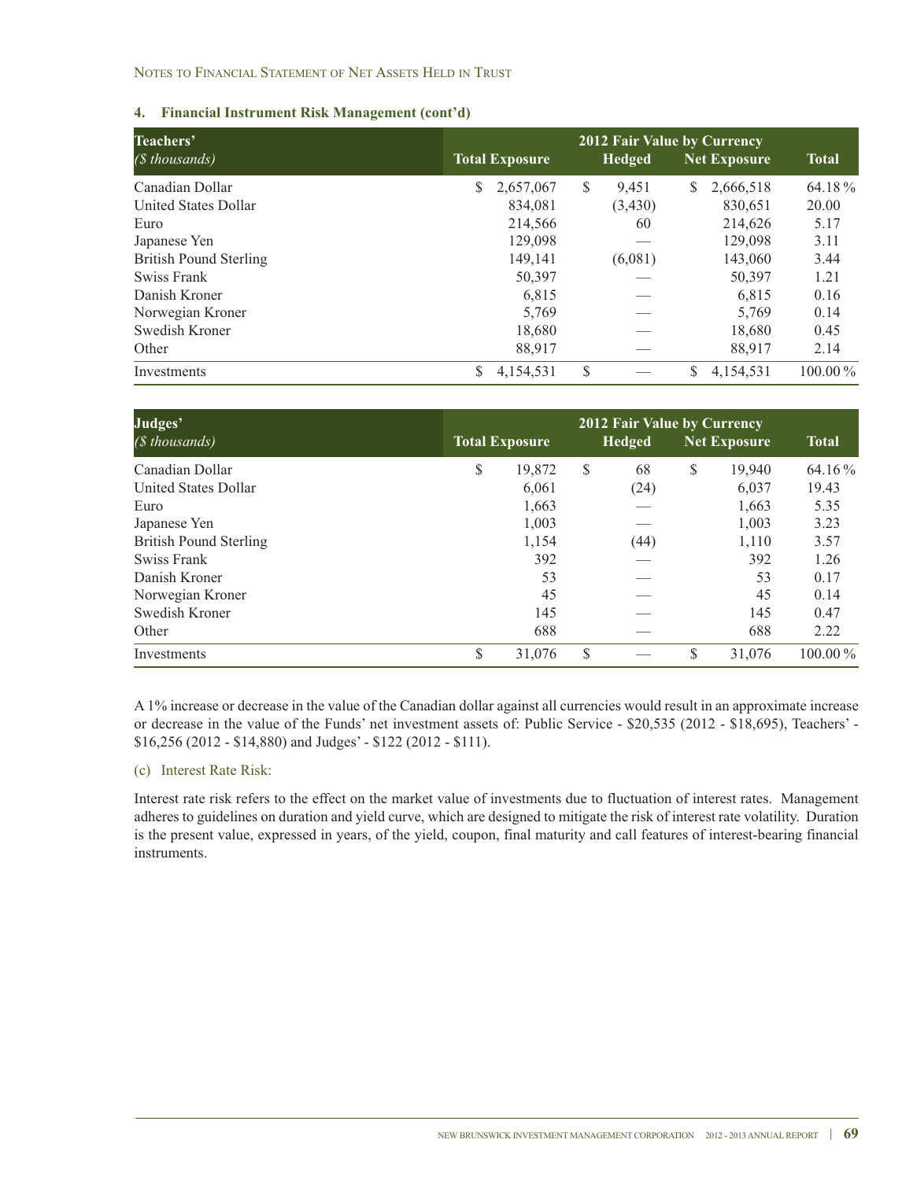### NOTES TO FINANCIAL STATEMENT OF NET ASSETS HELD IN TRUST

### **4. Financial Instrument Risk Management (cont'd)**

| Teachers'                     | <b>2012 Fair Value by Currency</b> |                       |   |               |    |                     |              |  |  |  |
|-------------------------------|------------------------------------|-----------------------|---|---------------|----|---------------------|--------------|--|--|--|
| (\$ thousands)                |                                    | <b>Total Exposure</b> |   | <b>Hedged</b> |    | <b>Net Exposure</b> | <b>Total</b> |  |  |  |
| Canadian Dollar               | \$                                 | 2,657,067             | S | 9,451         | S  | 2,666,518           | 64.18%       |  |  |  |
| <b>United States Dollar</b>   |                                    | 834,081               |   | (3,430)       |    | 830,651             | 20.00        |  |  |  |
| Euro                          |                                    | 214,566               |   | 60            |    | 214,626             | 5.17         |  |  |  |
| Japanese Yen                  |                                    | 129,098               |   |               |    | 129,098             | 3.11         |  |  |  |
| <b>British Pound Sterling</b> |                                    | 149.141               |   | (6,081)       |    | 143,060             | 3.44         |  |  |  |
| Swiss Frank                   |                                    | 50,397                |   |               |    | 50,397              | 1.21         |  |  |  |
| Danish Kroner                 |                                    | 6,815                 |   |               |    | 6,815               | 0.16         |  |  |  |
| Norwegian Kroner              |                                    | 5,769                 |   |               |    | 5,769               | 0.14         |  |  |  |
| Swedish Kroner                |                                    | 18,680                |   |               |    | 18,680              | 0.45         |  |  |  |
| Other                         |                                    | 88,917                |   |               |    | 88,917              | 2.14         |  |  |  |
| Investments                   | \$                                 | 4,154,531             | S |               | \$ | 4,154,531           | $100.00\,\%$ |  |  |  |

| Judges'<br>$(S$ thousands)    | <b>Total Exposure</b> |   | <b>2012 Fair Value by Currency</b><br><b>Hedged</b> | <b>Net Exposure</b> | <b>Total</b> |
|-------------------------------|-----------------------|---|-----------------------------------------------------|---------------------|--------------|
| Canadian Dollar               | \$<br>19,872          | S | 68                                                  | \$<br>19,940        | 64.16 %      |
| United States Dollar          | 6,061                 |   | (24)                                                | 6,037               | 19.43        |
| Euro                          | 1,663                 |   |                                                     | 1,663               | 5.35         |
| Japanese Yen                  | 1,003                 |   |                                                     | 1,003               | 3.23         |
| <b>British Pound Sterling</b> | 1,154                 |   | (44)                                                | 1,110               | 3.57         |
| Swiss Frank                   | 392                   |   |                                                     | 392                 | 1.26         |
| Danish Kroner                 | 53                    |   |                                                     | 53                  | 0.17         |
| Norwegian Kroner              | 45                    |   |                                                     | 45                  | 0.14         |
| Swedish Kroner                | 145                   |   |                                                     | 145                 | 0.47         |
| Other                         | 688                   |   |                                                     | 688                 | 2.22         |
| Investments                   | \$<br>31,076          | S |                                                     | \$<br>31,076        | $100.00\,\%$ |

A 1% increase or decrease in the value of the Canadian dollar against all currencies would result in an approximate increase or decrease in the value of the Funds' net investment assets of: Public Service - \$20,535 (2012 - \$18,695), Teachers' - \$16,256 (2012 - \$14,880) and Judges' - \$122 (2012 - \$111).

### (c) Interest Rate Risk:

Interest rate risk refers to the effect on the market value of investments due to fluctuation of interest rates. Management adheres to guidelines on duration and yield curve, which are designed to mitigate the risk of interest rate volatility. Duration is the present value, expressed in years, of the yield, coupon, final maturity and call features of interest-bearing financial instruments.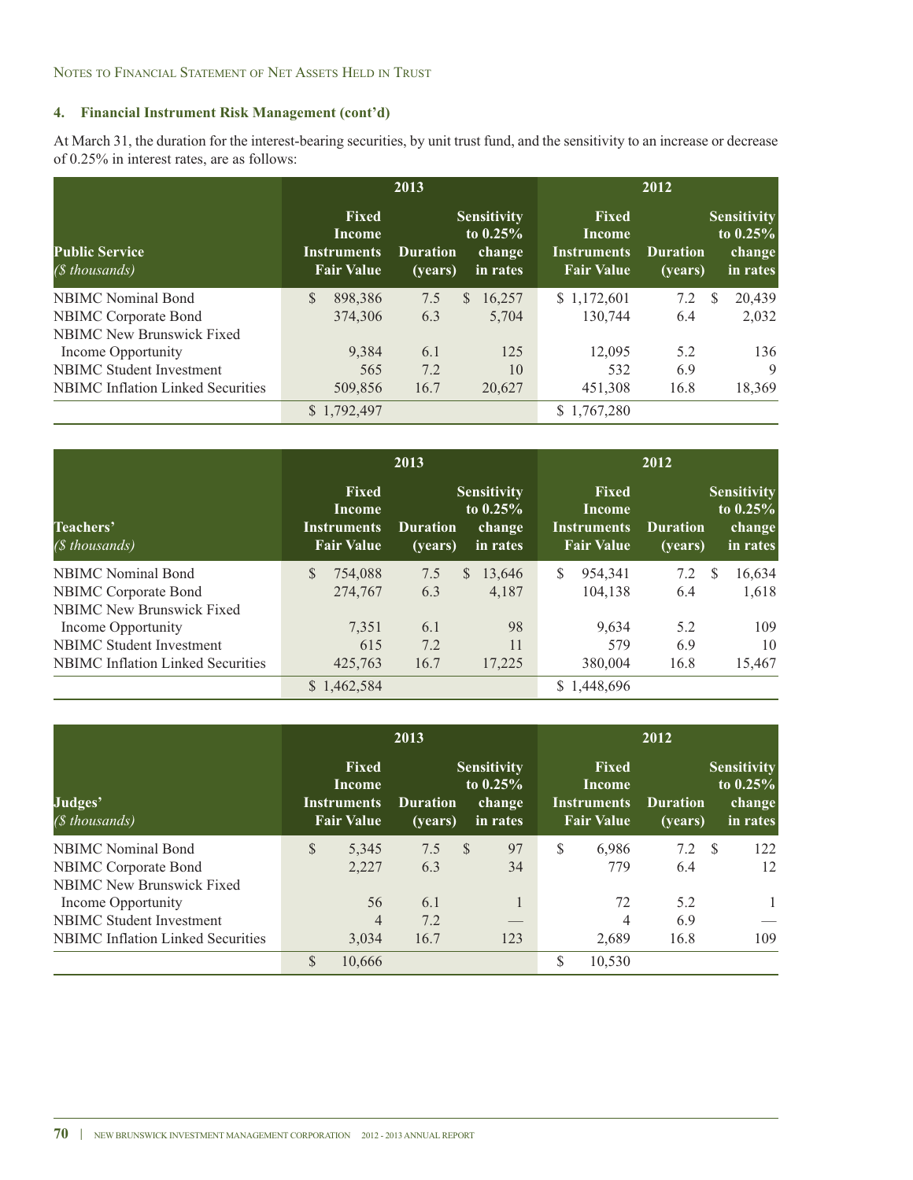At March 31, the duration for the interest-bearing securities, by unit trust fund, and the sensitivity to an increase or decrease of 0.25% in interest rates, are as follows:

|                                          |                                                                   | 2013                                |                                                         | 2012                                                              |                            |                                                        |  |  |
|------------------------------------------|-------------------------------------------------------------------|-------------------------------------|---------------------------------------------------------|-------------------------------------------------------------------|----------------------------|--------------------------------------------------------|--|--|
| <b>Public Service</b><br>(\$ thousands)  | <b>Fixed</b><br>Income<br><b>Instruments</b><br><b>Fair Value</b> | <b>Duration</b><br>( <b>years</b> ) | <b>Sensitivity</b><br>to $0.25\%$<br>change<br>in rates | Fixed<br><b>Income</b><br><b>Instruments</b><br><b>Fair Value</b> | <b>Duration</b><br>(years) | <b>Sensitivity</b><br>to $0.25%$<br>change<br>in rates |  |  |
| <b>NBIMC</b> Nominal Bond                | S.<br>898,386                                                     | 7.5                                 | 16,257<br>S.                                            | \$1,172,601                                                       | 7.2                        | 20.439<br>S                                            |  |  |
| <b>NBIMC Corporate Bond</b>              | 374,306                                                           | 6.3                                 | 5.704                                                   | 130,744                                                           | 6.4                        | 2,032                                                  |  |  |
| <b>NBIMC</b> New Brunswick Fixed         |                                                                   |                                     |                                                         |                                                                   |                            |                                                        |  |  |
| Income Opportunity                       | 9,384                                                             | 6.1                                 | 125                                                     | 12,095                                                            | 5.2                        | 136                                                    |  |  |
| <b>NBIMC</b> Student Investment          | 565                                                               | 7.2                                 | 10                                                      | 532                                                               | 6.9                        | 9                                                      |  |  |
| <b>NBIMC</b> Inflation Linked Securities | 509,856                                                           | 16.7                                | 20,627                                                  | 451,308                                                           | 16.8                       | 18,369                                                 |  |  |
|                                          | \$1,792,497                                                       |                                     |                                                         | \$1,767,280                                                       |                            |                                                        |  |  |

|                                          |                                                                   | 2013                       |                                                        | 2012                                                       |                            |                                                         |  |  |  |
|------------------------------------------|-------------------------------------------------------------------|----------------------------|--------------------------------------------------------|------------------------------------------------------------|----------------------------|---------------------------------------------------------|--|--|--|
| Teachers'<br>(\$ thousands)              | <b>Fixed</b><br>Income<br><b>Instruments</b><br><b>Fair Value</b> | <b>Duration</b><br>(vears) | <b>Sensitivity</b><br>to $0.25%$<br>change<br>in rates | Fixed<br>Income<br><b>Instruments</b><br><b>Fair Value</b> | <b>Duration</b><br>(vears) | <b>Sensitivity</b><br>to $0.25\%$<br>change<br>in rates |  |  |  |
| <b>NBIMC</b> Nominal Bond                | 754,088                                                           | 7.5                        | 13,646<br>S.                                           | \$<br>954,341                                              | 7.2                        | 16,634<br>S                                             |  |  |  |
| NBIMC Corporate Bond                     | 274,767                                                           | 6.3                        | 4,187                                                  | 104.138                                                    | 6.4                        | 1,618                                                   |  |  |  |
| <b>NBIMC New Brunswick Fixed</b>         |                                                                   |                            |                                                        |                                                            |                            |                                                         |  |  |  |
| Income Opportunity                       | 7,351                                                             | 6.1                        | 98                                                     | 9.634                                                      | 5.2                        | 109                                                     |  |  |  |
| <b>NBIMC</b> Student Investment          | 615                                                               | 7.2                        | 11                                                     | 579                                                        | 6.9                        | 10                                                      |  |  |  |
| <b>NBIMC</b> Inflation Linked Securities | 425,763                                                           | 16.7                       | 17,225                                                 | 380,004                                                    | 16.8                       | 15,467                                                  |  |  |  |
|                                          | \$1,462,584                                                       |                            |                                                        | \$1,448,696                                                |                            |                                                         |  |  |  |

|                                          |               |                                                                   | 2013                                |                                                        | 2012                                                              |                            |  |                                                        |  |  |
|------------------------------------------|---------------|-------------------------------------------------------------------|-------------------------------------|--------------------------------------------------------|-------------------------------------------------------------------|----------------------------|--|--------------------------------------------------------|--|--|
| Judges'<br>(\$ thousands)                |               | <b>Fixed</b><br>Income<br><b>Instruments</b><br><b>Fair Value</b> | <b>Duration</b><br>$\sqrt{(years)}$ | <b>Sensitivity</b><br>to $0.25%$<br>change<br>in rates | <b>Fixed</b><br>Income<br><b>Instruments</b><br><b>Fair Value</b> | <b>Duration</b><br>(vears) |  | <b>Sensitivity</b><br>to $0.25%$<br>change<br>in rates |  |  |
| <b>NBIMC</b> Nominal Bond                | $\mathbb{S}$  | 5,345                                                             | 7.5                                 | 97<br><sup>\$</sup>                                    | \$<br>6.986                                                       | 7.2 <sup>5</sup>           |  | 122                                                    |  |  |
| <b>NBIMC</b> Corporate Bond              |               | 2,227                                                             | 6.3                                 | 34                                                     | 779                                                               | 6.4                        |  | 12                                                     |  |  |
| <b>NBIMC New Brunswick Fixed</b>         |               |                                                                   |                                     |                                                        |                                                                   |                            |  |                                                        |  |  |
| Income Opportunity                       |               | 56                                                                | 6.1                                 | 1                                                      | 72                                                                | 5.2                        |  | $\mathbf{1}$                                           |  |  |
| <b>NBIMC</b> Student Investment          |               | 4                                                                 | 7.2                                 |                                                        | 4                                                                 | 6.9                        |  |                                                        |  |  |
| <b>NBIMC</b> Inflation Linked Securities |               | 3,034                                                             | 16.7                                | 123                                                    | 2,689                                                             | 16.8                       |  | 109                                                    |  |  |
|                                          | $\mathcal{S}$ | 10,666                                                            |                                     |                                                        | \$<br>10,530                                                      |                            |  |                                                        |  |  |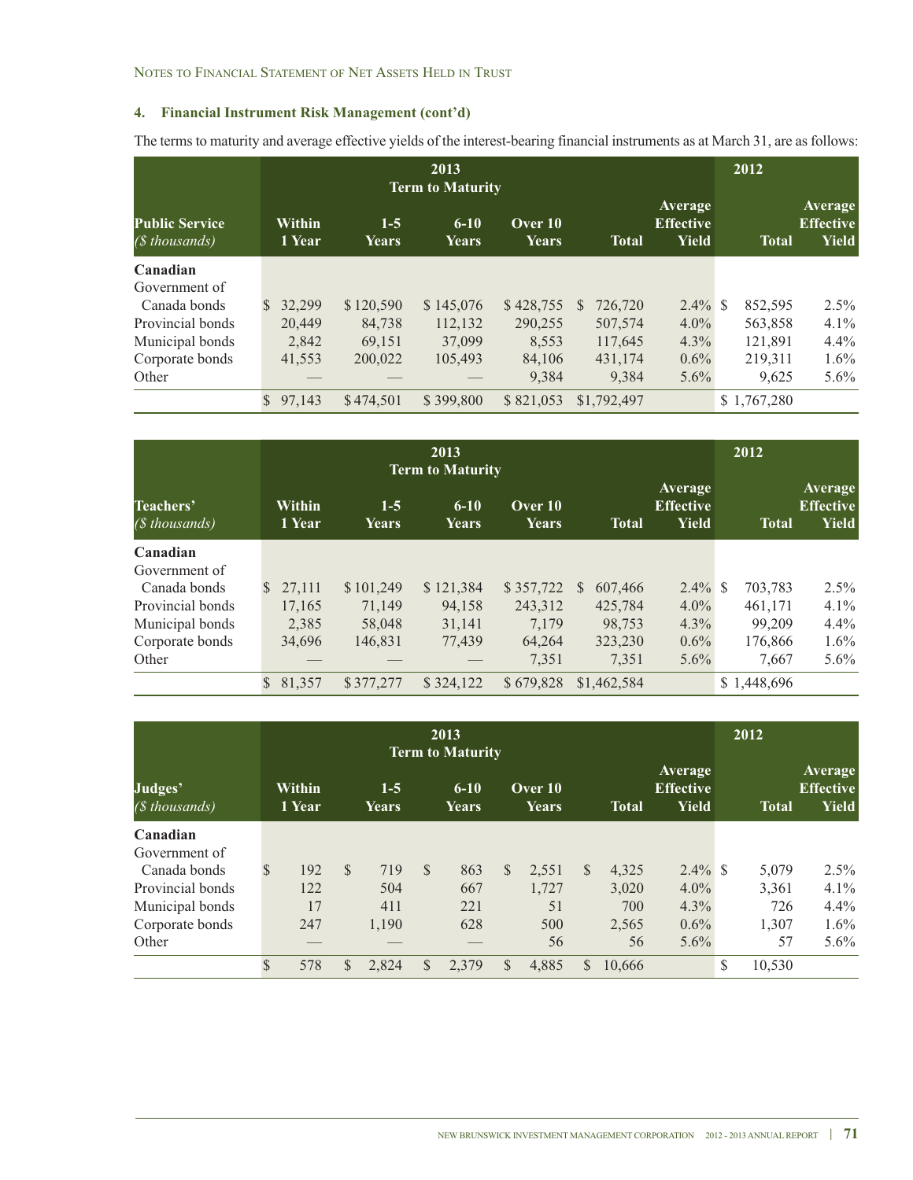The terms to maturity and average effective yields of the interest-bearing financial instruments as at March 31, are as follows:

| 2013<br><b>Term to Maturity</b>         |               |                  |                       |                   |                  |    |              |                                             |  | 2012         |                                             |
|-----------------------------------------|---------------|------------------|-----------------------|-------------------|------------------|----|--------------|---------------------------------------------|--|--------------|---------------------------------------------|
| <b>Public Service</b><br>(\$ thousands) |               | Within<br>1 Year | $1-5$<br><b>Years</b> | $6 - 10$<br>Years | Over 10<br>Years |    | <b>Total</b> | Average<br><b>Effective</b><br><b>Yield</b> |  | <b>Total</b> | Average<br><b>Effective</b><br><b>Yield</b> |
| Canadian                                |               |                  |                       |                   |                  |    |              |                                             |  |              |                                             |
| Government of                           |               |                  |                       |                   |                  |    |              |                                             |  |              |                                             |
| Canada bonds                            | <sup>\$</sup> | 32,299           | \$120,590             | \$145,076         | \$428,755        | \$ | 726,720      | $2.4\%$ \$                                  |  | 852,595      | $2.5\%$                                     |
| Provincial bonds                        |               | 20,449           | 84,738                | 112,132           | 290,255          |    | 507,574      | $4.0\%$                                     |  | 563,858      | 4.1%                                        |
| Municipal bonds                         |               | 2.842            | 69,151                | 37,099            | 8.553            |    | 117,645      | $4.3\%$                                     |  | 121,891      | $4.4\%$                                     |
| Corporate bonds                         |               | 41,553           | 200,022               | 105,493           | 84,106           |    | 431,174      | $0.6\%$                                     |  | 219,311      | $1.6\%$                                     |
| Other                                   |               |                  |                       |                   | 9.384            |    | 9,384        | $5.6\%$                                     |  | 9,625        | $5.6\%$                                     |
|                                         | $\mathcal{S}$ | 97,143           | \$474,501             | \$399,800         | \$821,053        |    | \$1,792,497  |                                             |  | \$1,767,280  |                                             |

|                              |               |                  | 2012                  |                                              |                         |               |                                             |    |              |                                             |
|------------------------------|---------------|------------------|-----------------------|----------------------------------------------|-------------------------|---------------|---------------------------------------------|----|--------------|---------------------------------------------|
| Teachers'<br>$(S$ thousands) |               | Within<br>1 Year | $1-5$<br><b>Years</b> | <b>Term to Maturity</b><br>$6 - 10$<br>Years | Over 10<br><b>Years</b> | <b>Total</b>  | Average<br><b>Effective</b><br><b>Yield</b> |    | <b>Total</b> | Average<br><b>Effective</b><br><b>Yield</b> |
| Canadian                     |               |                  |                       |                                              |                         |               |                                             |    |              |                                             |
| Government of                |               |                  |                       |                                              |                         |               |                                             |    |              |                                             |
| Canada bonds                 | <sup>\$</sup> | 27,111           | \$101,249             | \$121,384                                    | \$357,722               | \$<br>607,466 | $2.4\%$                                     | -S | 703,783      | $2.5\%$                                     |
| Provincial bonds             |               | 17,165           | 71,149                | 94,158                                       | 243,312                 | 425,784       | $4.0\%$                                     |    | 461,171      | $4.1\%$                                     |
| Municipal bonds              |               | 2,385            | 58,048                | 31,141                                       | 7,179                   | 98,753        | $4.3\%$                                     |    | 99,209       | $4.4\%$                                     |
| Corporate bonds              |               | 34,696           | 146,831               | 77,439                                       | 64,264                  | 323,230       | $0.6\%$                                     |    | 176,866      | $1.6\%$                                     |
| Other                        |               |                  |                       |                                              | 7,351                   | 7,351         | $5.6\%$                                     |    | 7,667        | $5.6\%$                                     |
|                              | $\mathbb{S}$  | 81,357           | \$377,277             | \$324,122                                    | \$679,828               | \$1,462,584   |                                             |    | \$1,448,696  |                                             |

|                           |               | 2013<br><b>Term to Maturity</b> |               |                  |               |                   |              |                  |    |              |                                      | 2012 |              |                                             |  |
|---------------------------|---------------|---------------------------------|---------------|------------------|---------------|-------------------|--------------|------------------|----|--------------|--------------------------------------|------|--------------|---------------------------------------------|--|
| Judges'<br>(\$ thousands) |               | Within<br>1 Year                |               | $1 - 5$<br>Years |               | $6 - 10$<br>Years |              | Over 10<br>Years |    | <b>Total</b> | Average<br><b>Effective</b><br>Yield |      | <b>Total</b> | Average<br><b>Effective</b><br><b>Yield</b> |  |
| Canadian                  |               |                                 |               |                  |               |                   |              |                  |    |              |                                      |      |              |                                             |  |
| Government of             |               |                                 |               |                  |               |                   |              |                  |    |              |                                      |      |              |                                             |  |
| Canada bonds              | \$            | 192                             | $\mathcal{S}$ | 719              | <sup>\$</sup> | 863               | $\mathbb{S}$ | 2,551            | S  | 4,325        | $2.4\%$ \$                           |      | 5,079        | $2.5\%$                                     |  |
| Provincial bonds          |               | 122                             |               | 504              |               | 667               |              | 1,727            |    | 3,020        | $4.0\%$                              |      | 3,361        | 4.1%                                        |  |
| Municipal bonds           |               | 17                              |               | 411              |               | 221               |              | 51               |    | 700          | $4.3\%$                              |      | 726          | $4.4\%$                                     |  |
| Corporate bonds           |               | 247                             |               | 1,190            |               | 628               |              | 500              |    | 2,565        | $0.6\%$                              |      | 1,307        | $1.6\%$                                     |  |
| Other                     |               |                                 |               |                  |               |                   |              | 56               |    | 56           | $5.6\%$                              |      | 57           | $5.6\%$                                     |  |
|                           | $\mathcal{S}$ | 578                             | \$            | 2,824            | \$            | 2,379             | $\mathbb{S}$ | 4,885            | \$ | 10,666       |                                      | S    | 10,530       |                                             |  |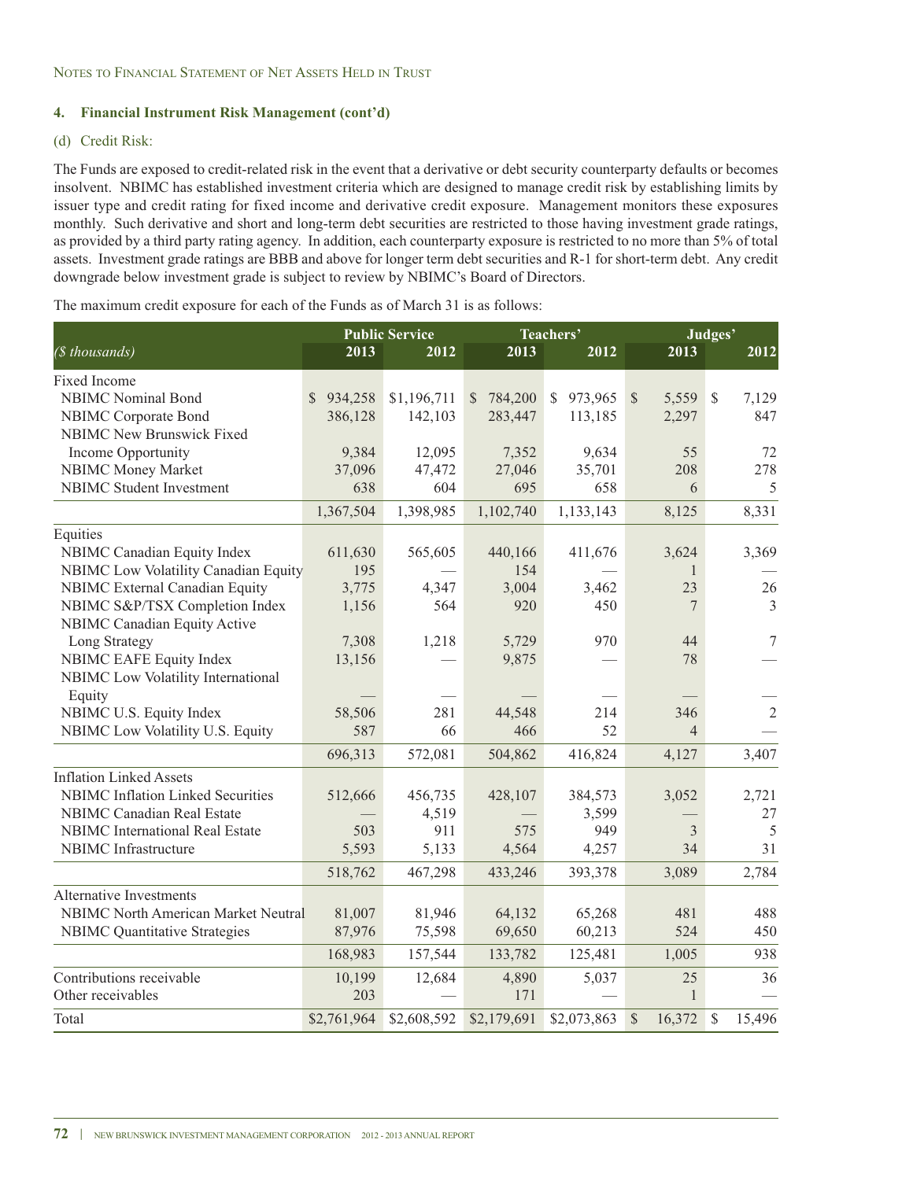### (d) Credit Risk:

The Funds are exposed to credit-related risk in the event that a derivative or debt security counterparty defaults or becomes insolvent. NBIMC has established investment criteria which are designed to manage credit risk by establishing limits by issuer type and credit rating for fixed income and derivative credit exposure. Management monitors these exposures monthly. Such derivative and short and long-term debt securities are restricted to those having investment grade ratings, as provided by a third party rating agency. In addition, each counterparty exposure is restricted to no more than 5% of total assets. Investment grade ratings are BBB and above for longer term debt securities and R-1 for short-term debt. Any credit downgrade below investment grade is subject to review by NBIMC's Board of Directors.

The maximum credit exposure for each of the Funds as of March 31 is as follows:

|                                            |               | <b>Public Service</b> |                         | Teachers'               | Judges'                 |                        |  |  |
|--------------------------------------------|---------------|-----------------------|-------------------------|-------------------------|-------------------------|------------------------|--|--|
| (\$ thousands)                             | 2013          | 2012                  | 2013                    | 2012                    | 2013                    | 2012                   |  |  |
| Fixed Income                               |               |                       |                         |                         |                         |                        |  |  |
| <b>NBIMC</b> Nominal Bond                  | \$<br>934,258 | \$1,196,711           | 784,200<br>$\mathbb{S}$ | 973,965<br>$\mathbb{S}$ | $\mathcal{S}$<br>5,559  | $\mathcal{S}$<br>7,129 |  |  |
| <b>NBIMC</b> Corporate Bond                | 386,128       | 142,103               | 283,447                 | 113,185                 | 2,297                   | 847                    |  |  |
| <b>NBIMC New Brunswick Fixed</b>           |               |                       |                         |                         |                         |                        |  |  |
| Income Opportunity                         | 9,384         | 12,095                | 7,352                   | 9,634                   | 55                      | 72                     |  |  |
| NBIMC Money Market                         | 37,096        | 47,472                | 27,046                  | 35,701                  | 208                     | 278                    |  |  |
| <b>NBIMC</b> Student Investment            | 638           | 604                   | 695                     | 658                     | 6                       | 5                      |  |  |
|                                            | 1,367,504     | 1,398,985             | 1,102,740               | 1,133,143               | 8,125                   | 8,331                  |  |  |
| Equities                                   |               |                       |                         |                         |                         |                        |  |  |
| NBIMC Canadian Equity Index                | 611,630       | 565,605               | 440,166                 | 411,676                 | 3,624                   | 3,369                  |  |  |
| NBIMC Low Volatility Canadian Equity       | 195           |                       | 154                     |                         | $\mathbf{1}$            |                        |  |  |
| <b>NBIMC</b> External Canadian Equity      | 3,775         | 4,347                 | 3,004                   | 3,462                   | 23                      | 26                     |  |  |
| NBIMC S&P/TSX Completion Index             | 1,156         | 564                   | 920                     | 450                     | 7                       | 3                      |  |  |
| <b>NBIMC</b> Canadian Equity Active        |               |                       |                         |                         |                         |                        |  |  |
| Long Strategy                              | 7,308         | 1,218                 | 5,729                   | 970                     | 44                      | 7                      |  |  |
| <b>NBIMC EAFE Equity Index</b>             | 13,156        |                       | 9,875                   |                         | 78                      |                        |  |  |
| NBIMC Low Volatility International         |               |                       |                         |                         |                         |                        |  |  |
| Equity                                     |               |                       |                         |                         |                         |                        |  |  |
| NBIMC U.S. Equity Index                    | 58,506        | 281                   | 44,548                  | 214                     | 346                     | $\sqrt{2}$             |  |  |
| NBIMC Low Volatility U.S. Equity           | 587           | 66                    | 466                     | 52                      | $\overline{4}$          |                        |  |  |
|                                            | 696,313       | 572,081               | 504,862                 | 416,824                 | 4,127                   | 3,407                  |  |  |
| <b>Inflation Linked Assets</b>             |               |                       |                         |                         |                         |                        |  |  |
| <b>NBIMC</b> Inflation Linked Securities   | 512,666       | 456,735               | 428,107                 | 384,573                 | 3,052                   | 2,721                  |  |  |
| <b>NBIMC Canadian Real Estate</b>          |               | 4,519                 |                         | 3,599                   |                         | 27                     |  |  |
| <b>NBIMC</b> International Real Estate     | 503           | 911                   | 575                     | 949                     | $\overline{3}$          | 5                      |  |  |
| NBIMC Infrastructure                       | 5,593         | 5,133                 | 4,564                   | 4,257                   | 34                      | 31                     |  |  |
|                                            | 518,762       | 467,298               | 433,246                 | 393,378                 | 3,089                   | 2,784                  |  |  |
| <b>Alternative Investments</b>             |               |                       |                         |                         |                         |                        |  |  |
| <b>NBIMC North American Market Neutral</b> | 81,007        | 81,946                | 64,132                  | 65,268                  | 481                     | 488                    |  |  |
| <b>NBIMC</b> Quantitative Strategies       | 87,976        | 75,598                | 69,650                  | 60,213                  | 524                     | 450                    |  |  |
|                                            | 168,983       | 157,544               | 133,782                 | 125,481                 | 1,005                   | 938                    |  |  |
| Contributions receivable                   | 10,199        | 12,684                | 4,890                   | 5,037                   | 25                      | 36                     |  |  |
| Other receivables                          | 203           |                       | 171                     |                         | 1                       |                        |  |  |
| Total                                      | \$2,761,964   | \$2,608,592           | \$2,179,691             | \$2,073,863             | $\mathcal{S}$<br>16,372 | \$<br>15,496           |  |  |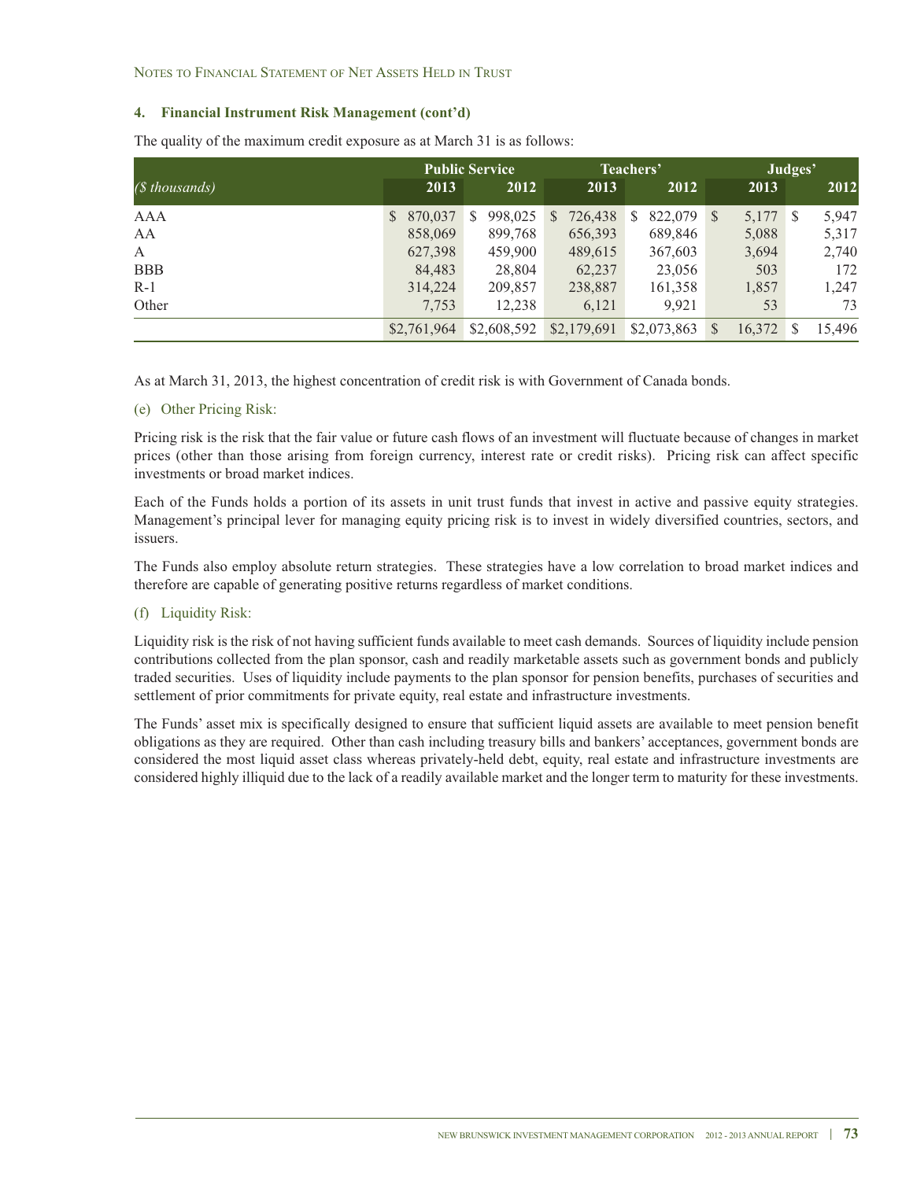NOTES TO FINANCIAL STATEMENT OF NET ASSETS HELD IN TRUST

### **4. Financial Instrument Risk Management (cont'd)**

|                |             | <b>Public Service</b> |              | Teachers'    | Judges'                |                       |  |
|----------------|-------------|-----------------------|--------------|--------------|------------------------|-----------------------|--|
| (\$ thousands) | 2013        | 2012                  | 2013         | 2012         | 2013                   | 2012                  |  |
| AAA            | \$ 870,037  | 998,025<br>S          | 726,438<br>S | 822,079<br>S | 5,177<br><sup>S</sup>  | 5,947<br><sup>S</sup> |  |
| AA             | 858,069     | 899,768               | 656,393      | 689,846      | 5,088                  | 5,317                 |  |
| A              | 627,398     | 459,900               | 489,615      | 367,603      | 3,694                  | 2,740                 |  |
| <b>BBB</b>     | 84,483      | 28,804                | 62,237       | 23,056       | 503                    | 172                   |  |
| $R-1$          | 314,224     | 209,857               | 238,887      | 161,358      | 1,857                  | 1,247                 |  |
| Other          | 7,753       | 12,238                | 6,121        | 9.921        | 53                     | 73                    |  |
|                | \$2,761,964 | \$2,608,592           | \$2,179,691  | \$2,073,863  | 16,372<br><sup>S</sup> | 15.496<br>\$          |  |

The quality of the maximum credit exposure as at March 31 is as follows:

As at March 31, 2013, the highest concentration of credit risk is with Government of Canada bonds.

(e) Other Pricing Risk:

Pricing risk is the risk that the fair value or future cash flows of an investment will fluctuate because of changes in market prices (other than those arising from foreign currency, interest rate or credit risks). Pricing risk can affect specific investments or broad market indices.

Each of the Funds holds a portion of its assets in unit trust funds that invest in active and passive equity strategies. Management's principal lever for managing equity pricing risk is to invest in widely diversified countries, sectors, and issuers.

The Funds also employ absolute return strategies. These strategies have a low correlation to broad market indices and therefore are capable of generating positive returns regardless of market conditions.

### (f) Liquidity Risk:

Liquidity risk is the risk of not having sufficient funds available to meet cash demands. Sources of liquidity include pension contributions collected from the plan sponsor, cash and readily marketable assets such as government bonds and publicly traded securities. Uses of liquidity include payments to the plan sponsor for pension benefits, purchases of securities and settlement of prior commitments for private equity, real estate and infrastructure investments.

The Funds' asset mix is specifically designed to ensure that sufficient liquid assets are available to meet pension benefit obligations as they are required. Other than cash including treasury bills and bankers' acceptances, government bonds are considered the most liquid asset class whereas privately-held debt, equity, real estate and infrastructure investments are considered highly illiquid due to the lack of a readily available market and the longer term to maturity for these investments.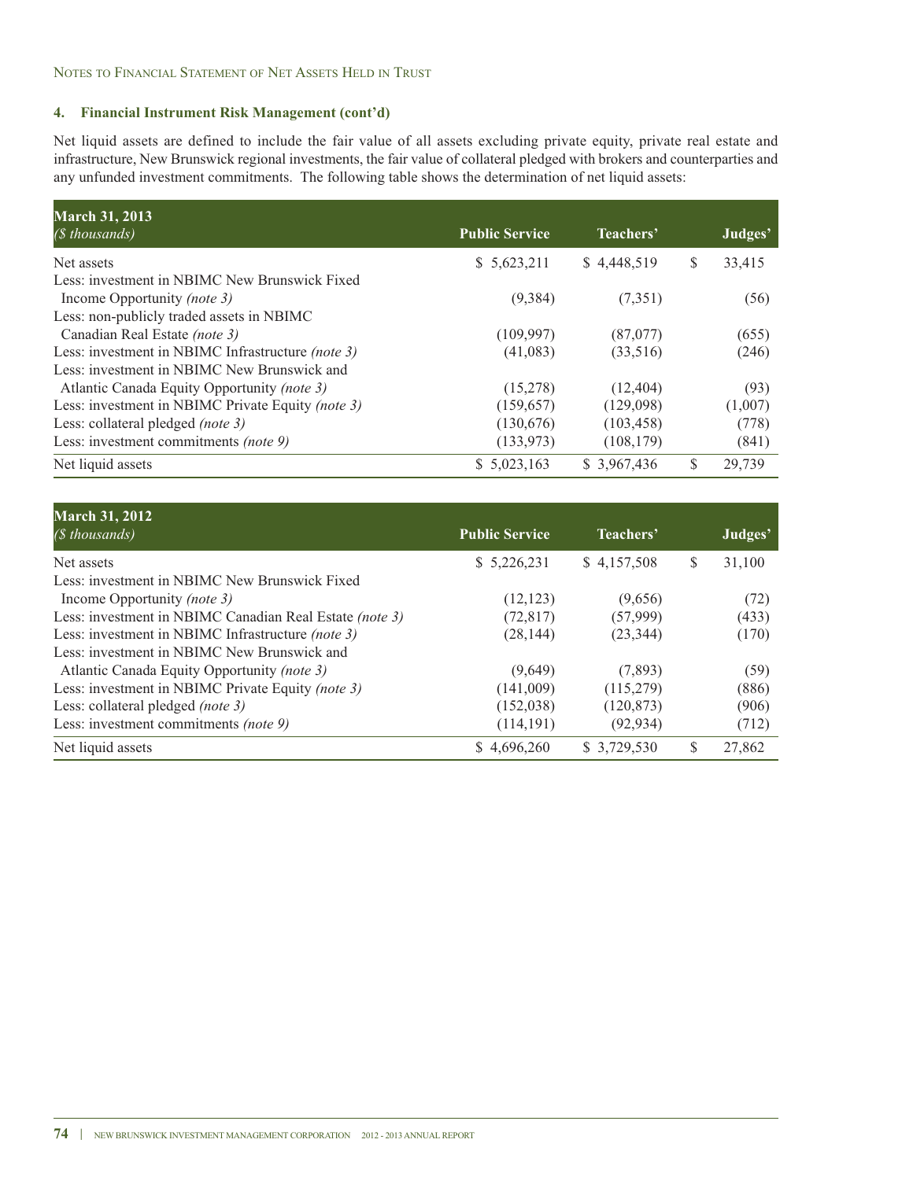NOTES TO FINANCIAL STATEMENT OF NET ASSETS HELD IN TRUST

### **4. Financial Instrument Risk Management (cont'd)**

Net liquid assets are defined to include the fair value of all assets excluding private equity, private real estate and infrastructure, New Brunswick regional investments, the fair value of collateral pledged with brokers and counterparties and any unfunded investment commitments. The following table shows the determination of net liquid assets:

| <b>March 31, 2013</b>                             |                       |              |   |         |
|---------------------------------------------------|-----------------------|--------------|---|---------|
| (\$ thousands)                                    | <b>Public Service</b> | Teachers'    |   | Judges' |
| Net assets                                        | \$5,623,211           | \$4,448,519  | S | 33,415  |
| Less: investment in NBIMC New Brunswick Fixed     |                       |              |   |         |
| Income Opportunity (note 3)                       | (9,384)               | (7,351)      |   | (56)    |
| Less: non-publicly traded assets in NBIMC         |                       |              |   |         |
| Canadian Real Estate (note 3)                     | (109, 997)            | (87,077)     |   | (655)   |
| Less: investment in NBIMC Infrastructure (note 3) | (41,083)              | (33,516)     |   | (246)   |
| Less: investment in NBIMC New Brunswick and       |                       |              |   |         |
| Atlantic Canada Equity Opportunity (note 3)       | (15,278)              | (12, 404)    |   | (93)    |
| Less: investment in NBIMC Private Equity (note 3) | (159,657)             | (129,098)    |   | (1,007) |
| Less: collateral pledged (note 3)                 | (130,676)             | (103, 458)   |   | (778)   |
| Less: investment commitments (note 9)             | (133, 973)            | (108, 179)   |   | (841)   |
| Net liquid assets                                 | \$5,023,163           | \$ 3,967,436 | S | 29,739  |

| <b>March 31, 2012</b>                                   |                       |              |              |
|---------------------------------------------------------|-----------------------|--------------|--------------|
| ( <i>§</i> thousands)                                   | <b>Public Service</b> | Teachers'    | Judges'      |
| Net assets                                              | \$5,226,231           | \$4,157,508  | \$<br>31,100 |
| Less: investment in NBIMC New Brunswick Fixed           |                       |              |              |
| Income Opportunity (note 3)                             | (12, 123)             | (9,656)      | (72)         |
| Less: investment in NBIMC Canadian Real Estate (note 3) | (72, 817)             | (57,999)     | (433)        |
| Less: investment in NBIMC Infrastructure (note 3)       | (28, 144)             | (23, 344)    | (170)        |
| Less: investment in NBIMC New Brunswick and             |                       |              |              |
| Atlantic Canada Equity Opportunity (note 3)             | (9,649)               | (7,893)      | (59)         |
| Less: investment in NBIMC Private Equity (note 3)       | (141,009)             | (115,279)    | (886)        |
| Less: collateral pledged (note 3)                       | (152, 038)            | (120, 873)   | (906)        |
| Less: investment commitments (note 9)                   | (114, 191)            | (92, 934)    | (712)        |
| Net liquid assets                                       | \$4.696,260           | \$ 3,729,530 | \$<br>27,862 |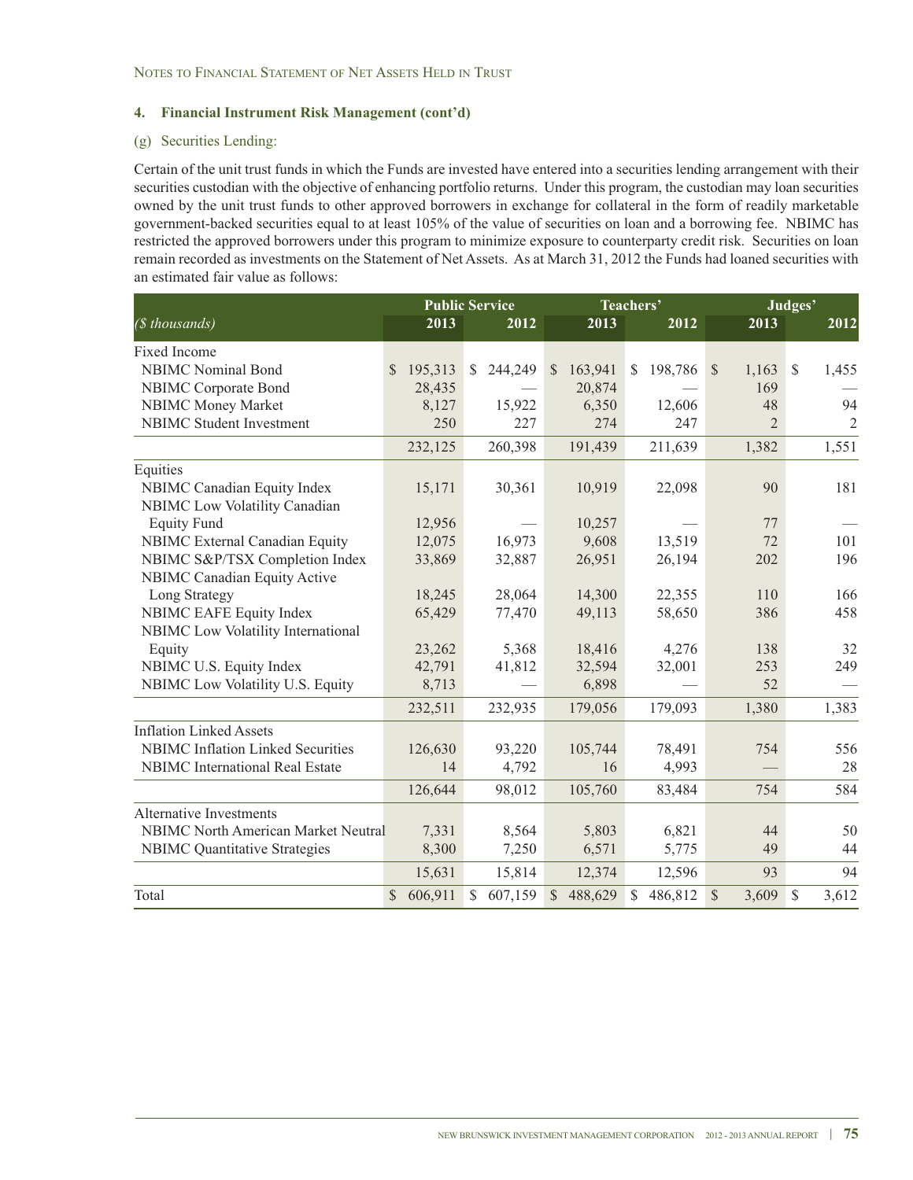### (g) Securities Lending:

Certain of the unit trust funds in which the Funds are invested have entered into a securities lending arrangement with their securities custodian with the objective of enhancing portfolio returns. Under this program, the custodian may loan securities owned by the unit trust funds to other approved borrowers in exchange for collateral in the form of readily marketable government-backed securities equal to at least 105% of the value of securities on loan and a borrowing fee. NBIMC has restricted the approved borrowers under this program to minimize exposure to counterparty credit risk. Securities on loan remain recorded as investments on the Statement of Net Assets. As at March 31, 2012 the Funds had loaned securities with an estimated fair value as follows:

|                                          |                         | <b>Public Service</b>   |                         | Teachers'    |                       | Judges'                |
|------------------------------------------|-------------------------|-------------------------|-------------------------|--------------|-----------------------|------------------------|
| (\$ thousands)                           | 2013                    | 2012                    | 2013                    | 2012         | 2013                  | 2012                   |
| Fixed Income                             |                         |                         |                         |              |                       |                        |
| <b>NBIMC</b> Nominal Bond                | 195,313<br>S.           | 244,249<br><sup>S</sup> | 163,941<br>$\mathbb{S}$ | 198,786<br>S | $\mathbb{S}$<br>1,163 | <sup>\$</sup><br>1,455 |
| NBIMC Corporate Bond                     | 28,435                  |                         | 20,874                  |              | 169                   |                        |
| <b>NBIMC Money Market</b>                | 8,127                   | 15,922                  | 6,350                   | 12,606       | 48                    | 94                     |
| <b>NBIMC</b> Student Investment          | 250                     | 227                     | 274                     | 247          | $\overline{2}$        | $\overline{2}$         |
|                                          | 232,125                 | 260,398                 | 191,439                 | 211,639      | 1,382                 | 1,551                  |
| Equities                                 |                         |                         |                         |              |                       |                        |
| NBIMC Canadian Equity Index              | 15,171                  | 30,361                  | 10,919                  | 22,098       | 90                    | 181                    |
| NBIMC Low Volatility Canadian            |                         |                         |                         |              |                       |                        |
| <b>Equity Fund</b>                       | 12,956                  |                         | 10,257                  |              | 77                    |                        |
| <b>NBIMC</b> External Canadian Equity    | 12,075                  | 16,973                  | 9,608                   | 13,519       | 72                    | 101                    |
| NBIMC S&P/TSX Completion Index           | 33,869                  | 32,887                  | 26,951                  | 26,194       | 202                   | 196                    |
| NBIMC Canadian Equity Active             |                         |                         |                         |              |                       |                        |
| Long Strategy                            | 18,245                  | 28,064                  | 14,300                  | 22,355       | 110                   | 166                    |
| <b>NBIMC EAFE Equity Index</b>           | 65,429                  | 77,470                  | 49,113                  | 58,650       | 386                   | 458                    |
| NBIMC Low Volatility International       |                         |                         |                         |              |                       |                        |
| Equity                                   | 23,262                  | 5,368                   | 18,416                  | 4,276        | 138                   | 32                     |
| NBIMC U.S. Equity Index                  | 42,791                  | 41,812                  | 32,594                  | 32,001       | 253                   | 249                    |
| NBIMC Low Volatility U.S. Equity         | 8,713                   |                         | 6,898                   |              | 52                    |                        |
|                                          | 232,511                 | 232,935                 | 179,056                 | 179,093      | 1,380                 | 1,383                  |
| <b>Inflation Linked Assets</b>           |                         |                         |                         |              |                       |                        |
| <b>NBIMC</b> Inflation Linked Securities | 126,630                 | 93,220                  | 105,744                 | 78,491       | 754                   | 556                    |
| <b>NBIMC</b> International Real Estate   | 14                      | 4,792                   | 16                      | 4,993        |                       | 28                     |
|                                          | 126,644                 | 98,012                  | 105,760                 | 83,484       | 754                   | 584                    |
| <b>Alternative Investments</b>           |                         |                         |                         |              |                       |                        |
| NBIMC North American Market Neutral      | 7,331                   | 8,564                   | 5,803                   | 6,821        | 44                    | 50                     |
| <b>NBIMC</b> Quantitative Strategies     | 8,300                   | 7,250                   | 6,571                   | 5,775        | 49                    | 44                     |
|                                          | 15,631                  | 15,814                  | 12,374                  | 12,596       | 93                    | 94                     |
| Total                                    | 606,911<br>$\mathbb{S}$ | 607,159<br>\$           | 488,629<br>$\mathbb{S}$ | 486,812<br>S | 3,609<br>$\mathbb{S}$ | $\mathbb{S}$<br>3,612  |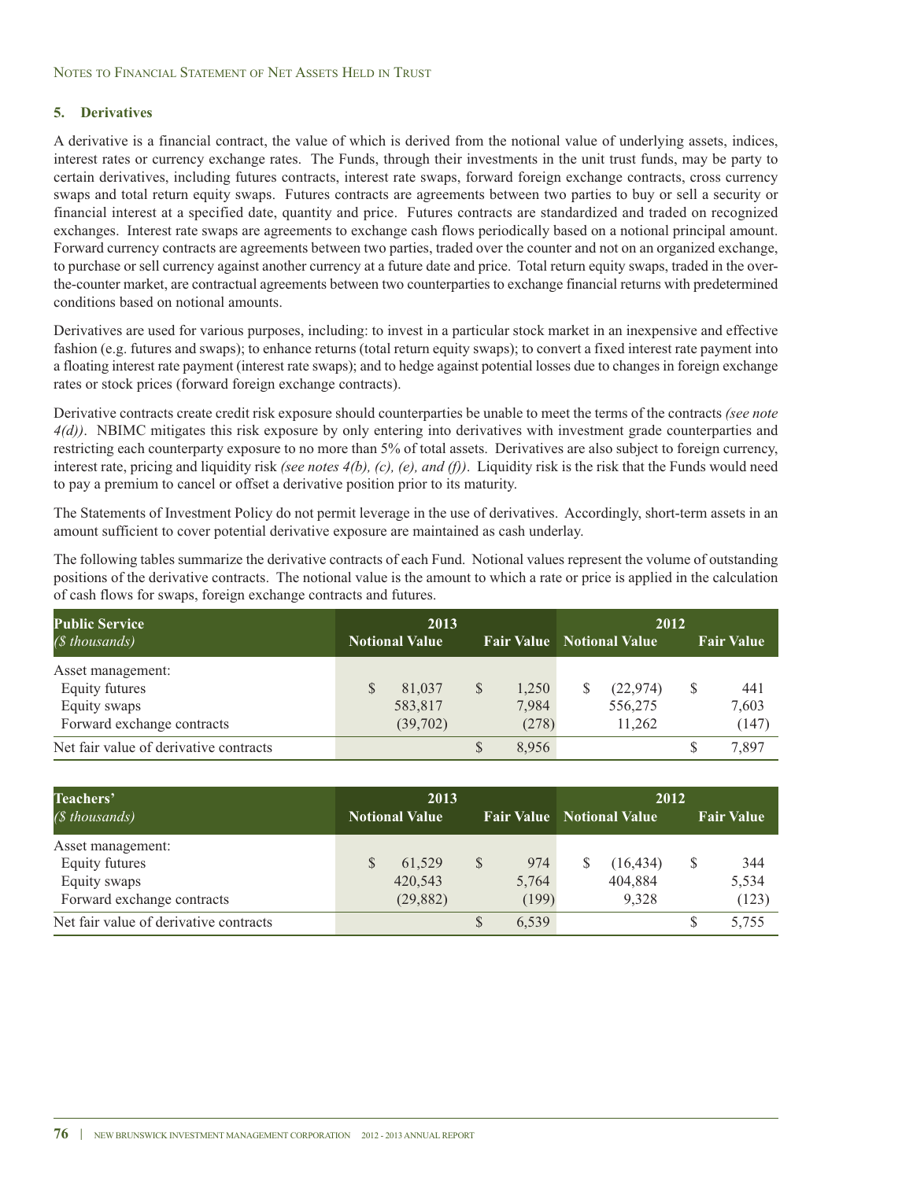#### NOTES TO FINANCIAL STATEMENT OF NET ASSETS HELD IN TRUST

### **5. Derivatives**

A derivative is a financial contract, the value of which is derived from the notional value of underlying assets, indices, interest rates or currency exchange rates. The Funds, through their investments in the unit trust funds, may be party to certain derivatives, including futures contracts, interest rate swaps, forward foreign exchange contracts, cross currency swaps and total return equity swaps. Futures contracts are agreements between two parties to buy or sell a security or financial interest at a specified date, quantity and price. Futures contracts are standardized and traded on recognized exchanges. Interest rate swaps are agreements to exchange cash flows periodically based on a notional principal amount. Forward currency contracts are agreements between two parties, traded over the counter and not on an organized exchange, to purchase or sell currency against another currency at a future date and price. Total return equity swaps, traded in the overthe-counter market, are contractual agreements between two counterparties to exchange financial returns with predetermined conditions based on notional amounts.

Derivatives are used for various purposes, including: to invest in a particular stock market in an inexpensive and effective fashion (e.g. futures and swaps); to enhance returns (total return equity swaps); to convert a fixed interest rate payment into a floating interest rate payment (interest rate swaps); and to hedge against potential losses due to changes in foreign exchange rates or stock prices (forward foreign exchange contracts).

Derivative contracts create credit risk exposure should counterparties be unable to meet the terms of the contracts *(see note 4(d))*. NBIMC mitigates this risk exposure by only entering into derivatives with investment grade counterparties and restricting each counterparty exposure to no more than 5% of total assets. Derivatives are also subject to foreign currency, interest rate, pricing and liquidity risk *(see notes 4(b), (c), (e), and (f))*. Liquidity risk is the risk that the Funds would need to pay a premium to cancel or offset a derivative position prior to its maturity.

The Statements of Investment Policy do not permit leverage in the use of derivatives. Accordingly, short-term assets in an amount sufficient to cover potential derivative exposure are maintained as cash underlay.

The following tables summarize the derivative contracts of each Fund. Notional values represent the volume of outstanding positions of the derivative contracts. The notional value is the amount to which a rate or price is applied in the calculation of cash flows for swaps, foreign exchange contracts and futures.

| <b>Public Service</b>                  | 2013                  |          |              |       | 2012 |                                  |   |                   |  |
|----------------------------------------|-----------------------|----------|--------------|-------|------|----------------------------------|---|-------------------|--|
| $(S$ thousands)                        | <b>Notional Value</b> |          |              |       |      | <b>Fair Value</b> Notional Value |   | <b>Fair Value</b> |  |
| Asset management:                      |                       |          |              |       |      |                                  |   |                   |  |
| Equity futures                         |                       | 81,037   | S            | 1,250 |      | (22, 974)                        | S | 441               |  |
| Equity swaps                           |                       | 583,817  |              | 7,984 |      | 556,275                          |   | 7,603             |  |
| Forward exchange contracts             |                       | (39,702) |              | (278) |      | 11,262                           |   | (147)             |  |
| Net fair value of derivative contracts |                       |          | <sup>S</sup> | 8,956 |      |                                  | S | 7,897             |  |

| Teachers'                              | 2013                  |           |    |       | 2012 |                                  |   |                   |  |
|----------------------------------------|-----------------------|-----------|----|-------|------|----------------------------------|---|-------------------|--|
| ( <i></i> thousands)                   | <b>Notional Value</b> |           |    |       |      | <b>Fair Value</b> Notional Value |   | <b>Fair Value</b> |  |
| Asset management:                      |                       |           |    |       |      |                                  |   |                   |  |
| Equity futures                         |                       | 61,529    | \$ | 974   |      | (16, 434)                        | S | 344               |  |
| Equity swaps                           |                       | 420.543   |    | 5,764 |      | 404,884                          |   | 5,534             |  |
| Forward exchange contracts             |                       | (29, 882) |    | (199) |      | 9.328                            |   | (123)             |  |
| Net fair value of derivative contracts |                       |           | S  | 6,539 |      |                                  |   | 5,755             |  |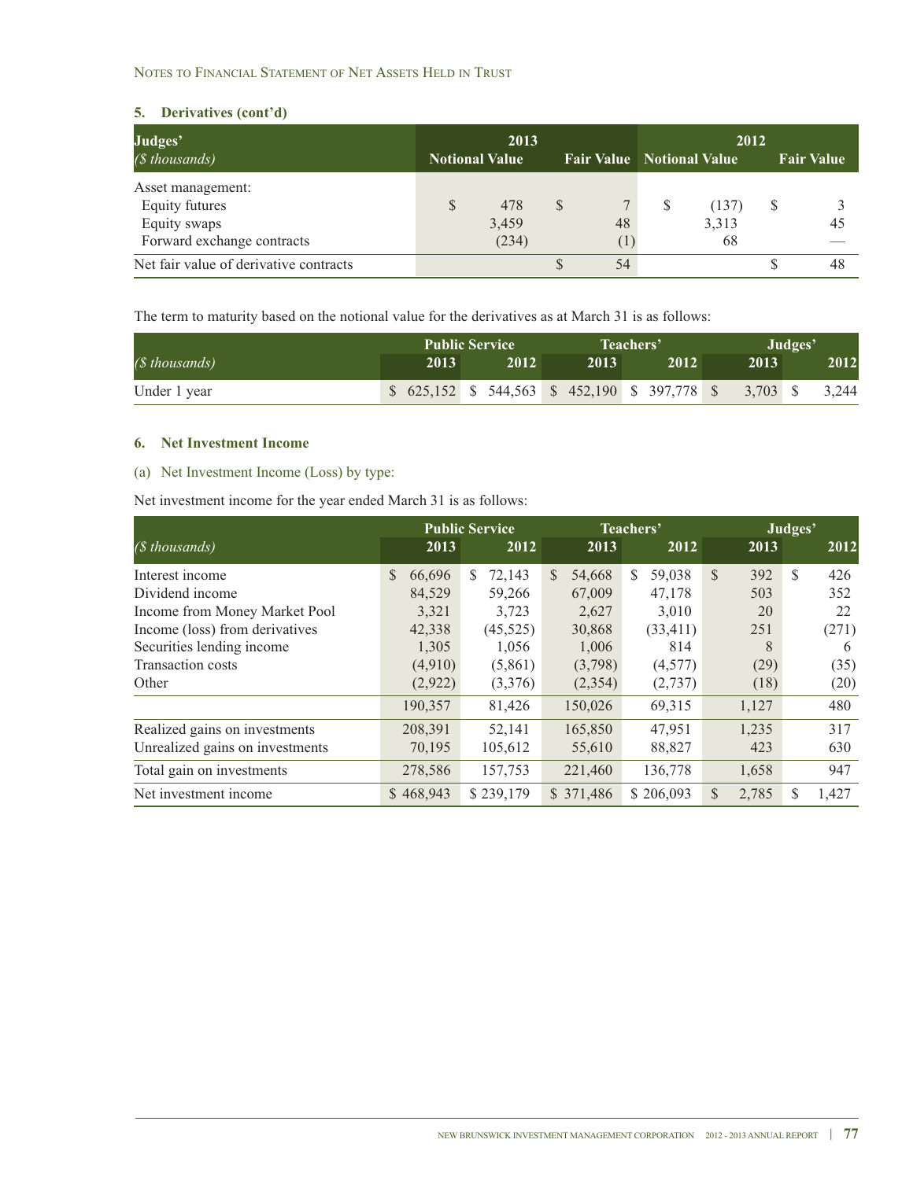### NOTES TO FINANCIAL STATEMENT OF NET ASSETS HELD IN TRUST

### **5. Derivatives (cont'd)**

| Judges'                                | 2013                  |       |    |    | 2012 |                                  |   |                   |  |
|----------------------------------------|-----------------------|-------|----|----|------|----------------------------------|---|-------------------|--|
| ( <i></i> thousands)                   | <b>Notional Value</b> |       |    |    |      | <b>Fair Value</b> Notional Value |   | <b>Fair Value</b> |  |
| Asset management:                      |                       |       |    |    |      |                                  |   |                   |  |
| Equity futures                         |                       | 478   | \$ |    |      | (137)                            | S |                   |  |
| Equity swaps                           |                       | 3,459 |    | 48 |      | 3,313                            |   | 45                |  |
| Forward exchange contracts             |                       | (234) |    |    |      | 68                               |   |                   |  |
| Net fair value of derivative contracts |                       |       |    | 54 |      |                                  |   | 48                |  |

The term to maturity based on the notional value for the derivatives as at March 31 is as follows:

|                | <b>Public Service</b> |                                                                 |      | Teachers' | Judges'  |       |  |
|----------------|-----------------------|-----------------------------------------------------------------|------|-----------|----------|-------|--|
| (\$ thousands) | 2013                  | 2012                                                            | 2013 | 2012      | 2013     | 2012  |  |
| Under 1 year   |                       | $\$$ 625,152 \, \$ 544,563 \, \$ 452,190 \, \$ 397,778 \, \$ \, |      |           | 3.703 \$ | 3.244 |  |

### **6. Net Investment Income**

### (a) Net Investment Income (Loss) by type:

Net investment income for the year ended March 31 is as follows:

|                                 |                         | <b>Public Service</b> |                         | Teachers'               |                       | Judges'     |
|---------------------------------|-------------------------|-----------------------|-------------------------|-------------------------|-----------------------|-------------|
| (\$ thousands)                  | 2013                    | 2012                  | 2013                    | 2012                    | 2013                  | 2012        |
| Interest income                 | 66.696<br><sup>\$</sup> | 72,143<br>S.          | <sup>\$</sup><br>54,668 | 59,038<br><sup>\$</sup> | $\mathcal{S}$<br>392  | \$.<br>426  |
| Dividend income                 | 84,529                  | 59,266                | 67,009                  | 47,178                  | 503                   | 352         |
| Income from Money Market Pool   | 3,321                   | 3,723                 | 2,627                   | 3,010                   | 20                    | 22          |
| Income (loss) from derivatives  | 42,338                  | (45,525)              | 30,868                  | (33, 411)               | 251                   | (271)       |
| Securities lending income       | 1,305                   | 1,056                 | 1,006                   | 814                     | 8                     | 6           |
| <b>Transaction costs</b>        | (4,910)                 | (5,861)               | (3,798)                 | (4,577)                 | (29)                  | (35)        |
| Other                           | (2,922)                 | (3,376)               | (2,354)                 | (2,737)                 | (18)                  | (20)        |
|                                 | 190,357                 | 81,426                | 150,026                 | 69,315                  | 1,127                 | 480         |
| Realized gains on investments   | 208,391                 | 52,141                | 165,850                 | 47,951                  | 1,235                 | 317         |
| Unrealized gains on investments | 70,195                  | 105,612               | 55,610                  | 88,827                  | 423                   | 630         |
| Total gain on investments       | 278,586                 | 157,753               | 221,460                 | 136,778                 | 1,658                 | 947         |
| Net investment income           | \$468,943               | \$239,179             | \$ 371,486              | \$206,093               | $\mathbb{S}$<br>2,785 | \$<br>1,427 |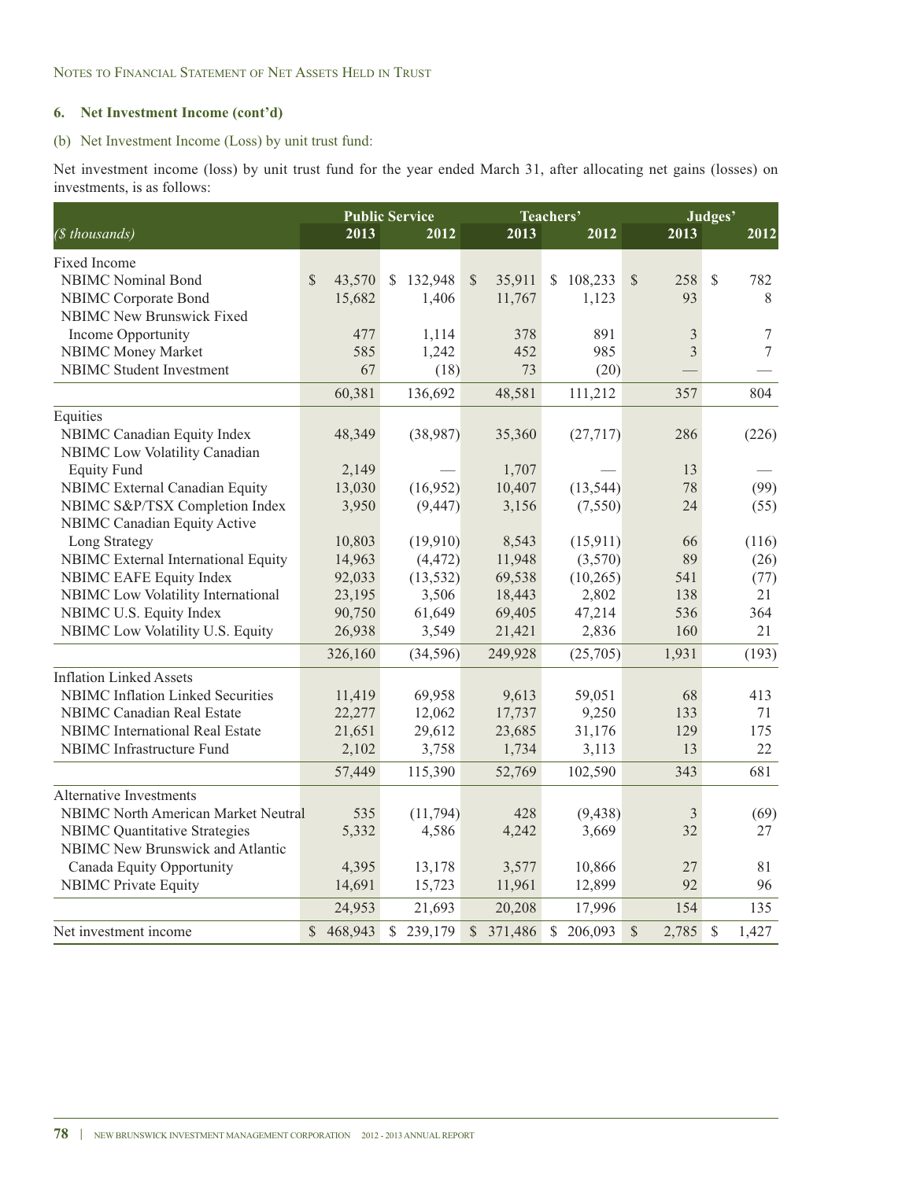### **6. Net Investment Income (cont'd)**

### (b) Net Investment Income (Loss) by unit trust fund:

Net investment income (loss) by unit trust fund for the year ended March 31, after allocating net gains (losses) on investments, is as follows:

| (\$ thousands)                           | 2013                   | <b>Public Service</b><br>2012 | 2013                    | Teachers'<br>2012        | 2013                  | Judges'<br>2012        |
|------------------------------------------|------------------------|-------------------------------|-------------------------|--------------------------|-----------------------|------------------------|
| Fixed Income                             |                        |                               |                         |                          |                       |                        |
| <b>NBIMC</b> Nominal Bond                | $\mathbb{S}$<br>43,570 | \$132,948                     | $\mathbb{S}$<br>35,911  | <sup>\$</sup><br>108,233 | $\mathcal{S}$<br>258  | $\mathbb{S}$<br>782    |
| NBIMC Corporate Bond                     | 15,682                 | 1,406                         | 11,767                  | 1,123                    | 93                    | 8                      |
| <b>NBIMC New Brunswick Fixed</b>         |                        |                               |                         |                          |                       |                        |
| Income Opportunity                       | 477                    | 1,114                         | 378                     | 891                      | 3                     | 7                      |
| <b>NBIMC Money Market</b>                | 585                    | 1,242                         | 452                     | 985                      | 3                     | $\overline{7}$         |
| <b>NBIMC</b> Student Investment          | 67                     | (18)                          | 73                      | (20)                     |                       |                        |
|                                          | 60,381                 | 136,692                       | 48,581                  | 111,212                  | 357                   | 804                    |
| Equities                                 |                        |                               |                         |                          |                       |                        |
| NBIMC Canadian Equity Index              | 48,349                 | (38,987)                      | 35,360                  | (27, 717)                | 286                   | (226)                  |
| NBIMC Low Volatility Canadian            |                        |                               |                         |                          |                       |                        |
| <b>Equity Fund</b>                       | 2,149                  |                               | 1,707                   |                          | 13                    |                        |
| NBIMC External Canadian Equity           | 13,030                 | (16,952)                      | 10,407                  | (13, 544)                | 78                    | (99)                   |
| NBIMC S&P/TSX Completion Index           | 3,950                  | (9, 447)                      | 3,156                   | (7,550)                  | 24                    | (55)                   |
| <b>NBIMC Canadian Equity Active</b>      |                        |                               |                         |                          |                       |                        |
| Long Strategy                            | 10,803                 | (19,910)                      | 8,543                   | (15, 911)                | 66                    | (116)                  |
| NBIMC External International Equity      | 14,963                 | (4, 472)                      | 11,948                  | (3,570)                  | 89                    | (26)                   |
| <b>NBIMC EAFE Equity Index</b>           | 92,033                 | (13, 532)                     | 69,538                  | (10,265)                 | 541                   | (77)                   |
| NBIMC Low Volatility International       | 23,195                 | 3,506                         | 18,443                  | 2,802                    | 138                   | 21                     |
| NBIMC U.S. Equity Index                  | 90,750                 | 61,649                        | 69,405                  | 47,214                   | 536                   | 364                    |
| NBIMC Low Volatility U.S. Equity         | 26,938                 | 3,549                         | 21,421                  | 2,836                    | 160                   | 21                     |
|                                          | 326,160                | (34,596)                      | 249,928                 | (25,705)                 | 1,931                 | (193)                  |
| <b>Inflation Linked Assets</b>           |                        |                               |                         |                          |                       |                        |
| <b>NBIMC</b> Inflation Linked Securities | 11,419                 | 69,958                        | 9,613                   | 59,051                   | 68                    | 413                    |
| <b>NBIMC</b> Canadian Real Estate        | 22,277                 | 12,062                        | 17,737                  | 9,250                    | 133                   | 71                     |
| <b>NBIMC</b> International Real Estate   | 21,651                 | 29,612                        | 23,685                  | 31,176                   | 129                   | 175                    |
| NBIMC Infrastructure Fund                | 2,102                  | 3,758                         | 1,734                   | 3,113                    | 13                    | 22                     |
|                                          | 57,449                 | 115,390                       | 52,769                  | 102,590                  | 343                   | 681                    |
| Alternative Investments                  |                        |                               |                         |                          |                       |                        |
| NBIMC North American Market Neutral      | 535                    | (11, 794)                     | 428                     | (9, 438)                 | 3                     | (69)                   |
| <b>NBIMC</b> Quantitative Strategies     | 5,332                  | 4,586                         | 4,242                   | 3,669                    | 32                    | 27                     |
| <b>NBIMC</b> New Brunswick and Atlantic  |                        |                               |                         |                          |                       |                        |
| Canada Equity Opportunity                | 4,395                  | 13,178                        | 3,577                   | 10,866                   | 27                    | 81                     |
| <b>NBIMC</b> Private Equity              | 14,691                 | 15,723                        | 11,961                  | 12,899                   | 92                    | 96                     |
|                                          | 24,953                 | 21,693                        | 20,208                  | 17,996                   | 154                   | 135                    |
| Net investment income                    | \$468,943              | $\mathbb{S}$<br>239,179       | $\mathbb{S}$<br>371,486 | 206,093<br>\$            | $\mathbb{S}$<br>2,785 | $\mathcal{S}$<br>1,427 |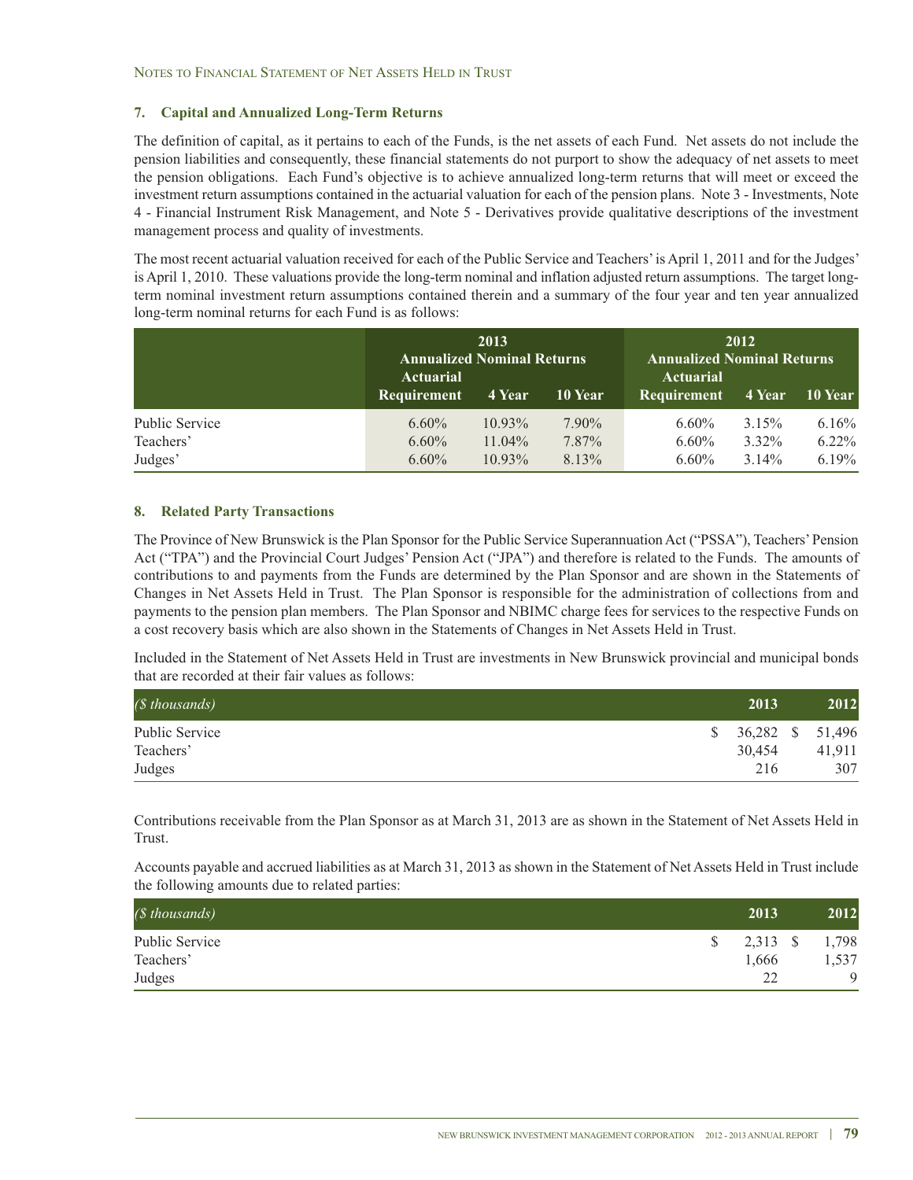### **7. Capital and Annualized Long-Term Returns**

The definition of capital, as it pertains to each of the Funds, is the net assets of each Fund. Net assets do not include the pension liabilities and consequently, these financial statements do not purport to show the adequacy of net assets to meet the pension obligations. Each Fund's objective is to achieve annualized long-term returns that will meet or exceed the investment return assumptions contained in the actuarial valuation for each of the pension plans. Note 3 - Investments, Note 4 - Financial Instrument Risk Management, and Note 5 - Derivatives provide qualitative descriptions of the investment management process and quality of investments.

The most recent actuarial valuation received for each of the Public Service and Teachers'is April 1, 2011 and for the Judges' is April 1, 2010. These valuations provide the long-term nominal and inflation adjusted return assumptions. The target longterm nominal investment return assumptions contained therein and a summary of the four year and ten year annualized long-term nominal returns for each Fund is as follows:

|                | <b>Annualized Nominal Returns</b><br>Actuarial<br><b>Requirement</b> | 2013<br>4 Year | 10 Year  | <b>Annualized Nominal Returns</b><br><b>Actuarial</b><br>Requirement | 2012<br>4 Year | 10 Year  |
|----------------|----------------------------------------------------------------------|----------------|----------|----------------------------------------------------------------------|----------------|----------|
| Public Service | $6.60\%$                                                             | $10.93\%$      | $7.90\%$ | $6.60\%$                                                             | 3.15%          | $6.16\%$ |
| Teachers'      | $6.60\%$                                                             | $11.04\%$      | 7.87%    | $6.60\%$                                                             | $3.32\%$       | $6.22\%$ |
| Judges'        | $6.60\%$                                                             | $10.93\%$      | 8.13%    | $6.60\%$                                                             | $3.14\%$       | $6.19\%$ |

### **8. Related Party Transactions**

The Province of New Brunswick is the Plan Sponsor for the Public Service Superannuation Act ("PSSA"), Teachers'Pension Act ("TPA") and the Provincial Court Judges' Pension Act ("JPA") and therefore is related to the Funds. The amounts of contributions to and payments from the Funds are determined by the Plan Sponsor and are shown in the Statements of Changes in Net Assets Held in Trust. The Plan Sponsor is responsible for the administration of collections from and payments to the pension plan members. The Plan Sponsor and NBIMC charge fees for services to the respective Funds on a cost recovery basis which are also shown in the Statements of Changes in Net Assets Held in Trust.

Included in the Statement of Net Assets Held in Trust are investments in New Brunswick provincial and municipal bonds that are recorded at their fair values as follows:

| ( <i></i> thousands) | 2013                | 2012   |
|----------------------|---------------------|--------|
| Public Service       | $$36,282$ $$51,496$ |        |
| Teachers'            | 30.454              | 41.911 |
| Judges               | 216                 | 307    |

Contributions receivable from the Plan Sponsor as at March 31, 2013 are as shown in the Statement of Net Assets Held in Trust.

Accounts payable and accrued liabilities as at March 31, 2013 as shown in the Statement of Net Assets Held in Trust include the following amounts due to related parties:

| ( <i>§</i> thousands) | 2013     | 2012        |
|-----------------------|----------|-------------|
| Public Service        | 2,313 \$ | 1,798       |
| Teachers'             | 1,666    | 1,537       |
| Judges                | າາ       | $\mathbf Q$ |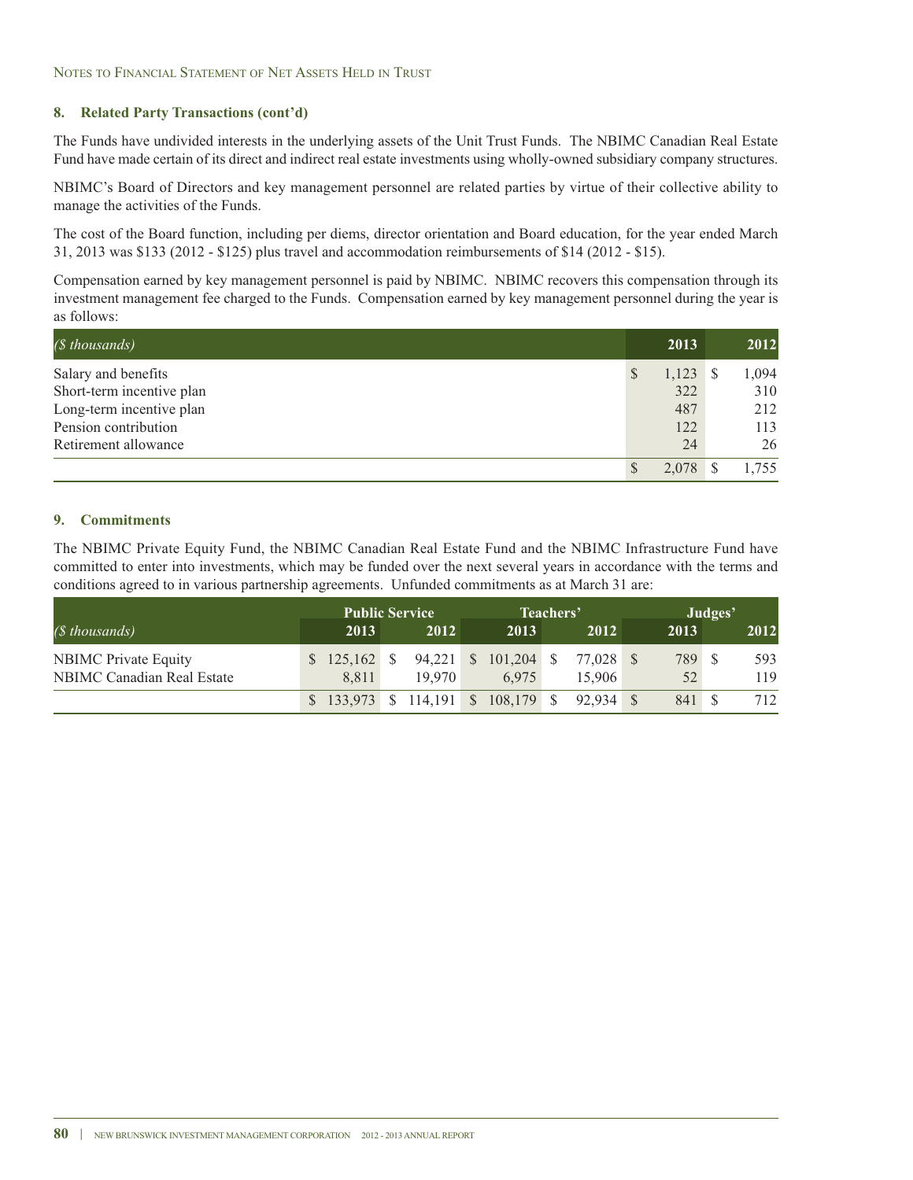### **8. Related Party Transactions (cont'd)**

The Funds have undivided interests in the underlying assets of the Unit Trust Funds. The NBIMC Canadian Real Estate Fund have made certain of its direct and indirect real estate investments using wholly-owned subsidiary company structures.

NBIMC's Board of Directors and key management personnel are related parties by virtue of their collective ability to manage the activities of the Funds.

The cost of the Board function, including per diems, director orientation and Board education, for the year ended March 31, 2013 was \$133 (2012 - \$125) plus travel and accommodation reimbursements of \$14 (2012 - \$15).

Compensation earned by key management personnel is paid by NBIMC. NBIMC recovers this compensation through its investment management fee charged to the Funds. Compensation earned by key management personnel during the year is as follows:

| ( <i>§</i> thousands)     | 2013       | 2012  |
|---------------------------|------------|-------|
| Salary and benefits       | $1,123$ \$ | 1,094 |
| Short-term incentive plan | 322        | 310   |
| Long-term incentive plan  | 487        | 212   |
| Pension contribution      | 122        | 113   |
| Retirement allowance      | 24         | 26    |
|                           |            | .755  |

### **9. Commitments**

The NBIMC Private Equity Fund, the NBIMC Canadian Real Estate Fund and the NBIMC Infrastructure Fund have committed to enter into investments, which may be funded over the next several years in accordance with the terms and conditions agreed to in various partnership agreements. Unfunded commitments as at March 31 are:

|                                                           | <b>Public Service</b>  |                                                |                                         | Teachers' |        |              | Judges' |            |
|-----------------------------------------------------------|------------------------|------------------------------------------------|-----------------------------------------|-----------|--------|--------------|---------|------------|
| (\$ thousands)                                            | 2013                   | 2012                                           | 2013                                    |           | 2012   | 2013         |         | 2012       |
| <b>NBIMC</b> Private Equity<br>NBIMC Canadian Real Estate | $$125.162$ \$<br>8.811 | 19.970                                         | 94,221 \$ 101,204 \$ 77,028 \$<br>6.975 |           | 15.906 | 789 \$<br>52 |         | 593<br>119 |
|                                                           |                        | $$133,973$ $$114,191$ $$108,179$ $$92,934$ $$$ |                                         |           |        | 841 \$       |         | 712        |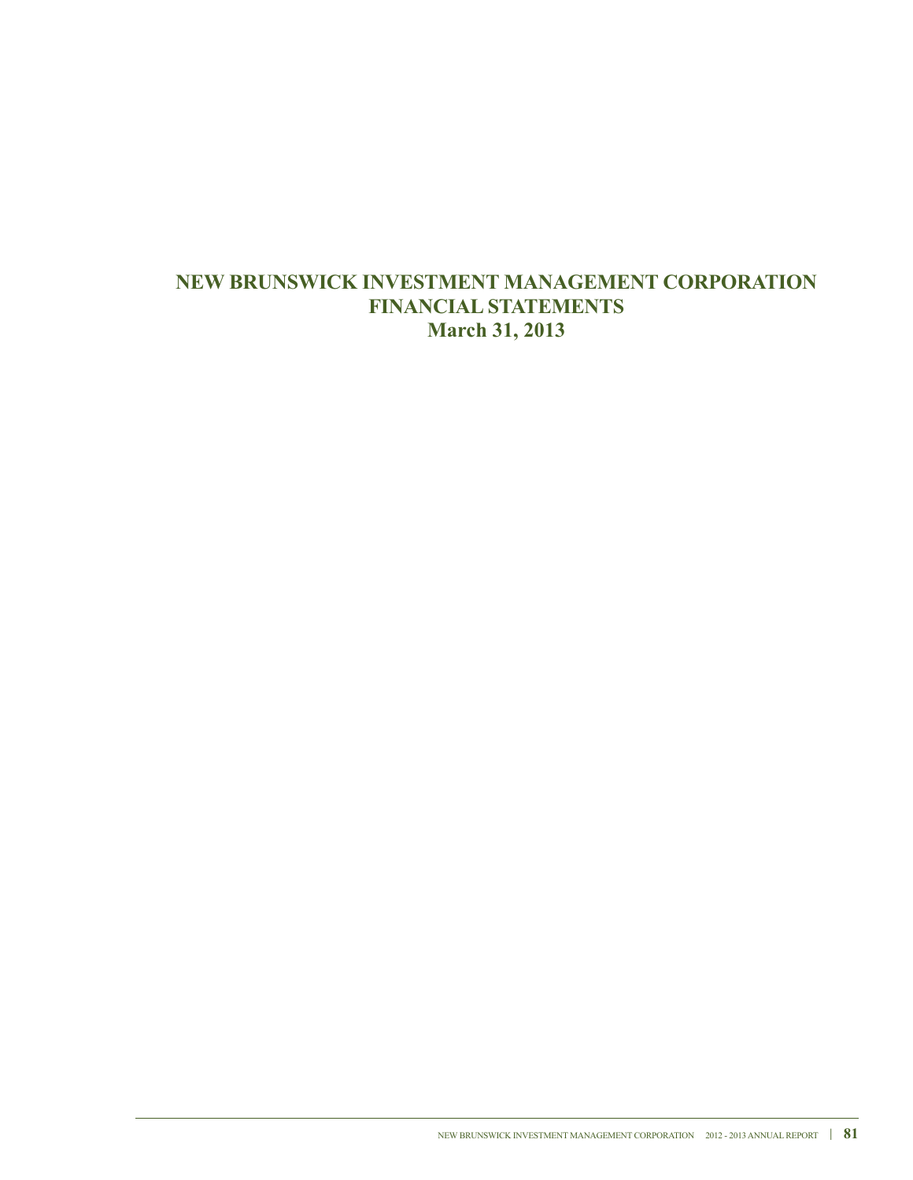# **NEW BRUNSWICK INVESTMENT MANAGEMENT CORPORATION FINANCIALSTATEMENTS March 31, 2013**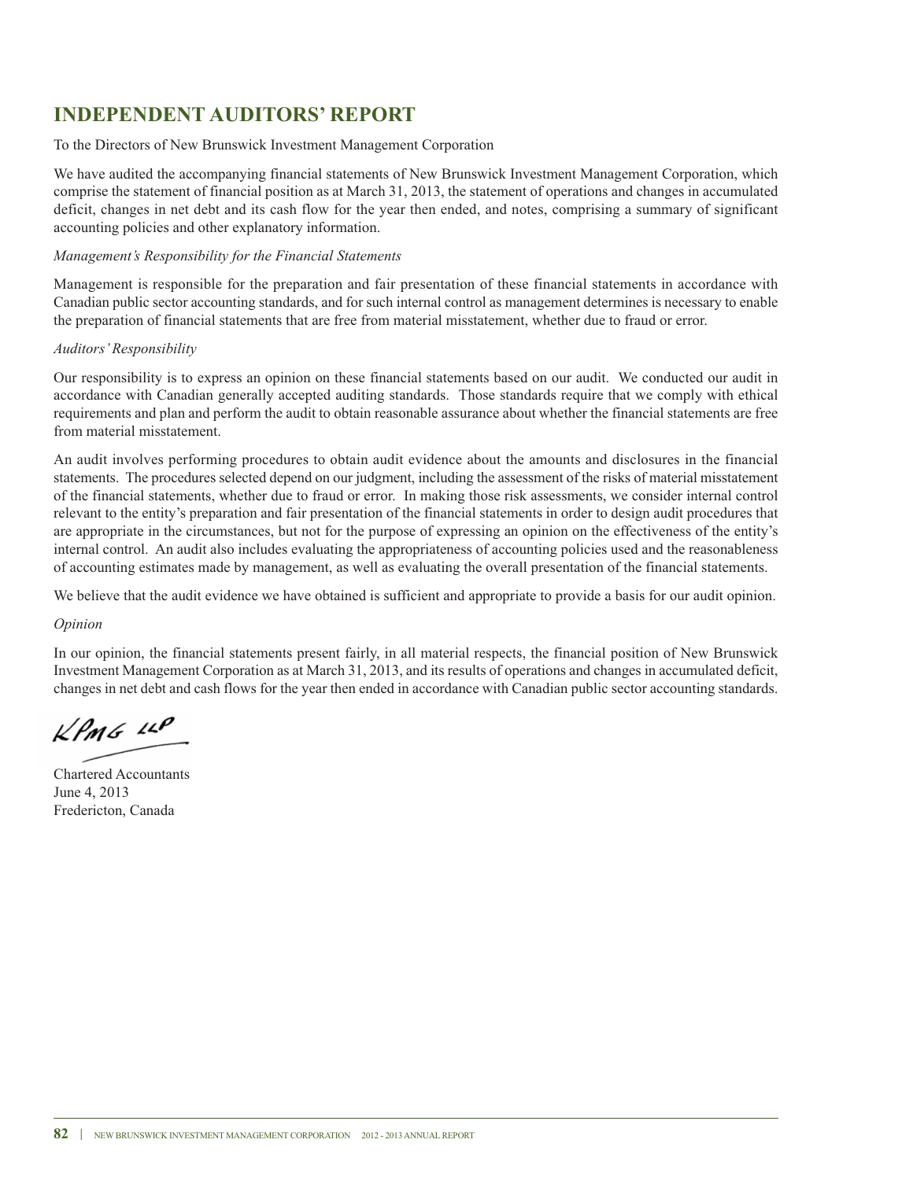# **INDEPENDENT AUDITORS' REPORT**

### To the Directors of New Brunswick Investment Management Corporation

We have audited the accompanying financial statements of New Brunswick Investment Management Corporation, which comprise the statement of financial position as at March 31, 2013, the statement of operations and changes in accumulated deficit, changes in net debt and its cash flow for the year then ended, and notes, comprising a summary of significant accounting policies and other explanatory information.

### *Management's Responsibility for the Financial Statements*

Management is responsible for the preparation and fair presentation of these financial statements in accordance with Canadian public sector accounting standards, and for such internal control as management determines is necessary to enable the preparation of financial statements that are free from material misstatement, whether due to fraud or error.

### *Auditors'Responsibility*

Our responsibility is to express an opinion on these financial statements based on our audit. We conducted our audit in accordance with Canadian generally accepted auditing standards. Those standards require that we comply with ethical requirements and plan and perform the audit to obtain reasonable assurance about whether the financial statements are free from material misstatement.

An audit involves performing procedures to obtain audit evidence about the amounts and disclosures in the financial statements. The procedures selected depend on our judgment, including the assessment of the risks of material misstatement of the financial statements, whether due to fraud or error. In making those risk assessments, we consider internal control relevant to the entity's preparation and fair presentation of the financial statements in order to design audit procedures that are appropriate in the circumstances, but not for the purpose of expressing an opinion on the effectiveness of the entity's internal control. An audit also includes evaluating the appropriateness of accounting policies used and the reasonableness of accounting estimates made by management, as well as evaluating the overall presentation of the financial statements.

We believe that the audit evidence we have obtained is sufficient and appropriate to provide a basis for our audit opinion.

### *Opinion*

In our opinion, the financial statements present fairly, in all material respects, the financial position of New Brunswick Investment Management Corporation as at March 31, 2013, and its results of operations and changes in accumulated deficit, changes in net debt and cash flows for the year then ended in accordance with Canadian public sector accounting standards.

 $\n *l*$ 

Chartered Accountants June 4, 2013 Fredericton, Canada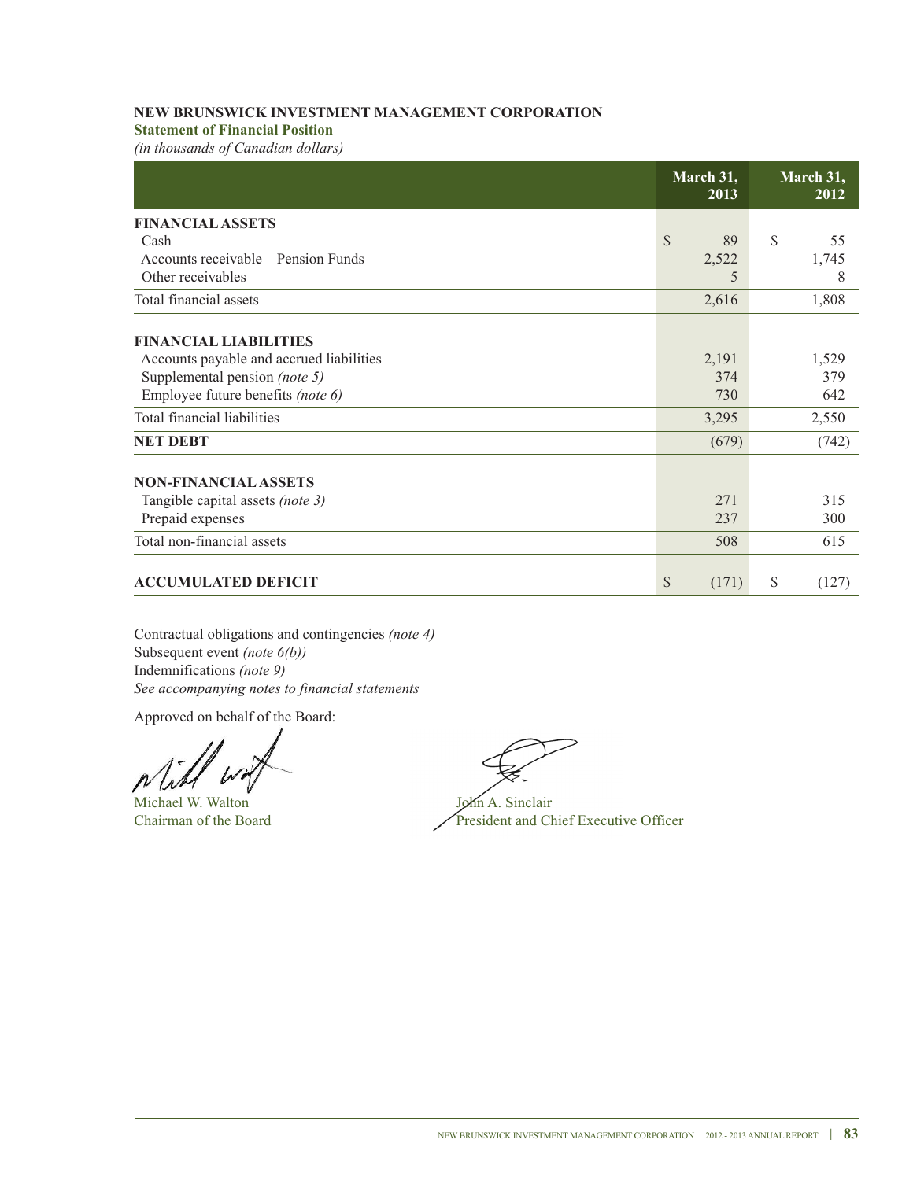### **Statement of Financial Position**

*(in thousands of Canadian dollars)*

|                                          | March 31,<br>2013  | March 31,<br>2012 |
|------------------------------------------|--------------------|-------------------|
| <b>FINANCIAL ASSETS</b>                  |                    |                   |
| Cash                                     | $\mathbb{S}$<br>89 | S<br>55           |
| Accounts receivable – Pension Funds      | 2,522              | 1,745             |
| Other receivables                        | 5                  | 8                 |
| Total financial assets                   | 2,616              | 1,808             |
| <b>FINANCIAL LIABILITIES</b>             |                    |                   |
| Accounts payable and accrued liabilities | 2,191              | 1,529             |
| Supplemental pension (note 5)            | 374                | 379               |
| Employee future benefits (note 6)        | 730                | 642               |
| Total financial liabilities              | 3,295              | 2,550             |
| <b>NET DEBT</b>                          | (679)              | (742)             |
| <b>NON-FINANCIAL ASSETS</b>              |                    |                   |
| Tangible capital assets (note 3)         | 271                | 315               |
| Prepaid expenses                         | 237                | 300               |
| Total non-financial assets               | 508                | 615               |
| <b>ACCUMULATED DEFICIT</b>               | \$<br>(171)        | \$<br>(127)       |

Contractual obligations and contingencies *(note 4)* Subsequent event *(note 6(b))* Indemnifications *(note 9) See accompanying notes to financial statements*

Approved on behalf of the Board:

Michael W. Walton John A. Sinclair

Chairman of the Board President and Chief Executive Officer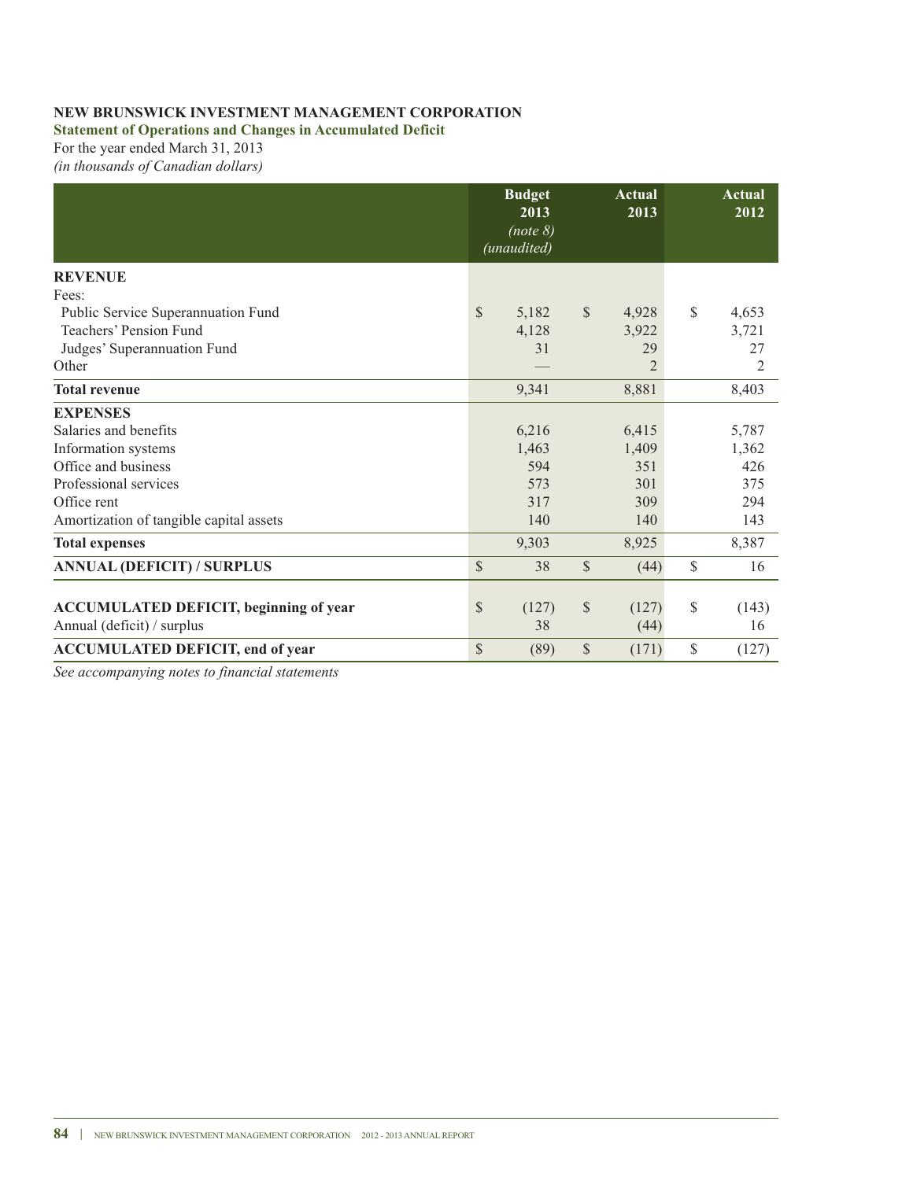**Statement of Operations and Changes in Accumulated Deficit**

For the year ended March 31, 2013 *(in thousands of Canadian dollars)*

|                                               | <b>Budget</b><br>2013<br>(note 8)<br>(unaudited) |               | Actual<br>2013 | Actual<br>2012 |
|-----------------------------------------------|--------------------------------------------------|---------------|----------------|----------------|
| <b>REVENUE</b>                                |                                                  |               |                |                |
| Fees:                                         |                                                  |               |                |                |
| Public Service Superannuation Fund            | $\mathbb{S}$<br>5,182                            | $\mathcal{S}$ | 4,928          | \$<br>4,653    |
| Teachers' Pension Fund                        | 4,128                                            |               | 3,922          | 3,721          |
| Judges' Superannuation Fund                   | 31                                               |               | 29             | 27             |
| Other                                         |                                                  |               | $\overline{2}$ | $\overline{2}$ |
| <b>Total revenue</b>                          | 9,341                                            |               | 8,881          | 8,403          |
| <b>EXPENSES</b>                               |                                                  |               |                |                |
| Salaries and benefits                         | 6,216                                            |               | 6,415          | 5,787          |
| Information systems                           | 1,463                                            |               | 1,409          | 1,362          |
| Office and business                           | 594                                              |               | 351            | 426            |
| Professional services                         | 573                                              |               | 301            | 375            |
| Office rent                                   | 317                                              |               | 309            | 294            |
| Amortization of tangible capital assets       | 140                                              |               | 140            | 143            |
| <b>Total expenses</b>                         | 9,303                                            |               | 8,925          | 8,387          |
| <b>ANNUAL (DEFICIT) / SURPLUS</b>             | \$<br>38                                         | $\mathbb{S}$  | (44)           | \$<br>16       |
|                                               |                                                  |               |                |                |
| <b>ACCUMULATED DEFICIT, beginning of year</b> | \$<br>(127)                                      | \$            | (127)          | \$<br>(143)    |
| Annual (deficit) / surplus                    | 38                                               |               | (44)           | 16             |
| <b>ACCUMULATED DEFICIT, end of year</b>       | \$<br>(89)                                       | \$            | (171)          | \$<br>(127)    |

*See accompanying notes to financial statements*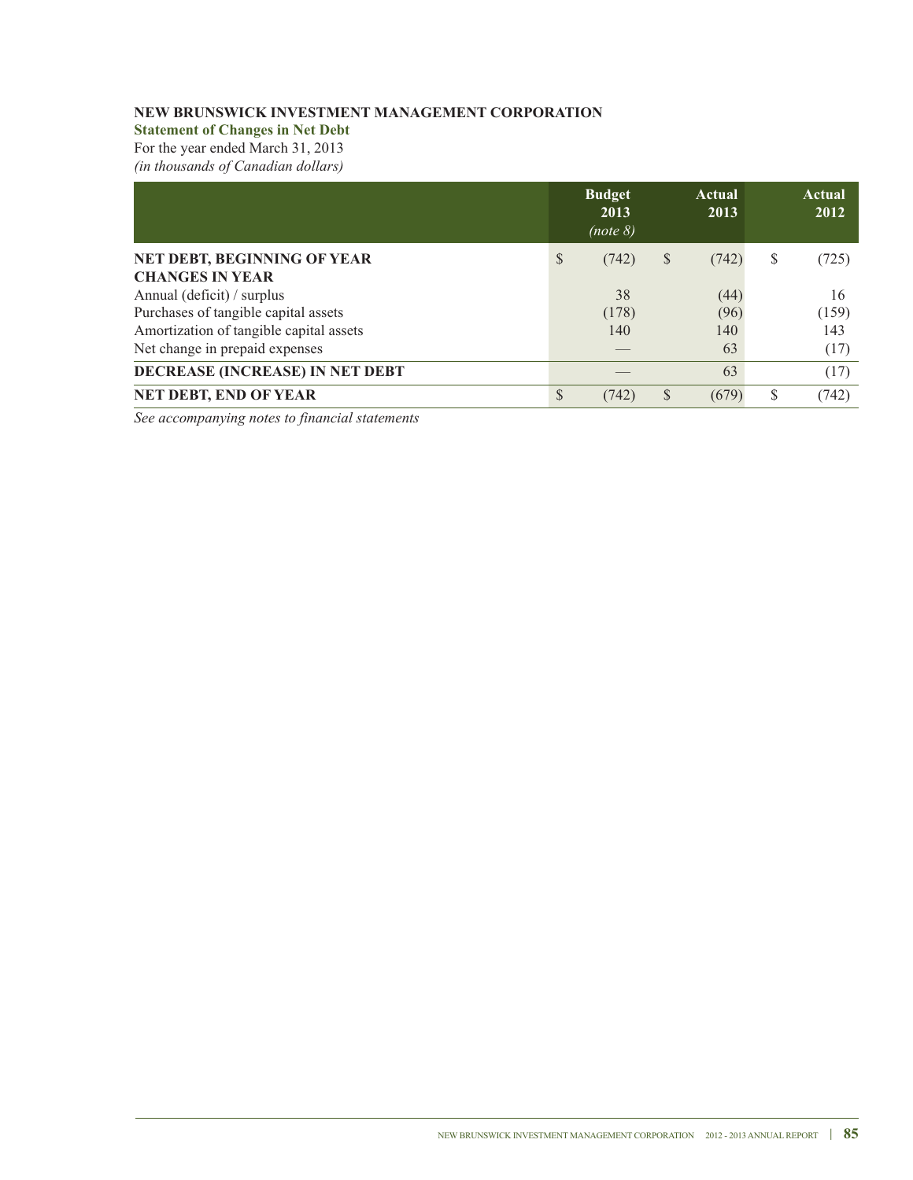**Statement of Changes in Net Debt**

For the year ended March 31, 2013

*(in thousands of Canadian dollars)*

|                                         | <b>Budget</b><br>2013<br>(note 8) |   | Actual<br>2013 | Actual<br>2012 |
|-----------------------------------------|-----------------------------------|---|----------------|----------------|
| NET DEBT, BEGINNING OF YEAR             | \$<br>(742)                       | S | (742)          | \$<br>(725)    |
| <b>CHANGES IN YEAR</b>                  |                                   |   |                |                |
| Annual (deficit) / surplus              | 38                                |   | (44)           | 16             |
| Purchases of tangible capital assets    | (178)                             |   | (96)           | (159)          |
| Amortization of tangible capital assets | 140                               |   | 140            | 143            |
| Net change in prepaid expenses          |                                   |   | 63             | (17)           |
| DECREASE (INCREASE) IN NET DEBT         |                                   |   | 63             | (17)           |
| NET DEBT, END OF YEAR                   | \$<br>(742)                       | S | (679)          | \$<br>(742)    |

*See accompanying notes to financial statements*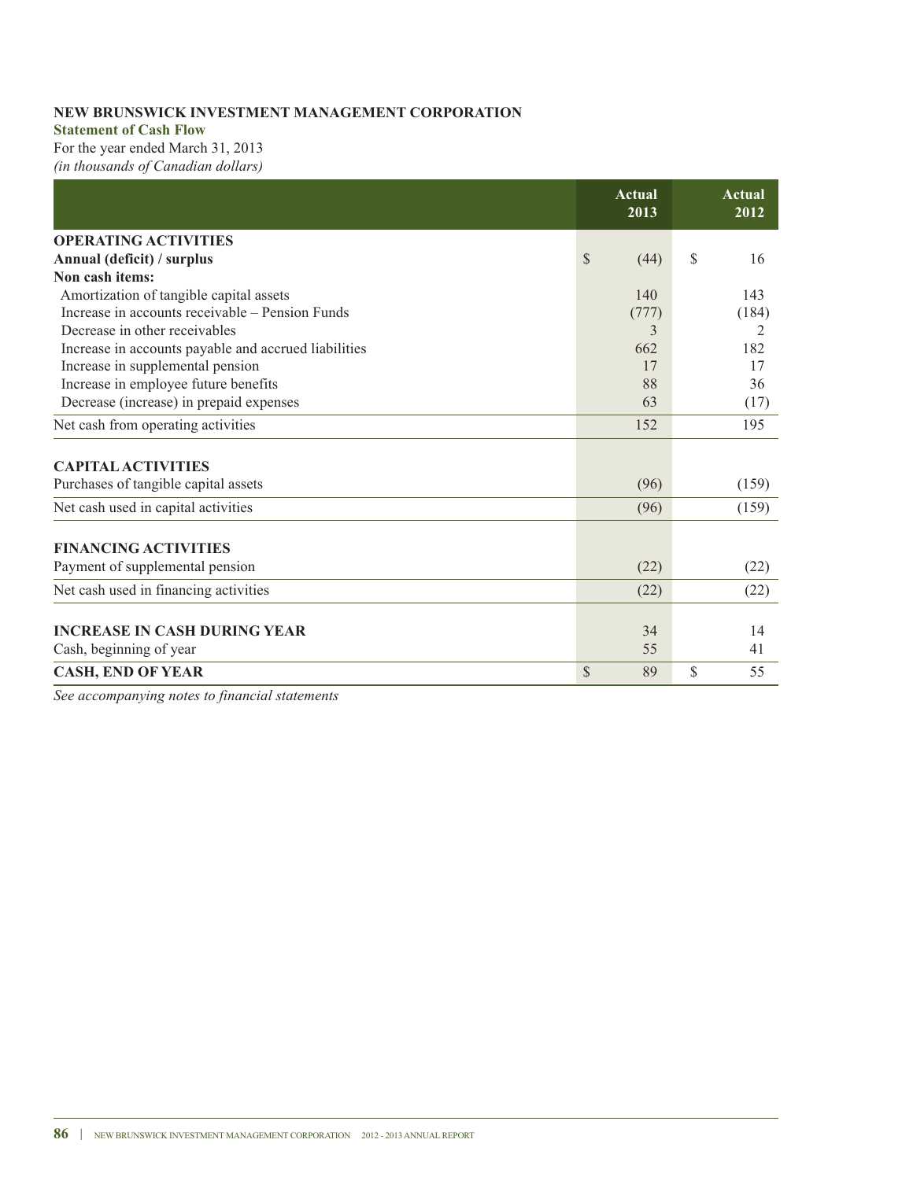#### **Statement of Cash Flow**

For the year ended March 31, 2013 *(in thousands of Canadian dollars)*

|                                                      | Actual<br>2013       | Actual<br>2012 |
|------------------------------------------------------|----------------------|----------------|
| <b>OPERATING ACTIVITIES</b>                          |                      |                |
| Annual (deficit) / surplus                           | <sup>S</sup><br>(44) | \$<br>16       |
| Non cash items:                                      |                      |                |
| Amortization of tangible capital assets              | 140                  | 143            |
| Increase in accounts receivable – Pension Funds      | (777)                | (184)          |
| Decrease in other receivables                        | 3                    | 2              |
| Increase in accounts payable and accrued liabilities | 662                  | 182            |
| Increase in supplemental pension                     | 17                   | 17             |
| Increase in employee future benefits                 | 88                   | 36             |
| Decrease (increase) in prepaid expenses              | 63                   | (17)           |
| Net cash from operating activities                   | 152                  | 195            |
| <b>CAPITAL ACTIVITIES</b>                            |                      |                |
| Purchases of tangible capital assets                 | (96)                 | (159)          |
| Net cash used in capital activities                  | (96)                 | (159)          |
| <b>FINANCING ACTIVITIES</b>                          |                      |                |
| Payment of supplemental pension                      | (22)                 | (22)           |
| Net cash used in financing activities                | (22)                 | (22)           |
| <b>INCREASE IN CASH DURING YEAR</b>                  | 34                   | 14             |
| Cash, beginning of year                              | 55                   | 41             |
| <b>CASH, END OF YEAR</b>                             | $\mathbb{S}$<br>89   | \$<br>55       |

*See accompanying notes to financial statements*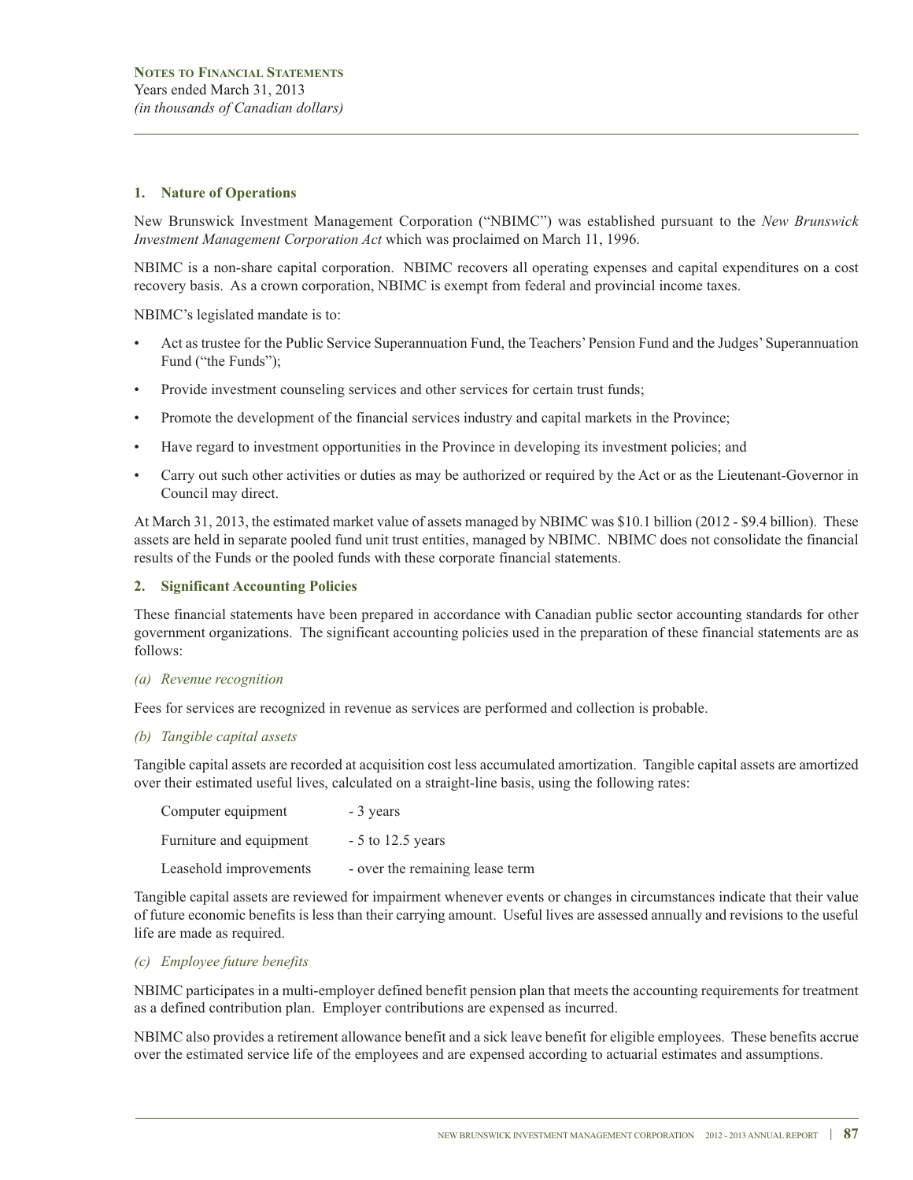### **1. Nature of Operations**

New Brunswick Investment Management Corporation ("NBIMC") was established pursuant to the *New Brunswick Investment Management Corporation Act* which was proclaimed on March 11, 1996.

NBIMC is a non-share capital corporation. NBIMC recovers all operating expenses and capital expenditures on a cost recovery basis. As a crown corporation, NBIMC is exempt from federal and provincial income taxes.

NBIMC's legislated mandate is to:

- Act as trustee for the Public Service Superannuation Fund, the Teachers'Pension Fund and the Judges'Superannuation Fund ("the Funds");
- Provide investment counseling services and other services for certain trust funds;
- Promote the development of the financial services industry and capital markets in the Province;
- Have regard to investment opportunities in the Province in developing its investment policies; and
- Carry out such other activities or duties as may be authorized or required by the Act or as the Lieutenant-Governor in Council may direct.

At March 31, 2013, the estimated market value of assets managed by NBIMC was \$10.1 billion (2012 - \$9.4 billion). These assets are held in separate pooled fund unit trust entities, managed by NBIMC. NBIMC does not consolidate the financial results of the Funds or the pooled funds with these corporate financial statements.

#### **2. Significant Accounting Policies**

These financial statements have been prepared in accordance with Canadian public sector accounting standards for other government organizations. The significant accounting policies used in the preparation of these financial statements are as follows:

#### *(a) Revenue recognition*

Fees for services are recognized in revenue as services are performed and collection is probable.

#### *(b) Tangible capital assets*

Tangible capital assets are recorded at acquisition cost less accumulated amortization. Tangible capital assets are amortized over their estimated useful lives, calculated on a straight-line basis, using the following rates:

| Computer equipment      | - 3 years                       |
|-------------------------|---------------------------------|
| Furniture and equipment | $-5$ to 12.5 years              |
| Leasehold improvements  | - over the remaining lease term |

Tangible capital assets are reviewed for impairment whenever events or changes in circumstances indicate that their value of future economic benefits is less than their carrying amount. Useful lives are assessed annually and revisions to the useful life are made as required.

#### *(c) Employee future benefits*

NBIMC participates in a multi-employer defined benefit pension plan that meets the accounting requirements for treatment as a defined contribution plan. Employer contributions are expensed as incurred.

NBIMC also provides a retirement allowance benefit and a sick leave benefit for eligible employees. These benefits accrue over the estimated service life of the employees and are expensed according to actuarial estimates and assumptions.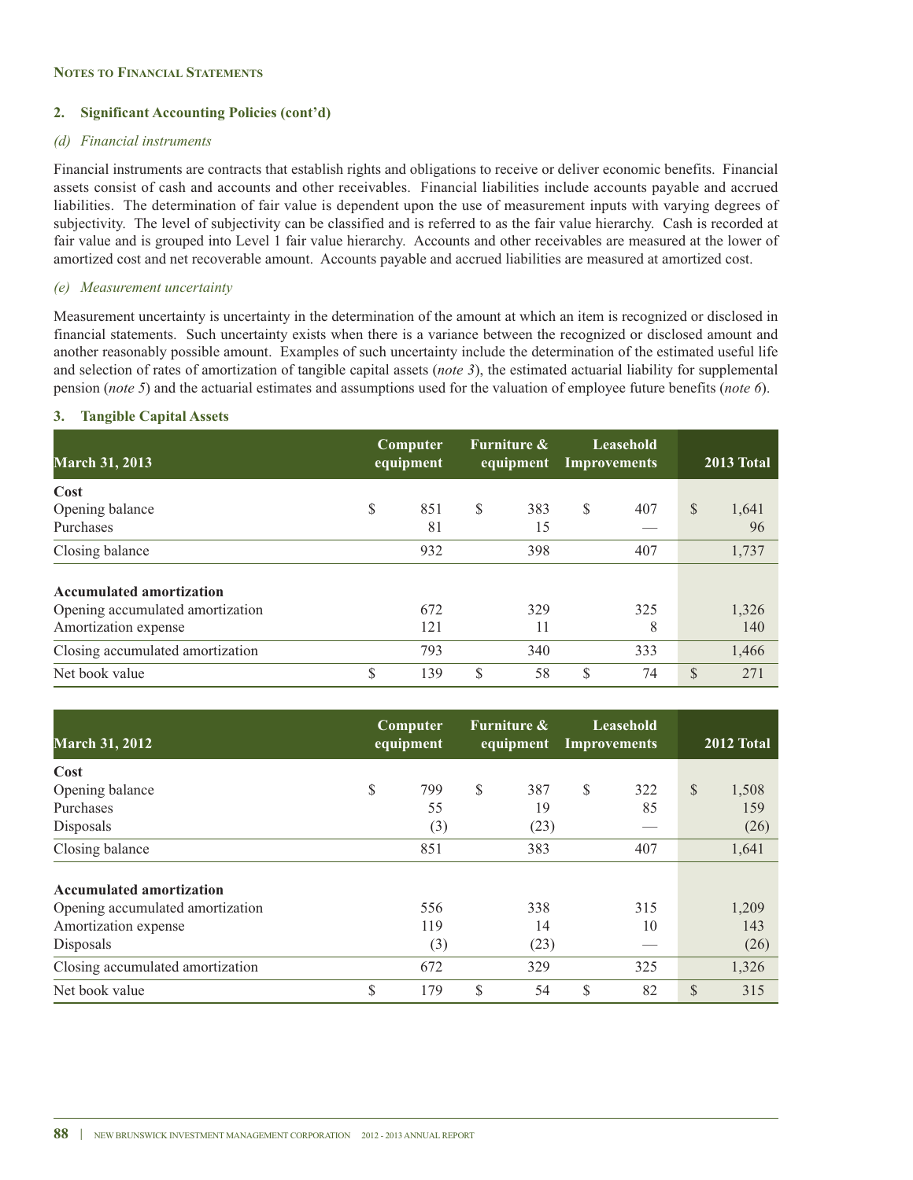### **2. Significant Accounting Policies (cont'd)**

#### *(d) Financial instruments*

Financial instruments are contracts that establish rights and obligations to receive or deliver economic benefits. Financial assets consist of cash and accounts and other receivables. Financial liabilities include accounts payable and accrued liabilities. The determination of fair value is dependent upon the use of measurement inputs with varying degrees of subjectivity. The level of subjectivity can be classified and is referred to as the fair value hierarchy. Cash is recorded at fair value and is grouped into Level 1 fair value hierarchy. Accounts and other receivables are measured at the lower of amortized cost and net recoverable amount. Accounts payable and accrued liabilities are measured at amortized cost.

### *(e) Measurement uncertainty*

Measurement uncertainty is uncertainty in the determination of the amount at which an item is recognized or disclosed in financial statements. Such uncertainty exists when there is a variance between the recognized or disclosed amount and another reasonably possible amount. Examples of such uncertainty include the determination of the estimated useful life and selection of rates of amortization of tangible capital assets (*note 3*), the estimated actuarial liability for supplemental pension (*note 5*) and the actuarial estimates and assumptions used for the valuation of employee future benefits (*note 6*).

### **3. Tangible Capital Assets**

| <b>March 31, 2013</b>            |    | Computer<br>equipment |              | <b>Furniture &amp;</b><br>equipment Improvements |    | Leasehold |               | 2013 Total |
|----------------------------------|----|-----------------------|--------------|--------------------------------------------------|----|-----------|---------------|------------|
| Cost                             |    |                       |              |                                                  |    |           |               |            |
| Opening balance                  | S  | 851                   | $\mathbb{S}$ | 383                                              | S  | 407       | \$            | 1,641      |
| Purchases                        |    | 81                    |              | 15                                               |    |           |               | 96         |
| Closing balance                  |    | 932                   |              | 398                                              |    | 407       |               | 1,737      |
| <b>Accumulated amortization</b>  |    |                       |              |                                                  |    |           |               |            |
| Opening accumulated amortization |    | 672                   |              | 329                                              |    | 325       |               | 1,326      |
| Amortization expense             |    | 121                   |              | 11                                               |    | 8         |               | 140        |
| Closing accumulated amortization |    | 793                   |              | 340                                              |    | 333       |               | 1,466      |
| Net book value                   | \$ | 139                   | \$           | 58                                               | \$ | 74        | $\mathcal{S}$ | 271        |

| <b>March 31, 2012</b>            | Computer<br>equipment |     | <b>Furniture &amp;</b> |      | Leasehold<br>equipment Improvements |     | 2012 Total    |       |
|----------------------------------|-----------------------|-----|------------------------|------|-------------------------------------|-----|---------------|-------|
| Cost                             |                       |     |                        |      |                                     |     |               |       |
| Opening balance                  | \$                    | 799 | \$                     | 387  | S                                   | 322 | $\mathbb{S}$  | 1,508 |
| Purchases                        |                       | 55  |                        | 19   |                                     | 85  |               | 159   |
| Disposals                        |                       | (3) |                        | (23) |                                     |     |               | (26)  |
| Closing balance                  |                       | 851 |                        | 383  |                                     | 407 |               | 1,641 |
| <b>Accumulated amortization</b>  |                       |     |                        |      |                                     |     |               |       |
| Opening accumulated amortization |                       | 556 |                        | 338  |                                     | 315 |               | 1,209 |
| Amortization expense             |                       | 119 |                        | 14   |                                     | 10  |               | 143   |
| Disposals                        |                       | (3) |                        | (23) |                                     |     |               | (26)  |
| Closing accumulated amortization |                       | 672 |                        | 329  |                                     | 325 |               | 1,326 |
| Net book value                   | S                     | 179 | \$                     | 54   | \$                                  | 82  | <sup>\$</sup> | 315   |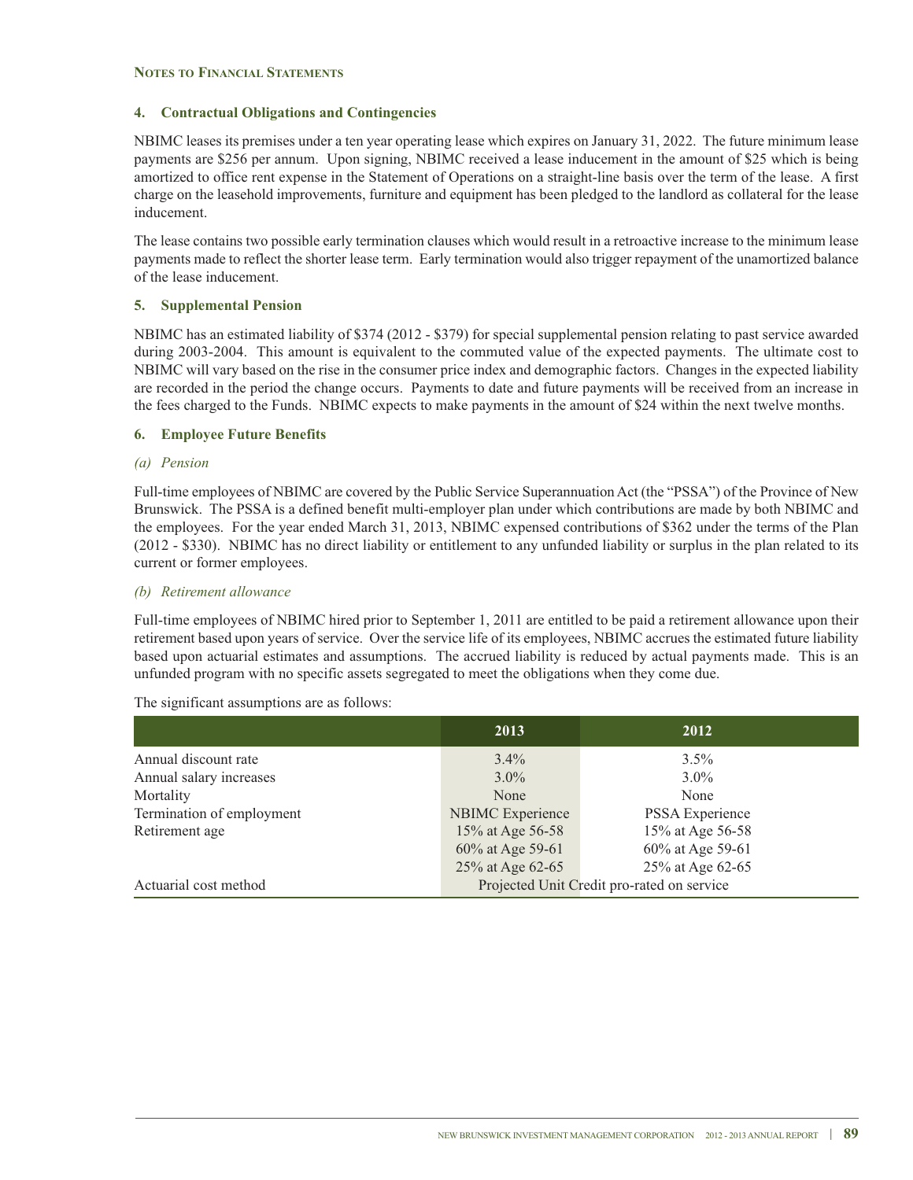### **4. Contractual Obligations and Contingencies**

NBIMC leases its premises under a ten year operating lease which expires on January 31, 2022. The future minimum lease payments are \$256 per annum. Upon signing, NBIMC received a lease inducement in the amount of \$25 which is being amortized to office rent expense in the Statement of Operations on a straight-line basis over the term of the lease. A first charge on the leasehold improvements, furniture and equipment has been pledged to the landlord as collateral for the lease inducement.

The lease contains two possible early termination clauses which would result in a retroactive increase to the minimum lease payments made to reflect the shorter lease term. Early termination would also trigger repayment of the unamortized balance of the lease inducement.

### **5. Supplemental Pension**

NBIMC has an estimated liability of \$374 (2012 - \$379) for special supplemental pension relating to past service awarded during 2003-2004. This amount is equivalent to the commuted value of the expected payments. The ultimate cost to NBIMC will vary based on the rise in the consumer price index and demographic factors. Changes in the expected liability are recorded in the period the change occurs. Payments to date and future payments will be received from an increase in the fees charged to the Funds. NBIMC expects to make payments in the amount of \$24 within the next twelve months.

### **6. Employee Future Benefits**

### *(a) Pension*

Full-time employees of NBIMC are covered by the Public Service Superannuation Act (the "PSSA") of the Province of New Brunswick. The PSSA is a defined benefit multi-employer plan under which contributions are made by both NBIMC and the employees. For the year ended March 31, 2013, NBIMC expensed contributions of \$362 under the terms of the Plan (2012 - \$330). NBIMC has no direct liability or entitlement to any unfunded liability or surplus in the plan related to its current or former employees.

### *(b) Retirement allowance*

Full-time employees of NBIMC hired prior to September 1, 2011 are entitled to be paid a retirement allowance upon their retirement based upon years of service. Over the service life of its employees, NBIMC accrues the estimated future liability based upon actuarial estimates and assumptions. The accrued liability is reduced by actual payments made. This is an unfunded program with no specific assets segregated to meet the obligations when they come due.

|                           | 2013                                       | 2012             |  |  |  |
|---------------------------|--------------------------------------------|------------------|--|--|--|
| Annual discount rate      | $3.4\%$                                    | $3.5\%$          |  |  |  |
| Annual salary increases   | $3.0\%$                                    | $3.0\%$          |  |  |  |
| Mortality                 | None                                       | None             |  |  |  |
| Termination of employment | <b>NBIMC</b> Experience                    | PSSA Experience  |  |  |  |
| Retirement age            | 15% at Age 56-58                           | 15% at Age 56-58 |  |  |  |
|                           | 60% at Age 59-61                           | 60% at Age 59-61 |  |  |  |
|                           | 25% at Age 62-65                           | 25% at Age 62-65 |  |  |  |
| Actuarial cost method     | Projected Unit Credit pro-rated on service |                  |  |  |  |

The significant assumptions are as follows: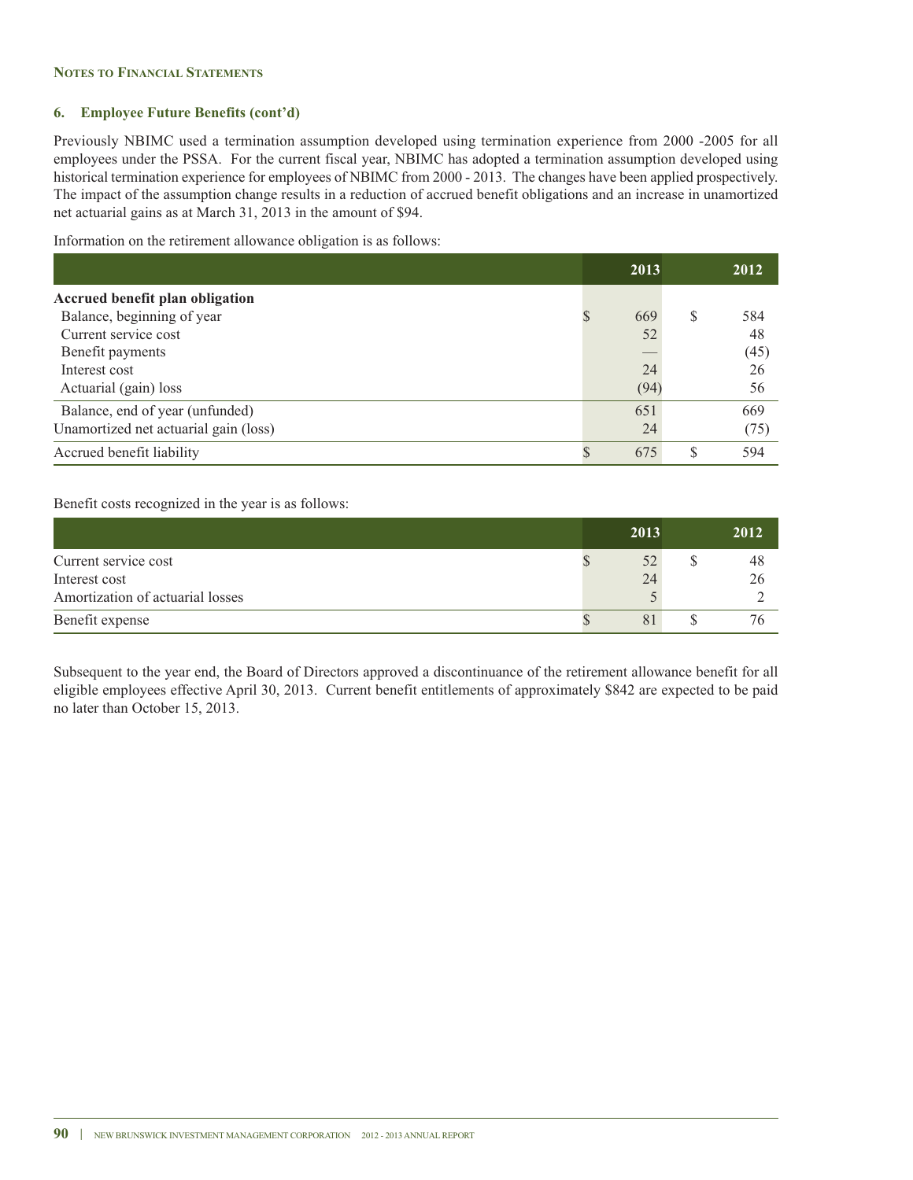### **6. Employee Future Benefits (cont'd)**

Previously NBIMC used a termination assumption developed using termination experience from 2000 -2005 for all employees under the PSSA. For the current fiscal year, NBIMC has adopted a termination assumption developed using historical termination experience for employees of NBIMC from 2000 - 2013. The changes have been applied prospectively. The impact of the assumption change results in a reduction of accrued benefit obligations and an increase in unamortized net actuarial gains as at March 31, 2013 in the amount of \$94.

Information on the retirement allowance obligation is as follows:

|                                        | 2013 |   | 2012 |
|----------------------------------------|------|---|------|
| <b>Accrued benefit plan obligation</b> |      |   |      |
| Balance, beginning of year             | 669  | S | 584  |
| Current service cost                   | 52   |   | 48   |
| Benefit payments                       |      |   | (45) |
| Interest cost                          | 24   |   | 26   |
| Actuarial (gain) loss                  | (94) |   | 56   |
| Balance, end of year (unfunded)        | 651  |   | 669  |
| Unamortized net actuarial gain (loss)  | 24   |   | (75) |
| Accrued benefit liability              | 675  | S | 594  |

Benefit costs recognized in the year is as follows:

|                                  | 2013 | 2012 |
|----------------------------------|------|------|
| Current service cost             | 52   | 48   |
| Interest cost                    | 24   |      |
| Amortization of actuarial losses |      |      |
| Benefit expense                  | 81   |      |

Subsequent to the year end, the Board of Directors approved a discontinuance of the retirement allowance benefit for all eligible employees effective April 30, 2013. Current benefit entitlements of approximately \$842 are expected to be paid no later than October 15, 2013.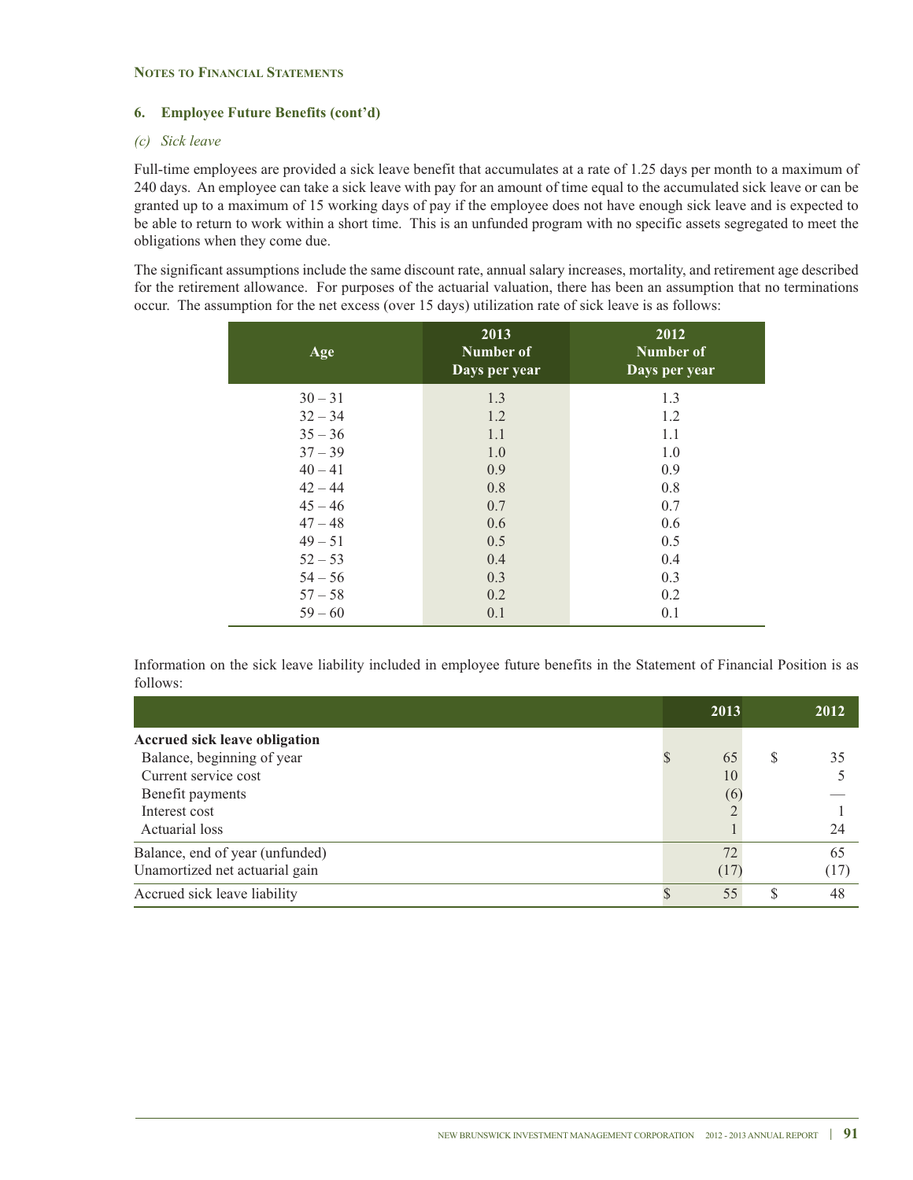### **6. Employee Future Benefits (cont'd)**

### *(c) Sick leave*

Full-time employees are provided a sick leave benefit that accumulates at a rate of 1.25 days per month to a maximum of 240 days. An employee can take a sick leave with pay for an amount of time equal to the accumulated sick leave or can be granted up to a maximum of 15 working days of pay if the employee does not have enough sick leave and is expected to be able to return to work within a short time. This is an unfunded program with no specific assets segregated to meet the obligations when they come due.

The significant assumptions include the same discount rate, annual salary increases, mortality, and retirement age described for the retirement allowance. For purposes of the actuarial valuation, there has been an assumption that no terminations occur. The assumption for the net excess (over 15 days) utilization rate of sick leave is as follows:

| Age       | 2013<br><b>Number of</b><br>Days per year | 2012<br><b>Number of</b><br>Days per year |  |  |
|-----------|-------------------------------------------|-------------------------------------------|--|--|
| $30 - 31$ | 1.3                                       | 1.3                                       |  |  |
| $32 - 34$ | 1.2                                       | 1.2                                       |  |  |
| $35 - 36$ | 1.1                                       | 1.1                                       |  |  |
| $37 - 39$ | 1.0                                       | 1.0                                       |  |  |
| $40 - 41$ | 0.9                                       | 0.9                                       |  |  |
| $42 - 44$ | 0.8                                       | 0.8                                       |  |  |
| $45 - 46$ | 0.7                                       | 0.7                                       |  |  |
| $47 - 48$ | 0.6                                       | 0.6                                       |  |  |
| $49 - 51$ | 0.5                                       | 0.5                                       |  |  |
| $52 - 53$ | 0.4                                       | 0.4                                       |  |  |
| $54 - 56$ | 0.3                                       | 0.3                                       |  |  |
| $57 - 58$ | 0.2                                       | 0.2                                       |  |  |
| $59 - 60$ | 0.1                                       | 0.1                                       |  |  |
|           |                                           |                                           |  |  |

Information on the sick leave liability included in employee future benefits in the Statement of Financial Position is as follows:

|                                      | 2013 |   | 2012 |
|--------------------------------------|------|---|------|
| <b>Accrued sick leave obligation</b> |      |   |      |
| Balance, beginning of year           | 65   | S | 35   |
| Current service cost                 | 10   |   |      |
| Benefit payments                     | (6)  |   |      |
| Interest cost                        |      |   |      |
| Actuarial loss                       |      |   | 24   |
| Balance, end of year (unfunded)      | 72   |   | 65   |
| Unamortized net actuarial gain       | (17) |   | (17) |
| Accrued sick leave liability         | 55   | S | 48   |